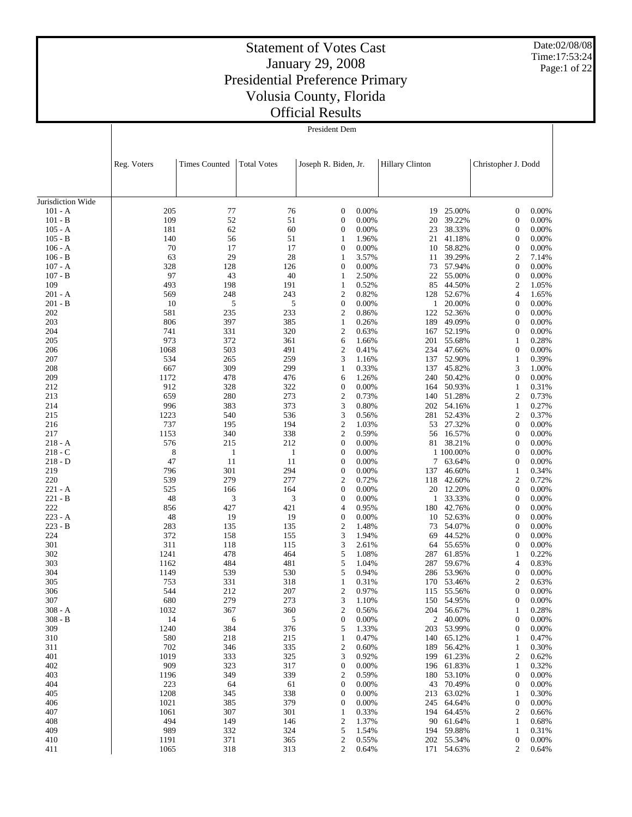Date:02/08/08 Time:17:53:24 Page:1 of 22

 $\overline{\phantom{a}}$ 

#### Statement of Votes Cast January 29, 2008 Presidential Preference Primary Volusia County, Florida Official Results

President Dem

|                             | Reg. Voters  | <b>Times Counted</b> |              | <b>Total Votes</b><br>Joseph R. Biden, Jr. |                | <b>Hillary Clinton</b> |                          | Christopher J. Dodd                  |                   |  |
|-----------------------------|--------------|----------------------|--------------|--------------------------------------------|----------------|------------------------|--------------------------|--------------------------------------|-------------------|--|
|                             |              |                      |              |                                            |                |                        |                          |                                      |                   |  |
| Jurisdiction Wide           |              |                      |              |                                            |                |                        |                          |                                      |                   |  |
| $101 - A$                   | 205          | 77                   | 76           | $\mathbf{0}$                               | 0.00%          | 19                     | 25.00%                   | $\boldsymbol{0}$                     | 0.00%             |  |
| $101 - B$<br>105 - A        | 109<br>181   | 52<br>62             | 51<br>60     | $\mathbf{0}$<br>$\boldsymbol{0}$           | 0.00%<br>0.00% | 20<br>23               | 39.22%<br>38.33%         | $\boldsymbol{0}$<br>$\boldsymbol{0}$ | 0.00%<br>0.00%    |  |
| $105 - B$                   | 140          | 56                   | 51           | 1                                          | 1.96%          | 21                     | 41.18%                   | $\boldsymbol{0}$                     | 0.00%             |  |
| $106 - A$                   | 70           | 17                   | 17           | $\boldsymbol{0}$                           | 0.00%          | 10                     | 58.82%                   | $\boldsymbol{0}$                     | 0.00%             |  |
| $106 - B$                   | 63           | 29                   | 28           | 1                                          | 3.57%          | 11                     | 39.29%                   | $\boldsymbol{2}$                     | 7.14%             |  |
| $107 - A$                   | 328          | 128                  | 126          | $\mathbf{0}$                               | 0.00%          | 73                     | 57.94%                   | $\boldsymbol{0}$                     | 0.00%             |  |
| $107 - B$                   | 97           | 43                   | 40           | 1                                          | 2.50%          | 22                     | 55.00%                   | $\boldsymbol{0}$                     | 0.00%             |  |
| 109                         | 493          | 198                  | 191          | 1                                          | 0.52%          | 85                     | 44.50%                   | $\boldsymbol{2}$                     | 1.05%             |  |
| 201 - A                     | 569          | 248                  | 243          | $\overline{2}$                             | 0.82%          |                        | 128 52.67%               | $\overline{4}$                       | 1.65%             |  |
| 201 - B                     | 10           | 5                    | 5            | $\mathbf{0}$                               | 0.00%          | 1                      | 20.00%                   | $\boldsymbol{0}$                     | 0.00%             |  |
| 202                         | 581          | 235                  | 233          | $\overline{2}$                             | 0.86%          |                        | 122 52.36%               | $\boldsymbol{0}$                     | 0.00%             |  |
| 203<br>204                  | 806<br>741   | 397<br>331           | 385<br>320   | $\mathbf{1}$<br>$\boldsymbol{2}$           | 0.26%<br>0.63% | 189<br>167             | 49.09%<br>52.19%         | $\boldsymbol{0}$<br>$\boldsymbol{0}$ | 0.00%<br>0.00%    |  |
| 205                         | 973          | 372                  | 361          | 6                                          | 1.66%          | 201                    | 55.68%                   | 1                                    | 0.28%             |  |
| 206                         | 1068         | 503                  | 491          | $\overline{2}$                             | 0.41%          | 234                    | 47.66%                   | $\boldsymbol{0}$                     | 0.00%             |  |
| 207                         | 534          | 265                  | 259          | 3                                          | 1.16%          | 137                    | 52.90%                   | $\mathbf{1}$                         | 0.39%             |  |
| 208                         | 667          | 309                  | 299          | 1                                          | 0.33%          | 137                    | 45.82%                   | 3                                    | 1.00%             |  |
| 209                         | 1172         | 478                  | 476          | 6                                          | 1.26%          | 240                    | 50.42%                   | $\boldsymbol{0}$                     | 0.00%             |  |
| 212                         | 912          | 328                  | 322          | $\boldsymbol{0}$                           | 0.00%          | 164                    | 50.93%                   | $\mathbf{1}$                         | 0.31%             |  |
| 213                         | 659          | 280                  | 273          | $\boldsymbol{2}$                           | 0.73%          | 140                    | 51.28%                   | $\overline{2}$                       | 0.73%             |  |
| 214                         | 996          | 383                  | 373          | 3                                          | 0.80%          | 202                    | 54.16%                   | $\mathbf{1}$                         | 0.27%             |  |
| 215                         | 1223         | 540                  | 536          | 3                                          | 0.56%          | 281                    | 52.43%                   | $\mathfrak{2}$                       | 0.37%             |  |
| 216<br>217                  | 737<br>1153  | 195<br>340           | 194<br>338   | $\overline{2}$<br>$\boldsymbol{2}$         | 1.03%<br>0.59% | 53                     | 27.32%                   | $\boldsymbol{0}$<br>$\boldsymbol{0}$ | 0.00%<br>0.00%    |  |
| $218 - A$                   | 576          | 215                  | 212          | $\boldsymbol{0}$                           | 0.00%          | 56<br>81               | 16.57%<br>38.21%         | $\boldsymbol{0}$                     | 0.00%             |  |
| $218 - C$                   | 8            | $\mathbf{1}$         | $\mathbf{1}$ | $\mathbf{0}$                               | 0.00%          |                        | 1 100.00%                | $\boldsymbol{0}$                     | 0.00%             |  |
| $218 - D$                   | 47           | 11                   | 11           | $\boldsymbol{0}$                           | 0.00%          | 7                      | 63.64%                   | $\boldsymbol{0}$                     | 0.00%             |  |
| 219                         | 796          | 301                  | 294          | $\mathbf{0}$                               | 0.00%          | 137                    | 46.60%                   | 1                                    | 0.34%             |  |
| 220                         | 539          | 279                  | 277          | $\overline{2}$                             | 0.72%          | 118                    | 42.60%                   | $\boldsymbol{2}$                     | 0.72%             |  |
| $221 - A$                   | 525          | 166                  | 164          | $\mathbf{0}$                               | 0.00%          | 20                     | 12.20%                   | $\boldsymbol{0}$                     | 0.00%             |  |
| $221 - B$                   | 48           | 3                    | 3            | $\boldsymbol{0}$                           | 0.00%          | 1                      | 33.33%                   | $\boldsymbol{0}$                     | 0.00%             |  |
| 222<br>$223 - A$            | 856<br>48    | 427                  | 421<br>19    | 4<br>$\boldsymbol{0}$                      | 0.95%          | 180                    | 42.76%<br>52.63%         | $\boldsymbol{0}$<br>$\boldsymbol{0}$ | 0.00%<br>0.00%    |  |
| $223 - B$                   | 283          | 19<br>135            | 135          | $\boldsymbol{2}$                           | 0.00%<br>1.48% | 10<br>73               | 54.07%                   | $\boldsymbol{0}$                     | 0.00%             |  |
| 224                         | 372          | 158                  | 155          | 3                                          | 1.94%          | 69                     | 44.52%                   | $\boldsymbol{0}$                     | 0.00%             |  |
| 301                         | 311          | 118                  | 115          | 3                                          | 2.61%          | 64                     | 55.65%                   | $\boldsymbol{0}$                     | 0.00%             |  |
| 302                         | 1241         | 478                  | 464          | 5                                          | 1.08%          | 287                    | 61.85%                   | $\mathbf{1}$                         | 0.22%             |  |
| 303                         | 1162         | 484                  | 481          | 5                                          | 1.04%          | 287                    | 59.67%                   | 4                                    | 0.83%             |  |
| 304                         | 1149         | 539                  | 530          | 5                                          | 0.94%          | 286                    | 53.96%                   | $\boldsymbol{0}$                     | 0.00%             |  |
| 305                         | 753          | 331                  | 318          | $\mathbf{1}$                               | 0.31%          | 170                    | 53.46%                   | $\mathfrak{2}$                       | 0.63%             |  |
| 306                         | 544          | 212                  | 207          | $\overline{2}$                             | 0.97%          |                        | 115 55.56%               | 0                                    | 0.00%             |  |
| 307<br>$308$ - $\hbox{\AA}$ | 680<br>1032  | 279<br>367           | 273<br>360   | 3<br>$\overline{\mathbf{c}}$               | 1.10%<br>0.56% |                        | 150 54.95%<br>204 56.67% | $\boldsymbol{0}$<br>1                | $0.00\%$<br>0.28% |  |
| $308 - B$                   | 14           | 6                    | 5            | $\boldsymbol{0}$                           | 0.00%          |                        | 2 40.00%                 | $\boldsymbol{0}$                     | 0.00%             |  |
| 309                         | 1240         | 384                  | 376          | 5                                          | 1.33%          | 203                    | 53.99%                   | $\boldsymbol{0}$                     | 0.00%             |  |
| 310                         | 580          | 218                  | 215          | $\mathbf{1}$                               | 0.47%          | 140                    | 65.12%                   | 1                                    | 0.47%             |  |
| 311                         | 702          | 346                  | 335          | $\boldsymbol{2}$                           | 0.60%          | 189                    | 56.42%                   | 1                                    | 0.30%             |  |
| 401                         | 1019         | 333                  | 325          | 3                                          | 0.92%          | 199                    | 61.23%                   | $\overline{c}$                       | 0.62%             |  |
| 402                         | 909          | 323                  | 317          | $\boldsymbol{0}$                           | 0.00%          | 196                    | 61.83%                   | 1                                    | 0.32%             |  |
| 403                         | 1196         | 349                  | 339          | $\boldsymbol{2}$                           | 0.59%          | 180                    | 53.10%                   | 0                                    | 0.00%             |  |
| 404                         | 223          | 64                   | 61           | $\boldsymbol{0}$                           | 0.00%          | 43                     | 70.49%                   | $\boldsymbol{0}$                     | 0.00%             |  |
| 405<br>406                  | 1208<br>1021 | 345<br>385           | 338<br>379   | $\boldsymbol{0}$<br>$\boldsymbol{0}$       | 0.00%<br>0.00% | 213<br>245             | 63.02%<br>64.64%         | $\mathbf{1}$<br>$\boldsymbol{0}$     | 0.30%<br>0.00%    |  |
| 407                         | 1061         | 307                  | 301          | 1                                          | 0.33%          | 194                    | 64.45%                   | $\overline{c}$                       | 0.66%             |  |
| 408                         | 494          | 149                  | 146          | $\boldsymbol{2}$                           | 1.37%          | 90                     | 61.64%                   | 1                                    | 0.68%             |  |
| 409                         | 989          | 332                  | 324          | 5                                          | 1.54%          |                        | 194 59.88%               | $\mathbf{1}$                         | 0.31%             |  |
| 410                         | 1191         | 371                  | 365          | $\boldsymbol{2}$                           | 0.55%          |                        | 202 55.34%               | $\boldsymbol{0}$                     | 0.00%             |  |
| 411                         | 1065         | 318                  | 313          | $\overline{c}$                             | 0.64%          |                        | 171 54.63%               | $\overline{c}$                       | 0.64%             |  |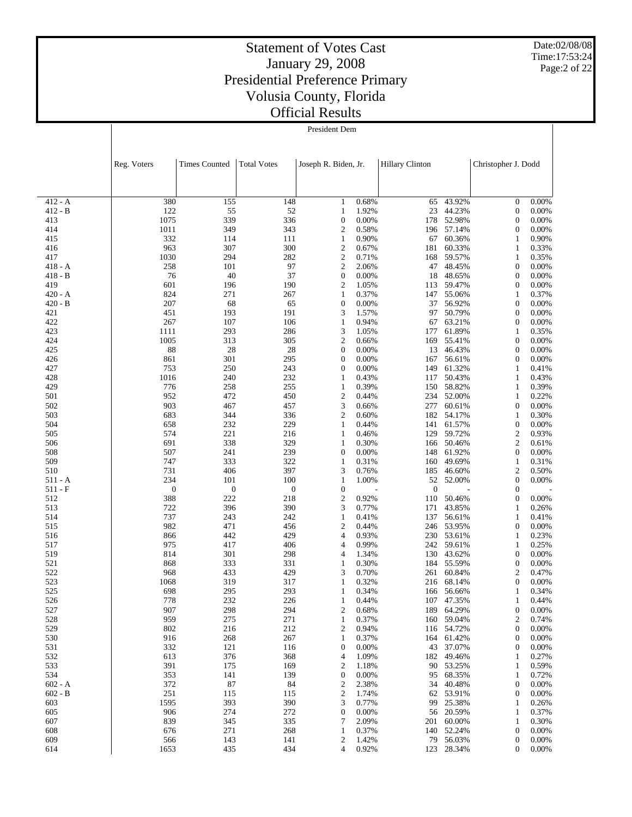Date:02/08/08 Time:17:53:24 Page:2 of 22

|                    | Reg. Voters             | <b>Times Counted</b> | <b>Total Votes</b> | Joseph R. Biden, Jr.                 |                | <b>Hillary Clinton</b> |                          | Christopher J. Dodd                  |                |
|--------------------|-------------------------|----------------------|--------------------|--------------------------------------|----------------|------------------------|--------------------------|--------------------------------------|----------------|
|                    |                         |                      |                    |                                      |                |                        |                          |                                      |                |
| $412 - A$          | 380                     | 155                  | 148                | $\mathbf{1}$                         | 0.68%          | 65                     | 43.92%                   | $\boldsymbol{0}$                     | 0.00%          |
| 412 - B            | 122                     | 55                   | 52                 | 1                                    | 1.92%          | 23                     | 44.23%                   | $\boldsymbol{0}$                     | 0.00%          |
| 413<br>414         | 1075<br>1011            | 339<br>349           | 336<br>343         | $\boldsymbol{0}$<br>2                | 0.00%<br>0.58% | 178                    | 52.98%<br>196 57.14%     | $\boldsymbol{0}$<br>$\boldsymbol{0}$ | 0.00%<br>0.00% |
| 415                | 332                     | 114                  | 111                | 1                                    | 0.90%          | 67                     | 60.36%                   | 1                                    | 0.90%          |
| 416                | 963                     | 307                  | 300                | 2                                    | 0.67%          | 181                    | 60.33%                   | 1                                    | 0.33%          |
| 417                | 1030                    | 294                  | 282                | $\sqrt{2}$                           | 0.71%          | 168                    | 59.57%                   | $\mathbf{1}$                         | 0.35%          |
| 418 - A            | 258                     | 101                  | 97                 | $\mathfrak{2}$                       | 2.06%          | 47                     | 48.45%                   | $\boldsymbol{0}$                     | 0.00%          |
| $418 - B$          | 76                      | 40                   | 37                 | $\boldsymbol{0}$                     | 0.00%          | 18                     | 48.65%                   | $\boldsymbol{0}$                     | 0.00%          |
| 419                | 601                     | 196                  | 190                | $\mathfrak{2}$                       | 1.05%<br>0.37% | 113                    | 59.47%                   | $\boldsymbol{0}$                     | 0.00%          |
| 420 - A<br>420 - B | 824<br>207              | 271<br>68            | 267<br>65          | 1<br>$\boldsymbol{0}$                | 0.00%          | 147<br>37              | 55.06%<br>56.92%         | 1<br>$\boldsymbol{0}$                | 0.37%<br>0.00% |
| 421                | 451                     | 193                  | 191                | 3                                    | 1.57%          | 97                     | 50.79%                   | $\boldsymbol{0}$                     | 0.00%          |
| 422                | 267                     | 107                  | 106                | 1                                    | 0.94%          | 67                     | 63.21%                   | $\boldsymbol{0}$                     | 0.00%          |
| 423                | 1111                    | 293                  | 286                | 3                                    | 1.05%          | 177                    | 61.89%                   | 1                                    | 0.35%          |
| 424                | 1005                    | 313                  | 305                | $\boldsymbol{2}$                     | 0.66%          | 169                    | 55.41%                   | $\boldsymbol{0}$                     | 0.00%          |
| 425                | 88                      | 28                   | 28                 | $\boldsymbol{0}$                     | 0.00%          | 13                     | 46.43%                   | $\boldsymbol{0}$                     | 0.00%          |
| 426<br>427         | 861<br>753              | 301<br>250           | 295<br>243         | $\boldsymbol{0}$<br>$\boldsymbol{0}$ | 0.00%<br>0.00% | 167<br>149             | 56.61%<br>61.32%         | $\boldsymbol{0}$<br>1                | 0.00%<br>0.41% |
| 428                | 1016                    | 240                  | 232                | 1                                    | 0.43%          | 117                    | 50.43%                   | 1                                    | 0.43%          |
| 429                | 776                     | 258                  | 255                | 1                                    | 0.39%          | 150                    | 58.82%                   | $\mathbf{1}$                         | 0.39%          |
| 501                | 952                     | 472                  | 450                | 2                                    | 0.44%          | 234                    | 52.00%                   | 1                                    | 0.22%          |
| 502                | 903                     | 467                  | 457                | 3                                    | 0.66%          | 277                    | 60.61%                   | $\boldsymbol{0}$                     | 0.00%          |
| 503                | 683                     | 344                  | 336                | $\mathfrak{2}$                       | 0.60%          | 182                    | 54.17%                   | 1                                    | 0.30%          |
| 504<br>505         | 658<br>574              | 232<br>221           | 229<br>216         | $\mathbf{1}$<br>1                    | 0.44%<br>0.46% | 141<br>129             | 61.57%<br>59.72%         | $\boldsymbol{0}$<br>$\boldsymbol{2}$ | 0.00%<br>0.93% |
| 506                | 691                     | 338                  | 329                | 1                                    | 0.30%          | 166                    | 50.46%                   | $\mathfrak{2}$                       | 0.61%          |
| 508                | 507                     | 241                  | 239                | $\boldsymbol{0}$                     | 0.00%          | 148                    | 61.92%                   | $\boldsymbol{0}$                     | 0.00%          |
| 509                | 747                     | 333                  | 322                | 1                                    | 0.31%          | 160                    | 49.69%                   | 1                                    | 0.31%          |
| 510                | 731                     | 406                  | 397                | 3                                    | 0.76%          | 185                    | 46.60%                   | 2                                    | 0.50%          |
| 511 - A            | 234                     | 101                  | 100                | 1                                    | 1.00%          | 52                     | 52.00%                   | $\boldsymbol{0}$                     | 0.00%          |
| 511 - F            | $\boldsymbol{0}$<br>388 | $\boldsymbol{0}$     | $\boldsymbol{0}$   | $\mathbf{0}$                         |                | $\mathbf{0}$           |                          | $\boldsymbol{0}$                     | 0.00%          |
| 512<br>513         | 722                     | 222<br>396           | 218<br>390         | $\boldsymbol{2}$<br>3                | 0.92%<br>0.77% | 110<br>171             | 50.46%<br>43.85%         | $\boldsymbol{0}$<br>1                | 0.26%          |
| 514                | 737                     | 243                  | 242                | 1                                    | 0.41%          | 137                    | 56.61%                   | $\mathbf{1}$                         | 0.41%          |
| 515                | 982                     | 471                  | 456                | 2                                    | 0.44%          | 246                    | 53.95%                   | $\boldsymbol{0}$                     | 0.00%          |
| 516                | 866                     | 442                  | 429                | 4                                    | 0.93%          | 230                    | 53.61%                   | 1                                    | 0.23%          |
| 517                | 975                     | 417                  | 406                | $\overline{4}$                       | 0.99%          | 242                    | 59.61%                   | 1                                    | 0.25%          |
| 519                | 814                     | 301                  | 298                | 4                                    | 1.34%          | 130                    | 43.62%                   | $\boldsymbol{0}$                     | 0.00%          |
| 521<br>522         | 868<br>968              | 333<br>433           | 331<br>429         | 1<br>3                               | 0.30%<br>0.70% | 184<br>261             | 55.59%<br>60.84%         | $\boldsymbol{0}$<br>2                | 0.00%<br>0.47% |
| 523                | 1068                    | 319                  | 317                | 1                                    | 0.32%          | 216                    | 68.14%                   | $\boldsymbol{0}$                     | 0.00%          |
| 525                | 698                     | 295                  | 293                | 1                                    | 0.34%          | 166                    | 56.66%                   | 1                                    | 0.34%          |
| 526                | 778                     | 232                  | 226                | 1                                    | 0.44%          |                        | 107 47.35%               | 1                                    | 0.44%          |
| 527                | 907                     | 298                  | 294                | $\overline{\mathbf{c}}$              | 0.68%          |                        | 189 64.29%               | 0                                    | 0.00%          |
| 528                | 959                     | 275                  | 271                | 1                                    | 0.37%          |                        | 160 59.04%               | 2                                    | 0.74%          |
| 529<br>530         | 802<br>916              | 216<br>268           | 212<br>267         | 2<br>1                               | 0.94%<br>0.37% |                        | 116 54.72%<br>164 61.42% | $\boldsymbol{0}$<br>$\boldsymbol{0}$ | 0.00%<br>0.00% |
| 531                | 332                     | 121                  | 116                | $\boldsymbol{0}$                     | 0.00%          | 43                     | 37.07%                   | 0                                    | 0.00%          |
| 532                | 613                     | 376                  | 368                | 4                                    | 1.09%          |                        | 182 49.46%               | 1                                    | 0.27%          |
| 533                | 391                     | 175                  | 169                | 2                                    | 1.18%          | 90                     | 53.25%                   | 1                                    | 0.59%          |
| 534                | 353                     | 141                  | 139                | $\boldsymbol{0}$                     | 0.00%          | 95                     | 68.35%                   | 1                                    | 0.72%          |
| $602 - A$          | 372                     | 87                   | 84                 | 2                                    | 2.38%          | 34                     | 40.48%                   | $\boldsymbol{0}$                     | 0.00%          |
| $602 - B$          | 251                     | 115                  | 115                | $\mathfrak{2}$                       | 1.74%          | 62                     | 53.91%                   | $\boldsymbol{0}$                     | 0.00%          |
| 603<br>605         | 1595<br>906             | 393<br>274           | 390<br>272         | 3<br>$\boldsymbol{0}$                | 0.77%<br>0.00% | 99                     | 25.38%<br>56 20.59%      | 1<br>1                               | 0.26%<br>0.37% |
| 607                | 839                     | 345                  | 335                | 7                                    | 2.09%          | 201                    | 60.00%                   | $\mathbf{1}$                         | 0.30%          |
| 608                | 676                     | 271                  | 268                | 1                                    | 0.37%          |                        | 140 52.24%               | $\boldsymbol{0}$                     | 0.00%          |
| 609                | 566                     | 143                  | 141                | 2                                    | 1.42%          | 79                     | 56.03%                   | $\boldsymbol{0}$                     | 0.00%          |
| 614                | 1653                    | 435                  | 434                | $\overline{4}$                       | 0.92%          |                        | 123 28.34%               | $\mathbf{0}$                         | 0.00%          |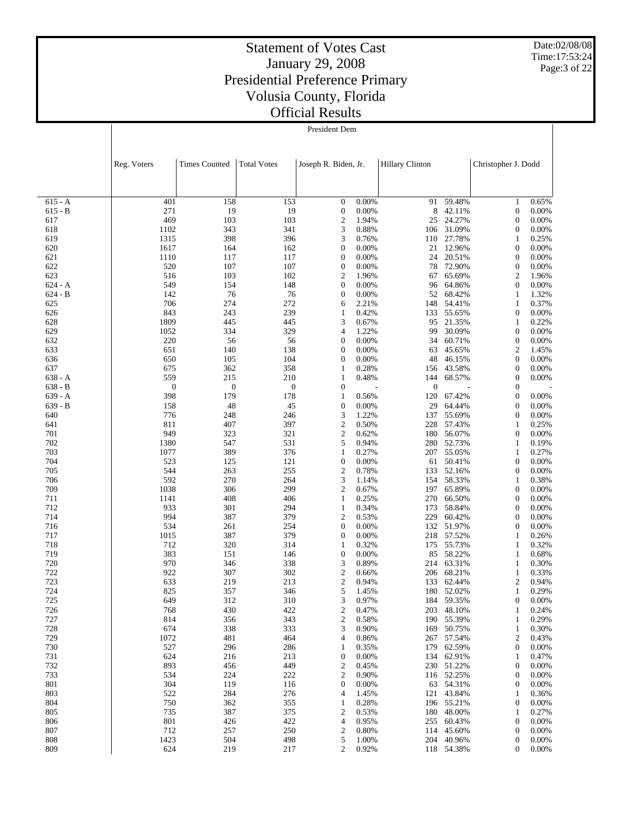Date:02/08/08 Time:17:53:24 Page:3 of 22

|                        | Reg. Voters      | <b>Times Counted</b> | <b>Total Votes</b> | Joseph R. Biden, Jr.                 |                | <b>Hillary Clinton</b> |                      | Christopher J. Dodd                  |                |
|------------------------|------------------|----------------------|--------------------|--------------------------------------|----------------|------------------------|----------------------|--------------------------------------|----------------|
|                        |                  |                      |                    |                                      |                |                        |                      |                                      |                |
| $615 - A$              | 401              | 158                  | 153                | $\mathbf{0}$                         | 0.00%          | 91                     | 59.48%               | $\mathbf{1}$                         | 0.65%          |
| $615 - B$              | 271<br>469       | 19                   | 19<br>103          | $\boldsymbol{0}$<br>$\overline{c}$   | 0.00%          | 8                      | 42.11%<br>24.27%     | $\boldsymbol{0}$<br>$\mathbf{0}$     | 0.00%          |
| 617<br>618             | 1102             | 103<br>343           | 341                | 3                                    | 1.94%<br>0.88% | 25<br>106              | 31.09%               | $\boldsymbol{0}$                     | 0.00%<br>0.00% |
| 619                    | 1315             | 398                  | 396                | 3                                    | 0.76%          | 110                    | 27.78%               | 1                                    | 0.25%          |
| 620                    | 1617             | 164                  | 162                | $\boldsymbol{0}$                     | 0.00%          | 21                     | 12.96%               | $\boldsymbol{0}$                     | 0.00%          |
| 621                    | 1110             | 117                  | 117                | $\mathbf{0}$                         | 0.00%          | 24                     | 20.51%               | $\boldsymbol{0}$                     | 0.00%          |
| 622                    | 520              | 107                  | 107                | $\boldsymbol{0}$                     | 0.00%          | 78                     | 72.90%               | $\boldsymbol{0}$                     | 0.00%          |
| 623                    | 516              | 103                  | 102                | $\overline{c}$                       | 1.96%          | 67                     | 65.69%               | $\overline{2}$                       | 1.96%          |
| $624 - A$<br>$624 - B$ | 549<br>142       | 154<br>76            | 148<br>76          | $\boldsymbol{0}$<br>$\boldsymbol{0}$ | 0.00%<br>0.00% | 96<br>52               | 64.86%<br>68.42%     | $\boldsymbol{0}$<br>1                | 0.00%<br>1.32% |
| 625                    | 706              | 274                  | 272                | 6                                    | 2.21%          | 148                    | 54.41%               | 1                                    | 0.37%          |
| 626                    | 843              | 243                  | 239                | 1                                    | 0.42%          | 133                    | 55.65%               | $\boldsymbol{0}$                     | 0.00%          |
| 628                    | 1809             | 445                  | 445                | 3                                    | 0.67%          | 95                     | 21.35%               | 1                                    | 0.22%          |
| 629                    | 1052             | 334                  | 329                | 4                                    | 1.22%          | 99                     | 30.09%               | $\boldsymbol{0}$                     | 0.00%          |
| 632                    | 220              | 56                   | 56                 | $\mathbf{0}$                         | 0.00%          | 34                     | 60.71%               | $\boldsymbol{0}$                     | 0.00%          |
| 633<br>636             | 651<br>650       | 140<br>105           | 138<br>104         | $\mathbf{0}$<br>$\mathbf{0}$         | 0.00%<br>0.00% | 63<br>48               | 45.65%<br>46.15%     | $\overline{2}$<br>$\boldsymbol{0}$   | 1.45%<br>0.00% |
| 637                    | 675              | 362                  | 358                | 1                                    | 0.28%          | 156                    | 43.58%               | $\boldsymbol{0}$                     | 0.00%          |
| $638 - A$              | 559              | 215                  | 210                | 1                                    | 0.48%          | 144                    | 68.57%               | $\boldsymbol{0}$                     | 0.00%          |
| $638 - B$              | $\boldsymbol{0}$ | $\boldsymbol{0}$     | $\boldsymbol{0}$   | $\boldsymbol{0}$                     |                | $\boldsymbol{0}$       |                      | $\mathbf{0}$                         |                |
| $639 - A$              | 398              | 179                  | 178                | 1                                    | 0.56%          | 120                    | 67.42%               | $\boldsymbol{0}$                     | 0.00%          |
| $639 - B$              | 158              | 48                   | 45                 | $\boldsymbol{0}$                     | 0.00%          | 29                     | 64.44%               | $\mathbf{0}$                         | 0.00%          |
| 640                    | 776              | 248                  | 246                | 3                                    | 1.22%          | 137                    | 55.69%               | $\boldsymbol{0}$                     | 0.00%          |
| 641<br>701             | 811<br>949       | 407<br>323           | 397<br>321         | $\mathbf{2}$<br>$\boldsymbol{2}$     | 0.50%<br>0.62% | 228<br>180             | 57.43%<br>56.07%     | 1<br>$\boldsymbol{0}$                | 0.25%<br>0.00% |
| 702                    | 1380             | 547                  | 531                | 5                                    | 0.94%          | 280                    | 52.73%               | 1                                    | 0.19%          |
| 703                    | 1077             | 389                  | 376                | 1                                    | 0.27%          | 207                    | 55.05%               | 1                                    | 0.27%          |
| 704                    | 523              | 125                  | 121                | $\boldsymbol{0}$                     | 0.00%          | 61                     | 50.41%               | $\boldsymbol{0}$                     | 0.00%          |
| 705                    | 544              | 263                  | 255                | $\boldsymbol{2}$                     | 0.78%          | 133                    | 52.16%               | $\boldsymbol{0}$                     | 0.00%          |
| 706                    | 592              | 270                  | 264                | 3                                    | 1.14%          | 154                    | 58.33%               | 1                                    | 0.38%          |
| 709<br>711             | 1038<br>1141     | 306<br>408           | 299<br>406         | $\overline{c}$<br>1                  | 0.67%<br>0.25% | 197<br>270             | 65.89%<br>66.50%     | $\boldsymbol{0}$<br>$\boldsymbol{0}$ | 0.00%<br>0.00% |
| 712                    | 933              | 301                  | 294                | 1                                    | 0.34%          | 173                    | 58.84%               | $\boldsymbol{0}$                     | 0.00%          |
| 714                    | 994              | 387                  | 379                | $\mathfrak{2}$                       | 0.53%          | 229                    | 60.42%               | $\mathbf{0}$                         | 0.00%          |
| 716                    | 534              | 261                  | 254                | $\boldsymbol{0}$                     | 0.00%          | 132                    | 51.97%               | $\boldsymbol{0}$                     | 0.00%          |
| 717                    | 1015             | 387                  | 379                | $\mathbf{0}$                         | 0.00%          | 218                    | 57.52%               | 1                                    | 0.26%          |
| 718                    | 712              | 320                  | 314                | 1                                    | 0.32%          | 175                    | 55.73%               | 1                                    | 0.32%          |
| 719                    | 383              | 151                  | 146                | $\mathbf{0}$                         | 0.00%          | 85                     | 58.22%               | 1                                    | 0.68%          |
| 720<br>722             | 970<br>922       | 346<br>307           | 338<br>302         | 3<br>$\mathbf{2}$                    | 0.89%<br>0.66% | 214<br>206             | 63.31%<br>68.21%     | 1<br>1                               | 0.30%<br>0.33% |
| 723                    | 633              | 219                  | 213                | $\mathfrak{2}$                       | 0.94%          | 133                    | 62.44%               | 2                                    | 0.94%          |
| 724                    | 825              | 357                  | 346                | 5                                    | 1.45%          | 180                    | 52.02%               | $\mathbf{1}$                         | 0.29%          |
| 725                    | 649              | 312                  | 310                | 3                                    | 0.97%          |                        | 184 59.35%           | $\boldsymbol{0}$                     | 0.00%          |
| 726                    | 768              | 430                  | 422                | $\boldsymbol{2}$                     | 0.47%          |                        | 203 48.10%           | 1                                    | 0.24%          |
| 727                    | 814              | 356                  | 343                | $\overline{c}$                       | 0.58%          |                        | 190 55.39%           | 1                                    | 0.29%          |
| 728<br>729             | 674<br>1072      | 338<br>481           | 333<br>464         | 3<br>4                               | 0.90%<br>0.86% | 169                    | 50.75%<br>267 57.54% | 1<br>$\overline{c}$                  | 0.30%<br>0.43% |
| 730                    | 527              | 296                  | 286                | 1                                    | 0.35%          | 179                    | 62.59%               | $\boldsymbol{0}$                     | 0.00%          |
| 731                    | 624              | 216                  | 213                | $\boldsymbol{0}$                     | 0.00%          |                        | 134 62.91%           | 1                                    | 0.47%          |
| 732                    | 893              | 456                  | 449                | $\mathbf{2}$                         | 0.45%          |                        | 230 51.22%           | $\boldsymbol{0}$                     | 0.00%          |
| 733                    | 534              | 224                  | 222                | 2                                    | 0.90%          |                        | 116 52.25%           | 0                                    | 0.00%          |
| 801                    | 304              | 119                  | 116                | $\mathbf{0}$                         | 0.00%          | 63                     | 54.31%               | $\boldsymbol{0}$                     | 0.00%          |
| 803                    | 522              | 284                  | 276                | 4                                    | 1.45%          | 121                    | 43.84%               | 1                                    | 0.36%          |
| 804<br>805             | 750<br>735       | 362<br>387           | 355<br>375         | 1<br>2                               | 0.28%<br>0.53% | 180                    | 196 55.21%<br>48.00% | $\boldsymbol{0}$<br>1                | 0.00%<br>0.27% |
| 806                    | 801              | 426                  | 422                | 4                                    | 0.95%          | 255                    | 60.43%               | $\boldsymbol{0}$                     | 0.00%          |
| 807                    | 712              | 257                  | 250                | $\boldsymbol{2}$                     | 0.80%          | 114                    | 45.60%               | 0                                    | 0.00%          |
| 808                    | 1423             | 504                  | 498                | 5                                    | 1.00%          |                        | 204 40.96%           | $\boldsymbol{0}$                     | 0.00%          |
| 809                    | 624              | 219                  | 217                | $\overline{c}$                       | 0.92%          |                        | 118 54.38%           | $\mathbf{0}$                         | 0.00%          |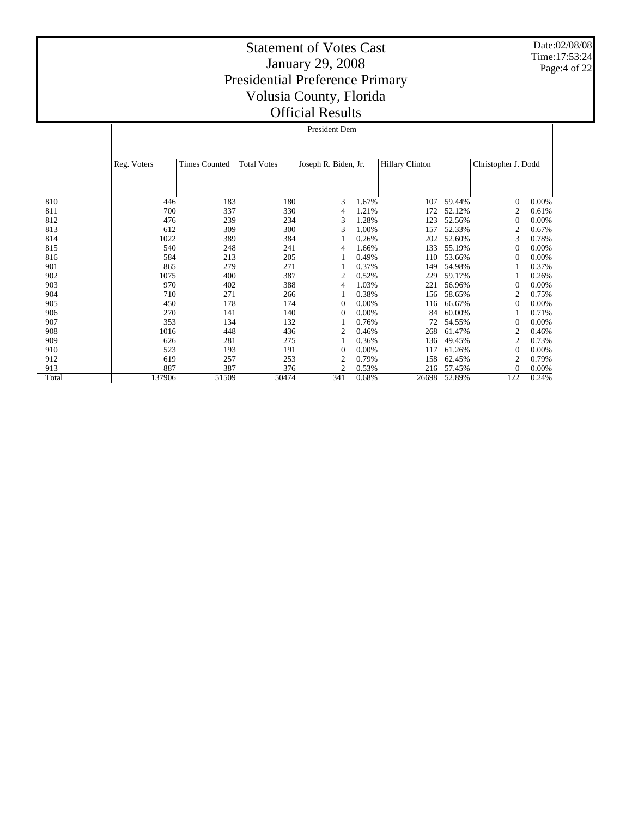Date:02/08/08 Time:17:53:24 Page:4 of 22

|       | President Dem |                      |                    |                      |       |                        |        |                     |       |  |  |  |
|-------|---------------|----------------------|--------------------|----------------------|-------|------------------------|--------|---------------------|-------|--|--|--|
|       |               |                      |                    |                      |       |                        |        |                     |       |  |  |  |
|       | Reg. Voters   | <b>Times Counted</b> | <b>Total Votes</b> | Joseph R. Biden, Jr. |       | <b>Hillary Clinton</b> |        | Christopher J. Dodd |       |  |  |  |
|       |               |                      |                    |                      |       |                        |        |                     |       |  |  |  |
| 810   | 446           | 183                  | 180                | 3                    | 1.67% | 107                    | 59.44% | $\theta$            | 0.00% |  |  |  |
| 811   | 700           | 337                  | 330                | 4                    | 1.21% | 172                    | 52.12% | 2                   | 0.61% |  |  |  |
| 812   | 476           | 239                  | 234                | 3                    | 1.28% | 123                    | 52.56% | $\theta$            | 0.00% |  |  |  |
| 813   | 612           | 309                  | 300                | 3                    | 1.00% | 157                    | 52.33% | $\overline{2}$      | 0.67% |  |  |  |
| 814   | 1022          | 389                  | 384                |                      | 0.26% | 202                    | 52.60% | 3                   | 0.78% |  |  |  |
| 815   | 540           | 248                  | 241                | $\overline{4}$       | 1.66% | 133                    | 55.19% | $\theta$            | 0.00% |  |  |  |
| 816   | 584           | 213                  | 205                |                      | 0.49% | 110                    | 53.66% | $\Omega$            | 0.00% |  |  |  |
| 901   | 865           | 279                  | 271                |                      | 0.37% | 149                    | 54.98% |                     | 0.37% |  |  |  |
| 902   | 1075          | 400                  | 387                | 2                    | 0.52% | 229                    | 59.17% |                     | 0.26% |  |  |  |
| 903   | 970           | 402                  | 388                | 4                    | 1.03% | 221                    | 56.96% | $\theta$            | 0.00% |  |  |  |
| 904   | 710           | 271                  | 266                |                      | 0.38% | 156                    | 58.65% | 2                   | 0.75% |  |  |  |
| 905   | 450           | 178                  | 174                | $\theta$             | 0.00% | 116                    | 66.67% | $\theta$            | 0.00% |  |  |  |
| 906   | 270           | 141                  | 140                | $\theta$             | 0.00% | 84                     | 60.00% |                     | 0.71% |  |  |  |
| 907   | 353           | 134                  | 132                |                      | 0.76% | 72                     | 54.55% | $\Omega$            | 0.00% |  |  |  |
| 908   | 1016          | 448                  | 436                | $\overline{c}$       | 0.46% | 268                    | 61.47% | $\overline{2}$      | 0.46% |  |  |  |
| 909   | 626           | 281                  | 275                |                      | 0.36% | 136                    | 49.45% | 2                   | 0.73% |  |  |  |
| 910   | 523           | 193                  | 191                | $\overline{0}$       | 0.00% | 117                    | 61.26% | $\Omega$            | 0.00% |  |  |  |
| 912   | 619           | 257                  | 253                | $\overline{c}$       | 0.79% | 158                    | 62.45% | $\overline{2}$      | 0.79% |  |  |  |
| 913   | 887           | 387                  | 376                | $\overline{2}$       | 0.53% | 216                    | 57.45% | $\Omega$            | 0.00% |  |  |  |
| Total | 137906        | 51509                | 50474              | 341                  | 0.68% | 26698                  | 52.89% | 122                 | 0.24% |  |  |  |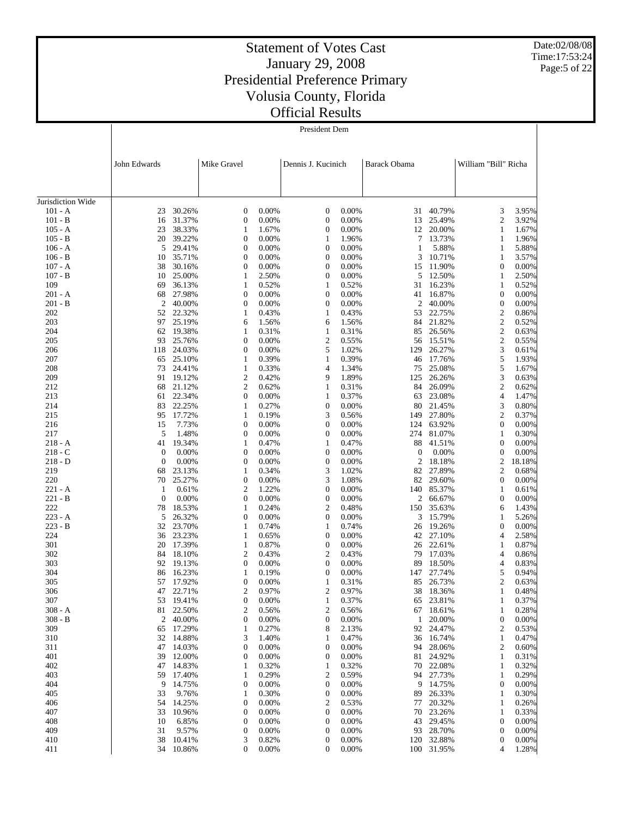Date:02/08/08 Time:17:53:24 Page:5 of 22

|                                | John Edwards     |                     | Mike Gravel           |                | Dennis J. Kucinich                   |                | <b>Barack Obama</b> |                      | William "Bill" Richa             |                |
|--------------------------------|------------------|---------------------|-----------------------|----------------|--------------------------------------|----------------|---------------------|----------------------|----------------------------------|----------------|
|                                |                  |                     |                       |                |                                      |                |                     |                      |                                  |                |
|                                |                  |                     |                       |                |                                      |                |                     |                      |                                  |                |
| Jurisdiction Wide<br>$101 - A$ |                  | 30.26%              | 0                     | 0.00%          | $\boldsymbol{0}$                     | 0.00%          | 31                  | 40.79%               | 3                                | 3.95%          |
| $101 - B$                      | 23<br>16         | 31.37%              | 0                     | 0.00%          | $\boldsymbol{0}$                     | 0.00%          | 13                  | 25.49%               | $\overline{2}$                   | 3.92%          |
| $105 - A$                      | 23               | 38.33%              | 1                     | 1.67%          | $\boldsymbol{0}$                     | 0.00%          | 12                  | 20.00%               | $\mathbf{1}$                     | 1.67%          |
| $105 - B$                      | 20               | 39.22%              | 0                     | 0.00%          | 1                                    | 1.96%          | 7                   | 13.73%               | 1                                | 1.96%          |
| $106 - A$                      | 5                | 29.41%              | $\boldsymbol{0}$      | 0.00%          | $\boldsymbol{0}$                     | 0.00%          | 1                   | 5.88%                | $\mathbf{1}$                     | 5.88%          |
| $106 - B$                      | 10               | 35.71%              | 0                     | 0.00%          | $\boldsymbol{0}$                     | 0.00%          | 3                   | 10.71%               | 1                                | 3.57%          |
| $107 - A$                      | 38               | 30.16%              | $\boldsymbol{0}$      | 0.00%          | $\boldsymbol{0}$                     | 0.00%          | 15                  | 11.90%               | $\mathbf{0}$                     | 0.00%          |
| $107 - B$                      | 10               | 25.00%              | 1                     | 2.50%          | $\boldsymbol{0}$                     | 0.00%          | 5                   | 12.50%               | 1                                | 2.50%          |
| 109                            | 69               | 36.13%              | $\mathbf{1}$          | 0.52%          | $\mathbf{1}$                         | 0.52%          | 31                  | 16.23%               | $\mathbf{1}$                     | 0.52%          |
| $201 - A$                      | 68               | 27.98%              | 0                     | 0.00%          | $\boldsymbol{0}$                     | 0.00%          | 41                  | 16.87%               | $\boldsymbol{0}$                 | 0.00%          |
| $201 - B$                      | $\overline{c}$   | 40.00%              | 0                     | 0.00%          | $\boldsymbol{0}$                     | 0.00%          | 2                   | 40.00%               | $\boldsymbol{0}$                 | 0.00%          |
| 202<br>203                     | 52<br>97         | 22.32%<br>25.19%    | 1<br>6                | 0.43%<br>1.56% | 1<br>6                               | 0.43%<br>1.56% | 53<br>84            | 22.75%<br>21.82%     | $\mathbf{2}$<br>$\mathbf{2}$     | 0.86%<br>0.52% |
| 204                            | 62               | 19.38%              | 1                     | 0.31%          | $\mathbf{1}$                         | 0.31%          | 85                  | 26.56%               | $\mathbf{2}$                     | 0.63%          |
| 205                            | 93               | 25.76%              | $\boldsymbol{0}$      | 0.00%          | $\sqrt{2}$                           | 0.55%          |                     | 56 15.51%            | $\mathbf{2}$                     | 0.55%          |
| 206                            | 118              | 24.03%              | 0                     | 0.00%          | 5                                    | 1.02%          | 129                 | 26.27%               | 3                                | 0.61%          |
| 207                            | 65               | 25.10%              | 1                     | 0.39%          | $\mathbf{1}$                         | 0.39%          | 46                  | 17.76%               | 5                                | 1.93%          |
| 208                            | 73               | 24.41%              | $\mathbf{1}$          | 0.33%          | 4                                    | 1.34%          | 75                  | 25.08%               | 5                                | 1.67%          |
| 209                            | 91               | 19.12%              | 2                     | 0.42%          | 9                                    | 1.89%          | 125                 | 26.26%               | 3                                | 0.63%          |
| 212                            | 68               | 21.12%              | 2                     | 0.62%          | 1                                    | 0.31%          | 84                  | 26.09%               | $\mathbf{2}$                     | 0.62%          |
| 213                            | 61               | 22.34%              | $\boldsymbol{0}$      | 0.00%          | $\mathbf{1}$                         | 0.37%          | 63                  | 23.08%               | $\overline{4}$                   | 1.47%          |
| 214<br>215                     | 83<br>95         | 22.25%<br>17.72%    | 1<br>$\mathbf{1}$     | 0.27%<br>0.19% | $\boldsymbol{0}$<br>3                | 0.00%<br>0.56% | 149                 | 80 21.45%<br>27.80%  | 3<br>$\mathbf{2}$                | 0.80%<br>0.37% |
| 216                            | 15               | 7.73%               | 0                     | 0.00%          | $\boldsymbol{0}$                     | 0.00%          | 124                 | 63.92%               | $\mathbf{0}$                     | 0.00%          |
| 217                            | 5                | 1.48%               | $\boldsymbol{0}$      | 0.00%          | $\boldsymbol{0}$                     | 0.00%          | 274                 | 81.07%               | $\mathbf{1}$                     | 0.30%          |
| $218 - A$                      | 41               | 19.34%              | 1                     | 0.47%          | $\mathbf{1}$                         | 0.47%          | 88                  | 41.51%               | $\mathbf{0}$                     | 0.00%          |
| $218 - C$                      | $\boldsymbol{0}$ | 0.00%               | $\boldsymbol{0}$      | 0.00%          | $\boldsymbol{0}$                     | 0.00%          | $\mathbf{0}$        | 0.00%                | $\boldsymbol{0}$                 | 0.00%          |
| $218 - D$                      | $\mathbf{0}$     | 0.00%               | 0                     | 0.00%          | $\boldsymbol{0}$                     | 0.00%          | 2                   | 18.18%               | $\boldsymbol{2}$                 | 18.18%         |
| 219                            | 68               | 23.13%              | $\mathbf{1}$          | 0.34%          | 3                                    | 1.02%          | 82                  | 27.89%               | $\mathbf{2}$                     | 0.68%          |
| 220                            | 70               | 25.27%              | $\boldsymbol{0}$      | 0.00%          | 3                                    | 1.08%          | 82                  | 29.60%               | $\mathbf{0}$                     | 0.00%          |
| $221 - A$<br>$221 - B$         | 1<br>$\theta$    | 0.61%<br>0.00%      | 2<br>$\boldsymbol{0}$ | 1.22%<br>0.00% | $\boldsymbol{0}$<br>$\boldsymbol{0}$ | 0.00%<br>0.00% | 140<br>2            | 85.37%<br>66.67%     | $\mathbf{1}$<br>$\boldsymbol{0}$ | 0.61%<br>0.00% |
| 222                            | 78               | 18.53%              | $\mathbf{1}$          | 0.24%          | $\boldsymbol{2}$                     | 0.48%          | 150                 | 35.63%               | 6                                | 1.43%          |
| $223 - A$                      | 5                | 26.32%              | 0                     | 0.00%          | $\boldsymbol{0}$                     | 0.00%          | 3                   | 15.79%               | 1                                | 5.26%          |
| $223 - B$                      | 32               | 23.70%              | $\mathbf{1}$          | 0.74%          | $\mathbf{1}$                         | 0.74%          | 26                  | 19.26%               | $\mathbf{0}$                     | 0.00%          |
| 224                            | 36               | 23.23%              | 1                     | 0.65%          | $\boldsymbol{0}$                     | 0.00%          |                     | 42 27.10%            | $\overline{4}$                   | 2.58%          |
| 301                            | 20               | 17.39%              | $\mathbf{1}$          | 0.87%          | $\boldsymbol{0}$                     | 0.00%          | 26                  | 22.61%               | $\mathbf{1}$                     | 0.87%          |
| 302                            | 84               | 18.10%              | 2                     | 0.43%          | $\boldsymbol{2}$                     | 0.43%          | 79                  | 17.03%               | $\overline{4}$                   | 0.86%          |
| 303                            | 92               | 19.13%              | 0                     | 0.00%          | $\boldsymbol{0}$                     | 0.00%          | 89                  | 18.50%               | 4                                | 0.83%          |
| 304                            | 86               | 16.23%              | 1                     | 0.19%          | $\boldsymbol{0}$                     | 0.00%          | 147                 | 27.74%               | 5                                | 0.94%          |
| 305<br>306                     | 57<br>47         | 17.92%<br>22.71%    | 0<br>2                | 0.00%<br>0.97% | $\mathbf{1}$<br>$\mathbf{2}$         | 0.31%<br>0.97% | 85<br>38            | 26.73%<br>18.36%     | $\mathbf{2}$<br>1                | 0.63%<br>0.48% |
| 307                            | 53               | 19.41%              | 0                     | 0.00%          | 1                                    | 0.37%          | 65                  | 23.81%               | 1                                | 0.37%          |
| $308 - A$                      | 81               | 22.50%              | 2                     | 0.56%          | 2                                    | 0.56%          |                     | 67 18.61%            | 1                                | 0.28%          |
| $308 - B$                      | $\overline{c}$   | 40.00%              | 0                     | 0.00%          | $\boldsymbol{0}$                     | 0.00%          | 1                   | 20.00%               | $\boldsymbol{0}$                 | 0.00%          |
| 309                            | 65               | 17.29%              | 1                     | 0.27%          | 8                                    | 2.13%          | 92                  | 24.47%               | 2                                | 0.53%          |
| 310                            | 32               | 14.88%              | 3                     | 1.40%          | 1                                    | 0.47%          | 36                  | 16.74%               | $\mathbf{1}$                     | 0.47%          |
| 311                            | 47               | 14.03%              | 0                     | 0.00%          | $\boldsymbol{0}$                     | 0.00%          | 94                  | 28.06%               | $\overline{c}$                   | 0.60%          |
| 401                            | 39               | 12.00%              | 0                     | 0.00%          | $\boldsymbol{0}$                     | 0.00%          | 81                  | 24.92%               | 1                                | 0.31%          |
| 402<br>403                     | 47<br>59         | 14.83%<br>17.40%    | 1<br>1                | 0.32%<br>0.29% | 1<br>$\overline{\mathbf{c}}$         | 0.32%<br>0.59% | 70<br>94            | 22.08%<br>27.73%     | 1<br>1                           | 0.32%<br>0.29% |
| 404                            | 9                | 14.75%              | 0                     | 0.00%          | $\boldsymbol{0}$                     | 0.00%          | 9                   | 14.75%               | $\boldsymbol{0}$                 | 0.00%          |
| 405                            | 33               | 9.76%               | 1                     | 0.30%          | $\boldsymbol{0}$                     | 0.00%          | 89                  | 26.33%               | 1                                | 0.30%          |
| 406                            | 54               | 14.25%              | 0                     | 0.00%          | 2                                    | 0.53%          | 77                  | 20.32%               | 1                                | 0.26%          |
| 407                            | 33               | 10.96%              | 0                     | 0.00%          | $\boldsymbol{0}$                     | 0.00%          | 70                  | 23.26%               | 1                                | 0.33%          |
| 408                            | 10               | 6.85%               | 0                     | 0.00%          | $\boldsymbol{0}$                     | 0.00%          | 43                  | 29.45%               | $\boldsymbol{0}$                 | 0.00%          |
| 409                            | 31               | 9.57%               | 0                     | 0.00%          | $\boldsymbol{0}$                     | 0.00%          | 93                  | 28.70%               | $\boldsymbol{0}$                 | 0.00%          |
| 410<br>411                     | 38               | 10.41%<br>34 10.86% | 3<br>0                | 0.82%<br>0.00% | $\boldsymbol{0}$<br>0                | 0.00%<br>0.00% | 120                 | 32.88%<br>100 31.95% | $\boldsymbol{0}$<br>4            | 0.00%<br>1.28% |
|                                |                  |                     |                       |                |                                      |                |                     |                      |                                  |                |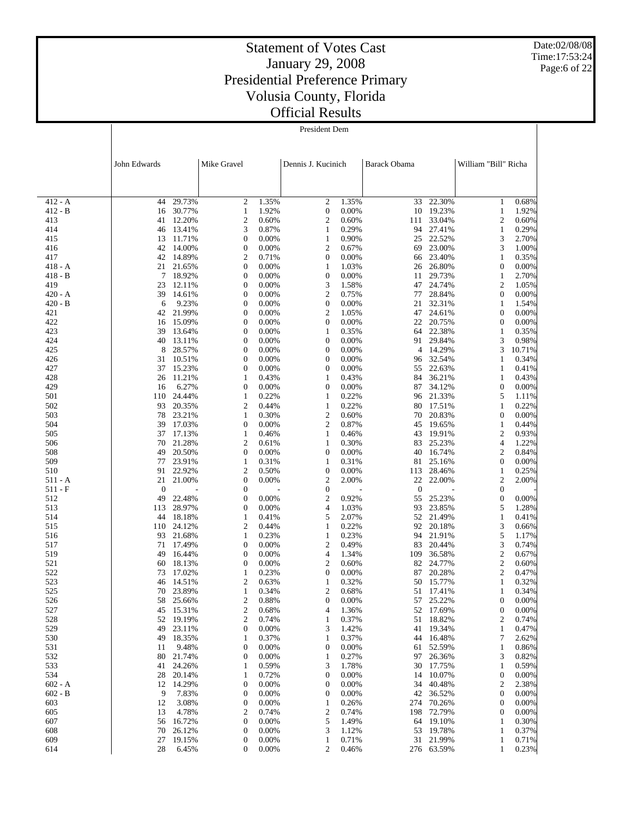Date:02/08/08 Time:17:53:24 Page:6 of 22

# Statement of Votes Cast January 29, 2008 Presidential Preference Primary Volusia County, Florida Official Results

President Dem

|                        | John Edwards       |                        | Mike Gravel  |                | Dennis J. Kucinich                   |                | Barack Obama           |                        | William "Bill" Richa                 |                   |
|------------------------|--------------------|------------------------|--------------|----------------|--------------------------------------|----------------|------------------------|------------------------|--------------------------------------|-------------------|
|                        |                    |                        |              |                |                                      |                |                        |                        |                                      |                   |
|                        |                    |                        |              |                |                                      |                |                        |                        |                                      |                   |
| $412 - A$              | 44                 | 29.73%                 | 2            | 1.35%          | 2                                    | 1.35%          | 33                     | 22.30%                 | 1                                    | 0.68%             |
| $412 - B$              | 16                 | 30.77%                 | 1            | 1.92%          | $\boldsymbol{0}$                     | 0.00%          |                        | 10 19.23%              | $\mathbf{1}$                         | 1.92%             |
| 413                    | 41                 | 12.20%<br>13.41%       | 2<br>3       | 0.60%<br>0.87% | $\overline{c}$                       | 0.60%<br>0.29% | 111                    | 33.04%<br>94 27.41%    | $\boldsymbol{2}$                     | 0.60%             |
| 414<br>415             | 46<br>13           | 11.71%                 | 0            | 0.00%          | 1<br>$\mathbf{1}$                    | 0.90%          | 25                     | 22.52%                 | $\mathbf{1}$<br>3                    | 0.29%<br>2.70%    |
| 416                    | 42                 | 14.00%                 | 0            | 0.00%          | $\boldsymbol{2}$                     | 0.67%          | 69                     | 23.00%                 | 3                                    | 1.00%             |
| 417                    |                    | 42 14.89%              | 2            | 0.71%          | $\boldsymbol{0}$                     | 0.00%          | 66                     | 23.40%                 | 1                                    | 0.35%             |
| 418 - A                |                    | 21 21.65%              | 0            | 0.00%          | 1                                    | 1.03%          |                        | 26 26.80%              | $\boldsymbol{0}$                     | 0.00%             |
| $418 - B$              | 7                  | 18.92%                 | 0            | 0.00%          | $\boldsymbol{0}$                     | 0.00%          | 11                     | 29.73%                 | 1                                    | 2.70%             |
| 419<br>$420 - A$       | 23<br>39           | 12.11%<br>14.61%       | 0<br>0       | 0.00%<br>0.00% | 3<br>$\boldsymbol{2}$                | 1.58%<br>0.75% | 77                     | 47 24.74%<br>28.84%    | $\boldsymbol{2}$<br>$\boldsymbol{0}$ | 1.05%<br>0.00%    |
| $420 - B$              | 6                  | 9.23%                  | 0            | 0.00%          | $\boldsymbol{0}$                     | 0.00%          |                        | 21 32.31%              | 1                                    | 1.54%             |
| 421                    |                    | 42 21.99%              | 0            | 0.00%          | $\boldsymbol{2}$                     | 1.05%          | 47                     | 24.61%                 | $\boldsymbol{0}$                     | 0.00%             |
| 422                    | 16                 | 15.09%                 | 0            | 0.00%          | $\mathbf{0}$                         | 0.00%          |                        | 22 20.75%              | $\mathbf{0}$                         | 0.00%             |
| 423                    | 39                 | 13.64%                 | 0            | 0.00%          | 1                                    | 0.35%          | 64                     | 22.38%                 | 1                                    | 0.35%             |
| 424                    | 40                 | 13.11%                 | 0            | 0.00%          | $\mathbf{0}$                         | 0.00%          |                        | 91 29.84%              | 3                                    | 0.98%             |
| 425<br>426             | 8<br>31            | 28.57%<br>10.51%       | 0<br>0       | 0.00%<br>0.00% | $\boldsymbol{0}$<br>$\boldsymbol{0}$ | 0.00%<br>0.00% | 4                      | 14.29%<br>96 32.54%    | 3<br>1                               | 10.71%<br>0.34%   |
| 427                    | 37                 | 15.23%                 | 0            | 0.00%          | $\boldsymbol{0}$                     | 0.00%          | 55                     | 22.63%                 | $\mathbf{1}$                         | 0.41%             |
| 428                    | 26                 | 11.21%                 | 1            | 0.43%          | 1                                    | 0.43%          | 84                     | 36.21%                 | 1                                    | 0.43%             |
| 429                    | 16                 | 6.27%                  | 0            | 0.00%          | $\boldsymbol{0}$                     | 0.00%          | 87                     | 34.12%                 | $\boldsymbol{0}$                     | 0.00%             |
| 501                    | 110                | 24.44%                 | 1            | 0.22%          | 1                                    | 0.22%          |                        | 96 21.33%              | 5                                    | 1.11%             |
| 502                    | 93                 | 20.35%                 | 2            | 0.44%          | 1                                    | 0.22%          | 80                     | 17.51%                 | 1                                    | 0.22%             |
| 503<br>504             | 78<br>39           | 23.21%<br>17.03%       | 1<br>0       | 0.30%<br>0.00% | $\boldsymbol{2}$<br>$\boldsymbol{2}$ | 0.60%<br>0.87% | 45                     | 70 20.83%<br>19.65%    | $\boldsymbol{0}$<br>$\mathbf{1}$     | 0.00%<br>0.44%    |
| 505                    | 37                 | 17.13%                 | 1            | 0.46%          | 1                                    | 0.46%          | 43                     | 19.91%                 | $\mathfrak{2}$                       | 0.93%             |
| 506                    | 70                 | 21.28%                 | 2            | 0.61%          | 1                                    | 0.30%          | 83                     | 25.23%                 | $\overline{4}$                       | 1.22%             |
| 508                    | 49                 | 20.50%                 | 0            | 0.00%          | $\mathbf{0}$                         | 0.00%          | 40                     | 16.74%                 | $\boldsymbol{2}$                     | 0.84%             |
| 509                    | 77                 | 23.91%                 | 1            | 0.31%          | 1                                    | 0.31%          | 81                     | 25.16%                 | $\boldsymbol{0}$                     | 0.00%             |
| 510                    | 91                 | 22.92%                 | 2            | 0.50%          | $\mathbf{0}$                         | 0.00%          |                        | 113 28.46%             | 1                                    | 0.25%             |
| $511 - A$<br>$511 - F$ | 21<br>$\mathbf{0}$ | 21.00%                 | 0<br>0       | 0.00%          | $\boldsymbol{2}$<br>$\boldsymbol{0}$ | 2.00%          | 22<br>$\boldsymbol{0}$ | 22.00%                 | $\mathfrak{2}$<br>$\boldsymbol{0}$   | 2.00%             |
| 512                    | 49                 | 22.48%                 | 0            | 0.00%          | $\boldsymbol{2}$                     | 0.92%          | 55                     | 25.23%                 | $\mathbf{0}$                         | 0.00%             |
| 513                    | 113                | 28.97%                 | 0            | 0.00%          | 4                                    | 1.03%          | 93                     | 23.85%                 | 5                                    | 1.28%             |
| 514                    | 44                 | 18.18%                 | $\mathbf{1}$ | 0.41%          | 5                                    | 2.07%          |                        | 52 21.49%              | $\mathbf{1}$                         | 0.41%             |
| 515                    | 110                | 24.12%                 | 2            | 0.44%          | 1                                    | 0.22%          |                        | 92 20.18%              | 3                                    | 0.66%             |
| 516                    | 93<br>71           | 21.68%<br>17.49%       | 1<br>0       | 0.23%<br>0.00% | 1                                    | 0.23%          | 94                     | 21.91%<br>20.44%       | 5<br>3                               | 1.17%<br>0.74%    |
| 517<br>519             | 49                 | 16.44%                 | 0            | 0.00%          | 2<br>4                               | 0.49%<br>1.34% | 83<br>109              | 36.58%                 | $\sqrt{2}$                           | 0.67%             |
| 521                    | 60                 | 18.13%                 | 0            | 0.00%          | 2                                    | 0.60%          |                        | 82 24.77%              | $\sqrt{2}$                           | 0.60%             |
| 522                    | 73                 | 17.02%                 | 1            | 0.23%          | $\boldsymbol{0}$                     | 0.00%          | 87                     | 20.28%                 | $\sqrt{2}$                           | 0.47%             |
| 523                    | 46                 | 14.51%                 | 2            | 0.63%          | 1                                    | 0.32%          |                        | 50 15.77%              | 1                                    | 0.32%             |
| 525                    | 70                 | 23.89%                 | 1            | 0.34%          | $\overline{c}$                       | 0.68%          | 51                     | 17.41%                 | 1                                    | 0.34%             |
| 526<br>527             |                    | 58 25.66%<br>45 15.31% | 2<br>2       | 0.88%<br>0.68% | $\overline{0}$<br>4                  | 0.00%<br>1.36% |                        | 57 25.22%<br>52 17.69% | $\overline{0}$<br>$\boldsymbol{0}$   | 0.00%<br>$0.00\%$ |
| 528                    |                    | 52 19.19%              | 2            | 0.74%          | 1                                    | 0.37%          |                        | 51 18.82%              | 2                                    | 0.74%             |
| 529                    | 49                 | 23.11%                 | 0            | 0.00%          | 3                                    | 1.42%          | 41                     | 19.34%                 | 1                                    | 0.47%             |
| 530                    | 49                 | 18.35%                 | 1            | 0.37%          | 1                                    | 0.37%          |                        | 44 16.48%              | 7                                    | 2.62%             |
| 531                    | 11                 | 9.48%                  | 0            | 0.00%          | 0                                    | 0.00%          |                        | 61 52.59%              | $\mathbf{1}$                         | 0.86%             |
| 532                    | 80                 | 21.74%                 | 0            | 0.00%          | 1                                    | 0.27%          |                        | 97 26.36%              | 3                                    | 0.82%             |
| 533<br>534             | 41<br>28           | 24.26%<br>20.14%       | 1<br>1       | 0.59%<br>0.72% | 3<br>$\mathbf{0}$                    | 1.78%<br>0.00% |                        | 30 17.75%<br>14 10.07% | 1<br>0                               | 0.59%<br>0.00%    |
| $602 - A$              | 12                 | 14.29%                 | 0            | 0.00%          | $\boldsymbol{0}$                     | 0.00%          | 34                     | 40.48%                 | $\boldsymbol{2}$                     | 2.38%             |
| $602 - B$              | 9                  | 7.83%                  | 0            | 0.00%          | 0                                    | 0.00%          |                        | 42 36.52%              | $\boldsymbol{0}$                     | 0.00%             |
| 603                    | 12                 | 3.08%                  | 0            | 0.00%          | 1                                    | 0.26%          |                        | 274 70.26%             | $\boldsymbol{0}$                     | 0.00%             |
| 605                    | 13                 | 4.78%                  | 2            | 0.74%          | 2                                    | 0.74%          | 198                    | 72.79%                 | 0                                    | 0.00%             |
| 607                    | 56                 | 16.72%                 | 0            | 0.00%          | 5                                    | 1.49%          | 64                     | 19.10%                 | 1                                    | 0.30%             |
| 608<br>609             | 70<br>27           | 26.12%<br>19.15%       | 0<br>0       | 0.00%<br>0.00% | 3<br>1                               | 1.12%<br>0.71% | 53                     | 19.78%<br>31 21.99%    | 1<br>1                               | 0.37%<br>0.71%    |
| 614                    | 28                 | 6.45%                  | 0            | 0.00%          | 2                                    | 0.46%          |                        | 276 63.59%             | 1                                    | 0.23%             |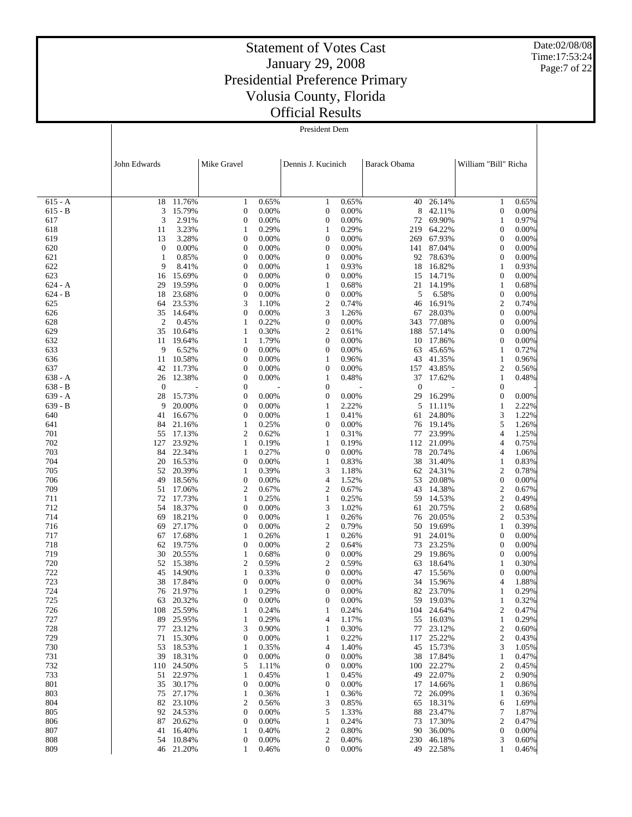Date:02/08/08 Time:17:53:24 Page:7 of 22

# Statement of Votes Cast January 29, 2008 Presidential Preference Primary Volusia County, Florida Official Results

President Dem

|                  | John Edwards          |                  | Mike Gravel                          |                | Dennis J. Kucinich    |                | Barack Obama |                     | William "Bill" Richa                 |                |
|------------------|-----------------------|------------------|--------------------------------------|----------------|-----------------------|----------------|--------------|---------------------|--------------------------------------|----------------|
|                  |                       |                  |                                      |                |                       |                |              |                     |                                      |                |
| $615 - A$        | 18                    | 11.76%           | 1                                    | 0.65%          | 1                     | 0.65%          | 40           | 26.14%              | 1                                    | 0.65%          |
| $615 - B$        | 3                     | 15.79%           | $\boldsymbol{0}$                     | 0.00%          | $\boldsymbol{0}$      | 0.00%          | 8            | 42.11%              | $\boldsymbol{0}$                     | 0.00%          |
| 617              | 3                     | 2.91%            | $\boldsymbol{0}$                     | 0.00%          | 0                     | 0.00%          |              | 72 69.90%           | 1                                    | 0.97%          |
| 618              | 11                    | 3.23%            | $\mathbf{1}$                         | 0.29%          | $\mathbf{1}$          | 0.29%          | 219          | 64.22%              | $\mathbf{0}$                         | 0.00%          |
| 619              | 13                    | 3.28%            | $\boldsymbol{0}$                     | 0.00%          | 0                     | 0.00%          | 269          | 67.93%              | $\boldsymbol{0}$                     | 0.00%          |
| 620<br>621       | $\boldsymbol{0}$<br>1 | 0.00%<br>0.85%   | $\boldsymbol{0}$<br>$\boldsymbol{0}$ | 0.00%<br>0.00% | 0<br>0                | 0.00%<br>0.00% | 141<br>92    | 87.04%<br>78.63%    | $\mathbf{0}$<br>$\boldsymbol{0}$     | 0.00%<br>0.00% |
| 622              | 9                     | 8.41%            | $\boldsymbol{0}$                     | 0.00%          | $\mathbf{1}$          | 0.93%          | 18           | 16.82%              | $\mathbf{1}$                         | 0.93%          |
| 623              | 16                    | 15.69%           | $\boldsymbol{0}$                     | 0.00%          | 0                     | 0.00%          | 15           | 14.71%              | $\mathbf{0}$                         | 0.00%          |
| $624 - A$        | 29                    | 19.59%           | $\boldsymbol{0}$                     | 0.00%          | $\mathbf{1}$          | 0.68%          |              | 21 14.19%           | $\mathbf{1}$                         | 0.68%          |
| $624 - B$        | 18                    | 23.68%           | $\boldsymbol{0}$                     | 0.00%          | $\boldsymbol{0}$      | 0.00%          | 5            | 6.58%               | $\mathbf{0}$                         | 0.00%          |
| 625<br>626       | 64<br>35              | 23.53%           | 3<br>$\boldsymbol{0}$                | 1.10%<br>0.00% | 2<br>3                | 0.74%<br>1.26% | 46           | 16.91%              | $\mathfrak{2}$<br>$\boldsymbol{0}$   | 0.74%<br>0.00% |
| 628              | $\overline{c}$        | 14.64%<br>0.45%  | $\mathbf{1}$                         | 0.22%          | $\boldsymbol{0}$      | 0.00%          | 67<br>343    | 28.03%<br>77.08%    | $\mathbf{0}$                         | 0.00%          |
| 629              | 35                    | 10.64%           | 1                                    | 0.30%          | 2                     | 0.61%          | 188          | 57.14%              | $\boldsymbol{0}$                     | 0.00%          |
| 632              | 11                    | 19.64%           | $\mathbf{1}$                         | 1.79%          | $\boldsymbol{0}$      | 0.00%          | 10           | 17.86%              | $\mathbf{0}$                         | 0.00%          |
| 633              | 9                     | 6.52%            | $\boldsymbol{0}$                     | 0.00%          | 0                     | 0.00%          | 63           | 45.65%              | 1                                    | 0.72%          |
| 636              | 11                    | 10.58%           | $\boldsymbol{0}$                     | 0.00%          | $\mathbf{1}$          | 0.96%          | 43           | 41.35%              | 1                                    | 0.96%          |
| 637<br>$638 - A$ | 42<br>26              | 11.73%<br>12.38% | $\mathbf{0}$<br>$\boldsymbol{0}$     | 0.00%<br>0.00% | $\boldsymbol{0}$<br>1 | 0.00%<br>0.48% | 157<br>37    | 43.85%<br>17.62%    | 2<br>$\mathbf{1}$                    | 0.56%<br>0.48% |
| $638 - B$        | $\mathbf{0}$          |                  | $\boldsymbol{0}$                     |                | $\boldsymbol{0}$      |                | $\mathbf{0}$ |                     | $\boldsymbol{0}$                     |                |
| $639 - A$        | 28                    | 15.73%           | $\boldsymbol{0}$                     | 0.00%          | 0                     | 0.00%          | 29           | 16.29%              | $\mathbf{0}$                         | 0.00%          |
| $639 - B$        | 9                     | 20.00%           | $\boldsymbol{0}$                     | 0.00%          | 1                     | 2.22%          | 5            | 11.11%              | 1                                    | 2.22%          |
| 640              | 41                    | 16.67%           | $\boldsymbol{0}$                     | 0.00%          | 1                     | 0.41%          | 61           | 24.80%              | 3                                    | 1.22%          |
| 641<br>701       | 84<br>55              | 21.16%<br>17.13% | 1<br>2                               | 0.25%<br>0.62% | 0<br>$\mathbf{1}$     | 0.00%<br>0.31% | 77           | 76 19.14%<br>23.99% | 5<br>$\overline{4}$                  | 1.26%<br>1.25% |
| 702              | 127                   | 23.92%           | 1                                    | 0.19%          | 1                     | 0.19%          | 112          | 21.09%              | $\overline{4}$                       | 0.75%          |
| 703              | 84                    | 22.34%           | $\mathbf{1}$                         | 0.27%          | $\boldsymbol{0}$      | 0.00%          | 78           | 20.74%              | 4                                    | 1.06%          |
| 704              | 20                    | 16.53%           | $\boldsymbol{0}$                     | 0.00%          | $\mathbf{1}$          | 0.83%          | 38           | 31.40%              | 1                                    | 0.83%          |
| 705              | 52                    | 20.39%           | $\mathbf{1}$                         | 0.39%          | 3                     | 1.18%          | 62           | 24.31%              | $\overline{2}$                       | 0.78%          |
| 706              | 49                    | 18.56%           | $\boldsymbol{0}$                     | 0.00%          | 4                     | 1.52%          | 53           | 20.08%              | $\mathbf{0}$                         | 0.00%          |
| 709<br>711       | 51<br>72              | 17.06%<br>17.73% | 2<br>1                               | 0.67%<br>0.25% | 2<br>$\mathbf{1}$     | 0.67%<br>0.25% | 43<br>59     | 14.38%<br>14.53%    | $\mathfrak{2}$<br>$\overline{c}$     | 0.67%<br>0.49% |
| 712              | 54                    | 18.37%           | $\boldsymbol{0}$                     | 0.00%          | 3                     | 1.02%          | 61           | 20.75%              | $\overline{c}$                       | 0.68%          |
| 714              | 69                    | 18.21%           | $\boldsymbol{0}$                     | 0.00%          | $\mathbf{1}$          | 0.26%          | 76           | 20.05%              | $\mathfrak{2}$                       | 0.53%          |
| 716              | 69                    | 27.17%           | $\boldsymbol{0}$                     | 0.00%          | 2                     | 0.79%          | 50           | 19.69%              | $\mathbf{1}$                         | 0.39%          |
| 717              | 67                    | 17.68%           | 1                                    | 0.26%          | $\mathbf{1}$          | 0.26%          | 91           | 24.01%              | $\boldsymbol{0}$                     | 0.00%          |
| 718<br>719       | 62<br>30              | 19.75%<br>20.55% | $\boldsymbol{0}$<br>1                | 0.00%<br>0.68% | 2<br>$\boldsymbol{0}$ | 0.64%<br>0.00% | 73<br>29     | 23.25%<br>19.86%    | $\boldsymbol{0}$<br>$\boldsymbol{0}$ | 0.00%<br>0.00% |
| 720              | 52                    | 15.38%           | 2                                    | 0.59%          | 2                     | 0.59%          | 63           | 18.64%              | $\mathbf{1}$                         | 0.30%          |
| 722              | 45                    | 14.90%           | 1                                    | 0.33%          | 0                     | 0.00%          | 47           | 15.56%              | $\boldsymbol{0}$                     | 0.00%          |
| 723              | 38                    | 17.84%           | $\boldsymbol{0}$                     | 0.00%          | 0                     | 0.00%          | 34           | 15.96%              | 4                                    | 1.88%          |
| 724              | 76                    | 21.97%           | 1                                    | 0.29%          | 0                     | 0.00%          | 82           | 23.70%              | 1                                    | 0.29%          |
| 725<br>726       | 63                    | 20.32%<br>25.59% | $\boldsymbol{0}$<br>1                | 0.00%<br>0.24% | 0<br>1                | 0.00%<br>0.24% | 59<br>104    | 19.03%<br>24.64%    | 1<br>2                               | 0.32%<br>0.47% |
| 727              | 108<br>89             | 25.95%           | $\mathbf{1}$                         | 0.29%          | 4                     | 1.17%          | 55           | 16.03%              | $\mathbf{1}$                         | 0.29%          |
| 728              | 77                    | 23.12%           | 3                                    | 0.90%          | 1                     | 0.30%          | 77           | 23.12%              | $\mathbf{2}$                         | 0.60%          |
| 729              | 71                    | 15.30%           | $\boldsymbol{0}$                     | 0.00%          | $\mathbf{1}$          | 0.22%          | 117          | 25.22%              | $\overline{\mathbf{c}}$              | 0.43%          |
| 730              | 53                    | 18.53%           | 1                                    | 0.35%          | 4                     | 1.40%          | 45           | 15.73%              | 3                                    | 1.05%          |
| 731              | 39                    | 18.31%           | $\boldsymbol{0}$                     | 0.00%          | 0                     | 0.00%          | 38           | 17.84%              | $\mathbf{1}$                         | 0.47%          |
| 732<br>733       | 110<br>51             | 24.50%<br>22.97% | 5<br>$\mathbf{1}$                    | 1.11%<br>0.45% | 0<br>1                | 0.00%<br>0.45% | 100<br>49    | 22.27%<br>22.07%    | 2<br>$\overline{c}$                  | 0.45%<br>0.90% |
| 801              | 35                    | 30.17%           | $\boldsymbol{0}$                     | 0.00%          | 0                     | 0.00%          | 17           | 14.66%              | 1                                    | 0.86%          |
| 803              | 75                    | 27.17%           | $\mathbf{1}$                         | 0.36%          | 1                     | 0.36%          | 72           | 26.09%              | 1                                    | 0.36%          |
| 804              | 82                    | 23.10%           | 2                                    | 0.56%          | 3                     | 0.85%          | 65           | 18.31%              | 6                                    | 1.69%          |
| 805              | 92                    | 24.53%           | $\boldsymbol{0}$                     | 0.00%          | 5                     | 1.33%          | 88           | 23.47%              | 7                                    | 1.87%          |
| 806<br>807       | 87<br>41              | 20.62%<br>16.40% | $\mathbf{0}$<br>1                    | 0.00%<br>0.40% | 1<br>2                | 0.24%<br>0.80% | 73<br>90     | 17.30%<br>36.00%    | 2<br>$\boldsymbol{0}$                | 0.47%<br>0.00% |
| 808              | 54                    | 10.84%           | $\boldsymbol{0}$                     | 0.00%          | 2                     | 0.40%          | 230          | 46.18%              | 3                                    | 0.60%          |
| 809              |                       | 46 21.20%        | 1                                    | 0.46%          | 0                     | 0.00%          | 49           | 22.58%              | 1                                    | 0.46%          |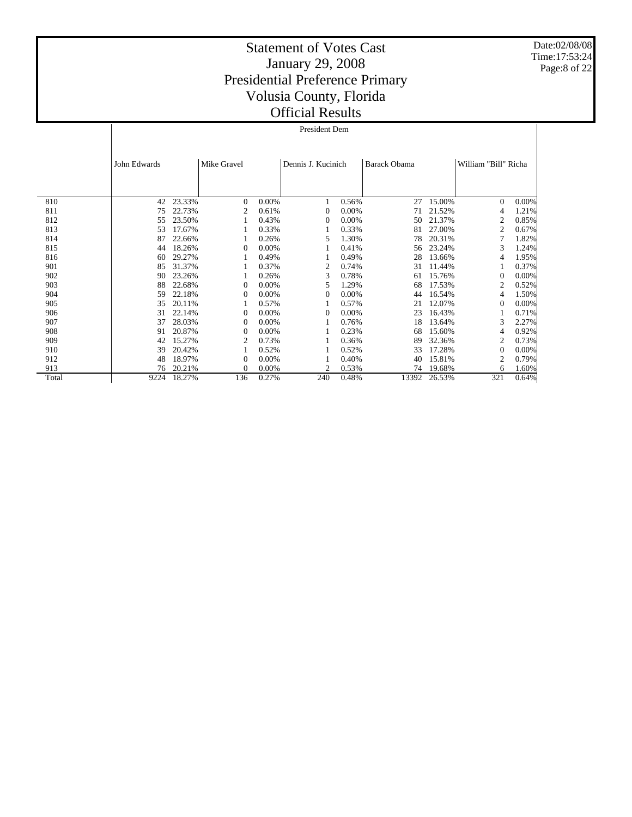Date:02/08/08 Time:17:53:24 Page:8 of 22

|       |              | President Dem |                |       |                    |       |                     |        |                      |       |  |  |
|-------|--------------|---------------|----------------|-------|--------------------|-------|---------------------|--------|----------------------|-------|--|--|
|       |              |               |                |       |                    |       |                     |        |                      |       |  |  |
|       | John Edwards |               | Mike Gravel    |       | Dennis J. Kucinich |       | <b>Barack Obama</b> |        | William "Bill" Richa |       |  |  |
|       |              |               |                |       |                    |       |                     |        |                      |       |  |  |
| 810   | 42           | 23.33%        | $\Omega$       | 0.00% |                    | 0.56% | 27                  | 15.00% | $\Omega$             | 0.00% |  |  |
| 811   | 75           | 22.73%        | 2              | 0.61% | $\theta$           | 0.00% | 71                  | 21.52% | 4                    | 1.21% |  |  |
| 812   | 55           | 23.50%        |                | 0.43% | $\Omega$           | 0.00% | 50                  | 21.37% | $\overline{2}$       | 0.85% |  |  |
| 813   | 53           | 17.67%        |                | 0.33% |                    | 0.33% | 81                  | 27.00% | 2                    | 0.67% |  |  |
| 814   | 87           | 22.66%        |                | 0.26% | 5                  | 1.30% | 78                  | 20.31% |                      | 1.82% |  |  |
| 815   | 44           | 18.26%        | $\theta$       | 0.00% |                    | 0.41% | 56                  | 23.24% | 3                    | 1.24% |  |  |
| 816   | 60           | 29.27%        |                | 0.49% |                    | 0.49% | 28                  | 13.66% | 4                    | 1.95% |  |  |
| 901   | 85           | 31.37%        |                | 0.37% | 2                  | 0.74% | 31                  | 11.44% |                      | 0.37% |  |  |
| 902   | 90           | 23.26%        |                | 0.26% | 3                  | 0.78% | 61                  | 15.76% | $\theta$             | 0.00% |  |  |
| 903   | 88           | 22.68%        | $\overline{0}$ | 0.00% | 5                  | 1.29% | 68                  | 17.53% | $\overline{2}$       | 0.52% |  |  |
| 904   | 59           | 22.18%        | $\theta$       | 0.00% | 0                  | 0.00% | 44                  | 16.54% | 4                    | 1.50% |  |  |
| 905   | 35           | 20.11%        |                | 0.57% |                    | 0.57% | 21                  | 12.07% | $\Omega$             | 0.00% |  |  |
| 906   | 31           | 22.14%        | $\overline{0}$ | 0.00% | 0                  | 0.00% | 23                  | 16.43% |                      | 0.71% |  |  |
| 907   | 37           | 28.03%        | $\theta$       | 0.00% |                    | 0.76% | 18                  | 13.64% | 3                    | 2.27% |  |  |
| 908   | 91           | 20.87%        | 0              | 0.00% |                    | 0.23% | 68                  | 15.60% | 4                    | 0.92% |  |  |
| 909   | 42           | 15.27%        | $\overline{2}$ | 0.73% |                    | 0.36% | 89                  | 32.36% | $\overline{2}$       | 0.73% |  |  |
| 910   | 39           | 20.42%        |                | 0.52% |                    | 0.52% | 33                  | 17.28% | $\Omega$             | 0.00% |  |  |
| 912   | 48           | 18.97%        | $\overline{0}$ | 0.00% |                    | 0.40% | 40                  | 15.81% | $\overline{2}$       | 0.79% |  |  |
| 913   | 76           | 20.21%        | $\Omega$       | 0.00% | 2                  | 0.53% | 74                  | 19.68% | 6                    | 1.60% |  |  |
| Total | 9224         | 18.27%        | 136            | 0.27% | 240                | 0.48% | 13392               | 26.53% | 321                  | 0.64% |  |  |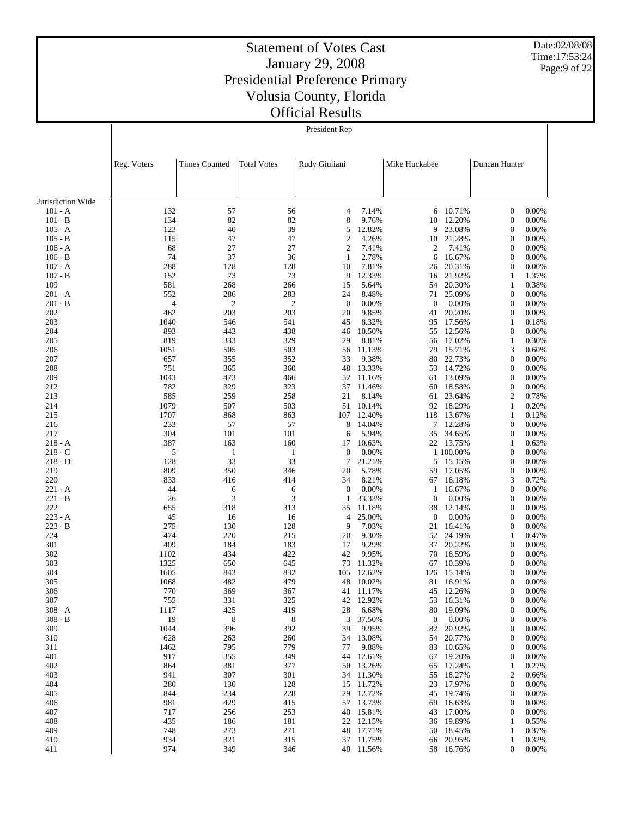Date:02/08/08 Time:17:53:24 Page:9 of 22

| President Rep |  |
|---------------|--|

|                        | Reg. Voters | <b>Times Counted</b> | <b>Total Votes</b> | Rudy Giuliani                    |                  | Mike Huckabee    |                  | Duncan Hunter                        |                |
|------------------------|-------------|----------------------|--------------------|----------------------------------|------------------|------------------|------------------|--------------------------------------|----------------|
|                        |             |                      |                    |                                  |                  |                  |                  |                                      |                |
|                        |             |                      |                    |                                  |                  |                  |                  |                                      |                |
| Jurisdiction Wide      |             |                      |                    |                                  |                  |                  |                  |                                      |                |
| $101 - A$              | 132         | 57                   | 56                 | 4                                | 7.14%            | 6                | 10.71%           | $\boldsymbol{0}$                     | 0.00%          |
| $101 - B$              | 134         | 82                   | 82                 | 8                                | 9.76%            | 10               | 12.20%           | $\boldsymbol{0}$                     | 0.00%          |
| $105 - A$              | 123         | 40                   | 39<br>47           | 5                                | 12.82%<br>4.26%  | 9                | 23.08%           | $\boldsymbol{0}$                     | 0.00%          |
| $105 - B$<br>$106 - A$ | 115<br>68   | 47<br>27             | 27                 | $\mathfrak{2}$<br>$\mathfrak{2}$ | 7.41%            | 10<br>2          | 21.28%<br>7.41%  | $\boldsymbol{0}$<br>$\boldsymbol{0}$ | 0.00%<br>0.00% |
| $106 - B$              | 74          | 37                   | 36                 | $\mathbf{1}$                     | 2.78%            | 6                | 16.67%           | $\boldsymbol{0}$                     | 0.00%          |
| $107 - A$              | 288         | 128                  | 128                | 10                               | 7.81%            | 26               | 20.31%           | $\boldsymbol{0}$                     | 0.00%          |
| $107 - B$              | 152         | 73                   | 73                 | 9                                | 12.33%           | 16               | 21.92%           | 1                                    | 1.37%          |
| 109                    | 581         | 268                  | 266                | 15                               | 5.64%            | 54               | 20.30%           | $\mathbf{1}$                         | 0.38%          |
| 201 - A                | 552         | 286                  | 283                | 24                               | 8.48%            | 71               | 25.09%           | $\boldsymbol{0}$                     | 0.00%          |
| $201 - B$              | 4           | $\mathbf{2}$         | $\overline{c}$     | $\mathbf{0}$                     | 0.00%            | $\theta$         | 0.00%            | $\boldsymbol{0}$                     | 0.00%          |
| 202                    | 462         | 203                  | 203                | 20                               | 9.85%            | 41               | 20.20%           | $\mathbf{0}$                         | 0.00%          |
| 203                    | 1040        | 546                  | 541                | 45                               | 8.32%            | 95               | 17.56%           | $\mathbf{1}$                         | 0.18%          |
| 204                    | 893         | 443                  | 438                | 46                               | 10.50%           | 55               | 12.56%           | $\boldsymbol{0}$                     | 0.00%          |
| 205<br>206             | 819<br>1051 | 333<br>505           | 329<br>503         | 29<br>56                         | 8.81%<br>11.13%  | 56<br>79         | 17.02%<br>15.71% | $\mathbf{1}$<br>3                    | 0.30%<br>0.60% |
| 207                    | 657         | 355                  | 352                | 33                               | 9.38%            | 80               | 22.73%           | $\boldsymbol{0}$                     | 0.00%          |
| 208                    | 751         | 365                  | 360                | 48                               | 13.33%           | 53               | 14.72%           | $\boldsymbol{0}$                     | 0.00%          |
| 209                    | 1043        | 473                  | 466                | 52                               | 11.16%           | 61               | 13.09%           | $\boldsymbol{0}$                     | 0.00%          |
| 212                    | 782         | 329                  | 323                | 37                               | 11.46%           | 60               | 18.58%           | $\boldsymbol{0}$                     | 0.00%          |
| 213                    | 585         | 259                  | 258                | 21                               | 8.14%            | 61               | 23.64%           | $\overline{c}$                       | 0.78%          |
| 214                    | 1079        | 507                  | 503                | 51                               | 10.14%           | 92               | 18.29%           | $\mathbf{1}$                         | 0.20%          |
| 215                    | 1707        | 868                  | 863                | 107                              | 12.40%           | 118              | 13.67%           | $\mathbf{1}$                         | 0.12%          |
| 216                    | 233         | 57                   | 57                 | 8                                | 14.04%           | 7                | 12.28%           | $\boldsymbol{0}$                     | 0.00%          |
| 217                    | 304         | 101                  | 101                | 6                                | 5.94%            | 35               | 34.65%           | $\boldsymbol{0}$                     | 0.00%          |
| $218 - A$              | 387         | 163                  | 160                | 17                               | 10.63%           |                  | 22 13.75%        | 1                                    | 0.63%          |
| $218 - C$              | 5           | $\mathbf{1}$         | 1                  | $\boldsymbol{0}$                 | 0.00%            |                  | 1 100.00%        | $\boldsymbol{0}$                     | 0.00%          |
| $218 - D$              | 128         | 33                   | 33                 | 7                                | 21.21%           | 5                | 15.15%           | $\boldsymbol{0}$                     | 0.00%          |
| 219                    | 809         | 350                  | 346                | 20                               | 5.78%<br>8.21%   | 59               | 17.05%           | $\boldsymbol{0}$                     | 0.00%          |
| 220<br>$221 - A$       | 833<br>44   | 416<br>6             | 414<br>6           | 34<br>$\mathbf{0}$               | 0.00%            | 67<br>1          | 16.18%<br>16.67% | 3<br>$\boldsymbol{0}$                | 0.72%<br>0.00% |
| $221 - B$              | 26          | 3                    | 3                  | 1                                | 33.33%           | $\theta$         | 0.00%            | $\boldsymbol{0}$                     | 0.00%          |
| 222                    | 655         | 318                  | 313                | 35                               | 11.18%           | 38               | 12.14%           | $\boldsymbol{0}$                     | 0.00%          |
| $223 - A$              | 45          | 16                   | 16                 | 4                                | 25.00%           | $\mathbf{0}$     | 0.00%            | 0                                    | 0.00%          |
| $223 - B$              | 275         | 130                  | 128                | 9                                | 7.03%            | 21               | 16.41%           | $\boldsymbol{0}$                     | 0.00%          |
| 224                    | 474         | 220                  | 215                | 20                               | 9.30%            | 52               | 24.19%           | 1                                    | 0.47%          |
| 301                    | 409         | 184                  | 183                | 17                               | 9.29%            | 37               | 20.22%           | $\boldsymbol{0}$                     | 0.00%          |
| 302                    | 1102        | 434                  | 422                | 42                               | 9.95%            | 70               | 16.59%           | 0                                    | 0.00%          |
| 303                    | 1325        | 650                  | 645                | 73                               | 11.32%           | 67               | 10.39%           | $\boldsymbol{0}$                     | 0.00%          |
| 304                    | 1605        | 843                  | 832                | 105                              | 12.62%           | 126              | 15.14%           | 0                                    | 0.00%          |
| 305                    | 1068        | 482                  | 479                | 48                               | 10.02%           | 81               | 16.91%           | $\boldsymbol{0}$                     | 0.00%          |
| 306                    | 770         | 369                  | 367                | 41                               | 11.17%           | 45               | 12.26%           | $\mathbf{0}$                         | 0.00%          |
| 307<br>$308 - A$       | 755<br>1117 | 331<br>425           | 325<br>419         | 42<br>28                         | 12.92%<br>6.68%  | 53<br>80         | 16.31%<br>19.09% | $\mathbf{0}$<br>$\boldsymbol{0}$     | 0.00%<br>0.00% |
| $308 - B$              | 19          | 8                    | 8                  | 3                                | 37.50%           | $\boldsymbol{0}$ | 0.00%            | $\boldsymbol{0}$                     | 0.00%          |
| 309                    | 1044        | 396                  | 392                | 39                               | 9.95%            | 82               | 20.92%           | 0                                    | 0.00%          |
| 310                    | 628         | 263                  | 260                | 34                               | 13.08%           | 54               | 20.77%           | $\boldsymbol{0}$                     | 0.00%          |
| 311                    | 1462        | 795                  | 779                | 77                               | 9.88%            | 83               | 10.65%           | $\boldsymbol{0}$                     | 0.00%          |
| 401                    | 917         | 355                  | 349                | 44                               | 12.61%           | 67               | 19.20%           | $\boldsymbol{0}$                     | 0.00%          |
| 402                    | 864         | 381                  | 377                | 50                               | 13.26%           | 65               | 17.24%           | 1                                    | 0.27%          |
| 403                    | 941         | 307                  | 301                | 34                               | 11.30%           | 55               | 18.27%           | $\overline{c}$                       | 0.66%          |
| 404                    | 280         | 130                  | 128                | 15                               | 11.72%           | 23               | 17.97%           | $\boldsymbol{0}$                     | 0.00%          |
| 405                    | 844         | 234                  | 228                | 29                               | 12.72%           | 45               | 19.74%           | $\boldsymbol{0}$                     | 0.00%          |
| 406                    | 981         | 429                  | 415                | 57                               | 13.73%           | 69               | 16.63%           | $\boldsymbol{0}$                     | 0.00%          |
| 407                    | 717         | 256                  | 253                | 40                               | 15.81%           | 43               | 17.00%           | $\boldsymbol{0}$                     | 0.00%          |
| 408                    | 435         | 186                  | 181                | 22                               | 12.15%           | 36               | 19.89%           | 1                                    | 0.55%          |
| 409<br>410             | 748<br>934  | 273<br>321           | 271<br>315         | 48<br>37                         | 17.71%<br>11.75% | 50               | 18.45%<br>20.95% | $\mathbf{1}$<br>1                    | 0.37%<br>0.32% |
| 411                    | 974         | 349                  | 346                |                                  | 40 11.56%        | 66               | 58 16.76%        | $\boldsymbol{0}$                     | 0.00%          |
|                        |             |                      |                    |                                  |                  |                  |                  |                                      |                |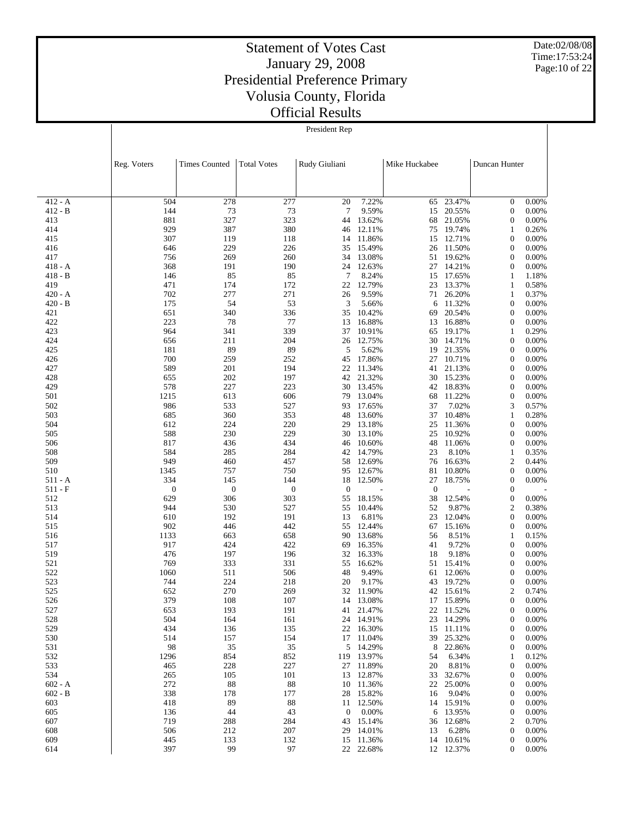Date:02/08/08 Time:17:53:24 Page:10 of 22

| President Rep |  |
|---------------|--|
|---------------|--|

|                        | Reg. Voters      | <b>Times Counted</b> | <b>Total Votes</b> | Rudy Giuliani        |                  | Mike Huckabee |                  | Duncan Hunter                        |                |
|------------------------|------------------|----------------------|--------------------|----------------------|------------------|---------------|------------------|--------------------------------------|----------------|
|                        |                  |                      |                    |                      |                  |               |                  |                                      |                |
|                        |                  |                      |                    |                      |                  |               |                  |                                      |                |
| $412 - A$<br>$412 - B$ | 504              | 278                  | 277                | 20                   | 7.22%            | 65            | 23.47%<br>20.55% | $\mathbf{0}$                         | 0.00%          |
| 413                    | 144<br>881       | 73<br>327            | 73<br>323          | $\overline{7}$<br>44 | 9.59%<br>13.62%  | 15<br>68      | 21.05%           | $\boldsymbol{0}$<br>$\boldsymbol{0}$ | 0.00%<br>0.00% |
| 414                    | 929              | 387                  | 380                | 46                   | 12.11%           | 75            | 19.74%           | 1                                    | 0.26%          |
| 415                    | 307              | 119                  | 118                | 14                   | 11.86%           | 15            | 12.71%           | $\boldsymbol{0}$                     | 0.00%          |
| 416                    | 646              | 229                  | 226                | 35                   | 15.49%           | 26            | 11.50%           | $\boldsymbol{0}$                     | 0.00%          |
| 417                    | 756              | 269                  | 260                | 34                   | 13.08%           | 51            | 19.62%           | $\boldsymbol{0}$                     | 0.00%          |
| $418 - A$              | 368              | 191                  | 190                | 24                   | 12.63%           | 27            | 14.21%           | $\boldsymbol{0}$                     | 0.00%          |
| $418 - B$<br>419       | 146<br>471       | 85<br>174            | 85                 | 7                    | 8.24%<br>12.79%  | 15            | 17.65%           | 1                                    | 1.18%          |
| $420 - A$              | 702              | 277                  | 172<br>271         | 22<br>26             | 9.59%            | 23<br>71      | 13.37%<br>26.20% | $\mathbf{1}$<br>1                    | 0.58%<br>0.37% |
| $420 - B$              | 175              | 54                   | 53                 | 3                    | 5.66%            | 6             | 11.32%           | $\boldsymbol{0}$                     | 0.00%          |
| 421                    | 651              | 340                  | 336                | 35                   | 10.42%           | 69            | 20.54%           | $\boldsymbol{0}$                     | 0.00%          |
| 422                    | 223              | 78                   | 77                 | 13                   | 16.88%           | 13            | 16.88%           | $\boldsymbol{0}$                     | 0.00%          |
| 423                    | 964              | 341                  | 339                | 37                   | 10.91%           | 65            | 19.17%           | 1                                    | 0.29%          |
| 424                    | 656              | 211                  | 204                | 26                   | 12.75%           | 30            | 14.71%           | $\boldsymbol{0}$                     | 0.00%          |
| 425                    | 181              | 89                   | 89                 | 5                    | 5.62%            | 19            | 21.35%           | $\boldsymbol{0}$                     | 0.00%          |
| 426<br>427             | 700<br>589       | 259<br>201           | 252<br>194         | 45<br>22             | 17.86%<br>11.34% | 27<br>41      | 10.71%<br>21.13% | $\boldsymbol{0}$<br>$\boldsymbol{0}$ | 0.00%<br>0.00% |
| 428                    | 655              | 202                  | 197                | 42                   | 21.32%           | 30            | 15.23%           | $\boldsymbol{0}$                     | 0.00%          |
| 429                    | 578              | 227                  | 223                | 30                   | 13.45%           | 42            | 18.83%           | $\boldsymbol{0}$                     | 0.00%          |
| 501                    | 1215             | 613                  | 606                | 79                   | 13.04%           | 68            | 11.22%           | $\boldsymbol{0}$                     | 0.00%          |
| 502                    | 986              | 533                  | 527                | 93                   | 17.65%           | 37            | 7.02%            | 3                                    | 0.57%          |
| 503                    | 685              | 360                  | 353                | 48                   | 13.60%           | 37            | 10.48%           | 1                                    | 0.28%          |
| 504                    | 612              | 224                  | 220                | 29                   | 13.18%           | 25            | 11.36%           | $\boldsymbol{0}$                     | 0.00%          |
| 505                    | 588<br>817       | 230                  | 229                | 30                   | 13.10%           | 25            | 10.92%           | $\boldsymbol{0}$                     | 0.00%          |
| 506<br>508             | 584              | 436<br>285           | 434<br>284         | 46<br>42             | 10.60%<br>14.79% | 48<br>23      | 11.06%<br>8.10%  | $\boldsymbol{0}$<br>$\mathbf{1}$     | 0.00%<br>0.35% |
| 509                    | 949              | 460                  | 457                | 58                   | 12.69%           | 76            | 16.63%           | 2                                    | 0.44%          |
| 510                    | 1345             | 757                  | 750                | 95                   | 12.67%           | 81            | 10.80%           | $\boldsymbol{0}$                     | 0.00%          |
| 511 - A                | 334              | 145                  | 144                | 18                   | 12.50%           | 27            | 18.75%           | $\mathbf{0}$                         | 0.00%          |
| $511 - F$              | $\boldsymbol{0}$ | $\boldsymbol{0}$     | $\boldsymbol{0}$   | $\boldsymbol{0}$     |                  | $\theta$      |                  | $\boldsymbol{0}$                     |                |
| 512                    | 629              | 306                  | 303                | 55                   | 18.15%           | 38            | 12.54%           | $\boldsymbol{0}$                     | 0.00%          |
| 513                    | 944<br>610       | 530                  | 527                | 55                   | 10.44%<br>6.81%  | 52            | 9.87%<br>12.04%  | $\mathfrak{2}$                       | 0.38%          |
| 514<br>515             | 902              | 192<br>446           | 191<br>442         | 13<br>55             | 12.44%           | 23<br>67      | 15.16%           | $\boldsymbol{0}$<br>$\boldsymbol{0}$ | 0.00%<br>0.00% |
| 516                    | 1133             | 663                  | 658                | 90                   | 13.68%           | 56            | 8.51%            | 1                                    | 0.15%          |
| 517                    | 917              | 424                  | 422                | 69                   | 16.35%           | 41            | 9.72%            | $\boldsymbol{0}$                     | 0.00%          |
| 519                    | 476              | 197                  | 196                | 32                   | 16.33%           | 18            | 9.18%            | $\boldsymbol{0}$                     | 0.00%          |
| 521                    | 769              | 333                  | 331                | 55                   | 16.62%           | 51            | 15.41%           | $\boldsymbol{0}$                     | 0.00%          |
| 522                    | 1060             | 511                  | 506                | 48                   | 9.49%            | 61            | 12.06%           | $\boldsymbol{0}$                     | 0.00%          |
| 523                    | 744              | 224                  | 218                | 20                   | 9.17%            | 43            | 19.72%           | $\boldsymbol{0}$                     | 0.00%          |
| 525<br>526             | 652<br>379       | 270<br>108           | 269<br>107         | 32<br>14             | 11.90%<br>13.08% | 42<br>17      | 15.61%<br>15.89% | $\mathfrak{2}$<br>0                  | 0.74%<br>0.00% |
| 527                    | 653              | 193                  | 191                |                      | 41 21.47%        |               | 22 11.52%        | $\boldsymbol{0}$                     | 0.00%          |
| 528                    | 504              | 164                  | 161                | 24                   | 14.91%           | 23            | 14.29%           | $\boldsymbol{0}$                     | 0.00%          |
| 529                    | 434              | 136                  | 135                | 22                   | 16.30%           | 15            | 11.11%           | 0                                    | 0.00%          |
| 530                    | 514              | 157                  | 154                | 17                   | 11.04%           | 39            | 25.32%           | $\boldsymbol{0}$                     | 0.00%          |
| 531                    | 98               | 35                   | 35                 | 5                    | 14.29%           | 8             | 22.86%           | 0                                    | 0.00%          |
| 532                    | 1296             | 854                  | 852                | 119                  | 13.97%           | 54            | 6.34%            | 1                                    | 0.12%          |
| 533                    | 465              | 228                  | 227                | 27                   | 11.89%           | 20            | 8.81%            | 0                                    | 0.00%          |
| 534<br>$602 - A$       | 265<br>272       | 105<br>88            | 101<br>88          | 13<br>10             | 12.87%<br>11.36% | 33<br>22      | 32.67%<br>25.00% | $\boldsymbol{0}$<br>0                | 0.00%<br>0.00% |
| $602 - B$              | 338              | 178                  | 177                | 28                   | 15.82%           | 16            | 9.04%            | $\boldsymbol{0}$                     | 0.00%          |
| 603                    | 418              | 89                   | 88                 | 11                   | 12.50%           |               | 14 15.91%        | 0                                    | 0.00%          |
| 605                    | 136              | 44                   | 43                 | $\boldsymbol{0}$     | 0.00%            | 6             | 13.95%           | $\boldsymbol{0}$                     | 0.00%          |
| 607                    | 719              | 288                  | 284                | 43                   | 15.14%           | 36            | 12.68%           | 2                                    | 0.70%          |
| 608                    | 506              | 212                  | 207                | 29                   | 14.01%           | 13            | 6.28%            | $\boldsymbol{0}$                     | 0.00%          |
| 609                    | 445              | 133                  | 132                | 15                   | 11.36%           |               | 14 10.61%        | 0                                    | 0.00%          |
| 614                    | 397              | 99                   | 97                 |                      | 22 22.68%        |               | 12 12.37%        | 0                                    | 0.00%          |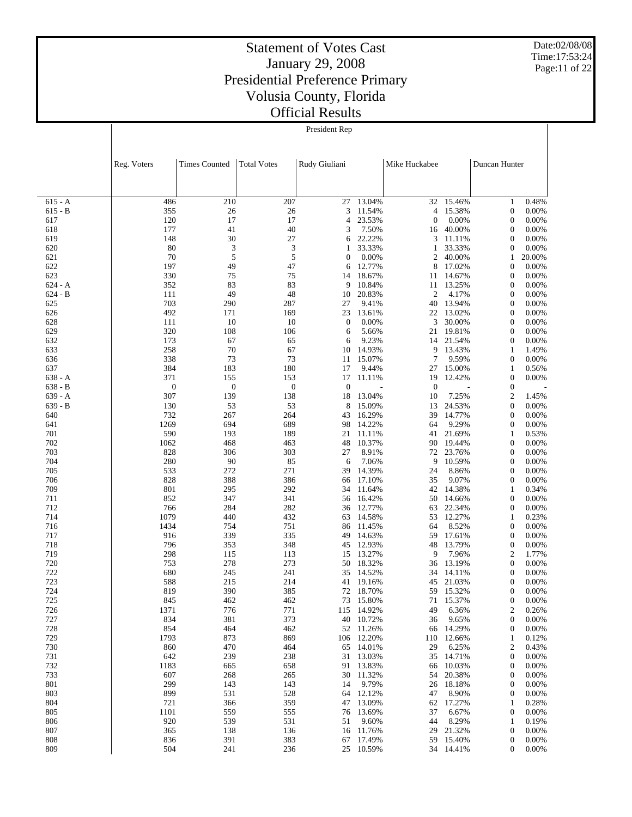Date:02/08/08 Time:17:53:24 Page:11 of 22

| President Rep |
|---------------|
|---------------|

|                        | Reg. Voters      | <b>Times Counted</b> | <b>Total Votes</b> | Rudy Giuliani    |                  | Mike Huckabee     |                 | Duncan Hunter                        |                |
|------------------------|------------------|----------------------|--------------------|------------------|------------------|-------------------|-----------------|--------------------------------------|----------------|
|                        |                  |                      |                    |                  |                  |                   |                 |                                      |                |
|                        |                  |                      |                    |                  |                  |                   |                 |                                      |                |
| $615 - A$              | 486              | 210                  | 207                | 27               | 13.04%           | 32                | 15.46%          | 1                                    | 0.48%          |
| $615 - B$              | 355              | 26                   | 26                 | 3<br>4           | 11.54%<br>23.53% | 4<br>$\mathbf{0}$ | 15.38%          | $\boldsymbol{0}$                     | 0.00%          |
| 617<br>618             | 120<br>177       | 17<br>41             | 17<br>40           | 3                | 7.50%            | 16                | 0.00%<br>40.00% | $\boldsymbol{0}$<br>$\boldsymbol{0}$ | 0.00%<br>0.00% |
| 619                    | 148              | 30                   | 27                 | 6                | 22.22%           | 3                 | 11.11%          | $\boldsymbol{0}$                     | 0.00%          |
| 620                    | 80               | 3                    | 3                  | 1                | 33.33%           | 1                 | 33.33%          | $\boldsymbol{0}$                     | 0.00%          |
| 621                    | 70               | 5                    | 5                  | $\mathbf{0}$     | 0.00%            | 2                 | 40.00%          | 1                                    | 20.00%         |
| 622                    | 197              | 49                   | 47                 | 6                | 12.77%           | 8                 | 17.02%          | $\boldsymbol{0}$                     | 0.00%          |
| 623                    | 330              | 75                   | 75<br>83           | 14               | 18.67%           | 11                | 14.67%          | $\boldsymbol{0}$                     | 0.00%          |
| $624 - A$<br>$624 - B$ | 352<br>111       | 83<br>49             | 48                 | 9<br>10          | 10.84%<br>20.83% | 11<br>2           | 13.25%<br>4.17% | $\boldsymbol{0}$<br>$\boldsymbol{0}$ | 0.00%<br>0.00% |
| 625                    | 703              | 290                  | 287                | 27               | 9.41%            | 40                | 13.94%          | $\boldsymbol{0}$                     | 0.00%          |
| 626                    | 492              | 171                  | 169                | 23               | 13.61%           | 22                | 13.02%          | $\boldsymbol{0}$                     | 0.00%          |
| 628                    | 111              | 10                   | 10                 | $\boldsymbol{0}$ | 0.00%            | 3                 | 30.00%          | $\boldsymbol{0}$                     | 0.00%          |
| 629                    | 320              | 108                  | 106                | 6                | 5.66%            | 21                | 19.81%          | $\boldsymbol{0}$                     | 0.00%          |
| 632                    | 173              | 67                   | 65                 | 6                | 9.23%            | 14                | 21.54%          | $\boldsymbol{0}$                     | 0.00%          |
| 633<br>636             | 258<br>338       | 70<br>73             | 67<br>73           | 10<br>11         | 14.93%<br>15.07% | 9<br>7            | 13.43%<br>9.59% | 1<br>$\boldsymbol{0}$                | 1.49%<br>0.00% |
| 637                    | 384              | 183                  | 180                | 17               | 9.44%            | 27                | 15.00%          | 1                                    | 0.56%          |
| $638 - A$              | 371              | 155                  | 153                | 17               | 11.11%           | 19                | 12.42%          | $\boldsymbol{0}$                     | 0.00%          |
| $638 - B$              | $\boldsymbol{0}$ | $\boldsymbol{0}$     | $\boldsymbol{0}$   | $\boldsymbol{0}$ |                  | $\mathbf{0}$      |                 | $\boldsymbol{0}$                     |                |
| $639 - A$              | 307              | 139                  | 138                | 18               | 13.04%           | 10                | 7.25%           | $\mathfrak{2}$                       | 1.45%          |
| $639 - B$              | 130              | 53                   | 53                 | 8                | 15.09%           | 13                | 24.53%          | $\boldsymbol{0}$                     | 0.00%          |
| 640<br>641             | 732<br>1269      | 267<br>694           | 264<br>689         | 43<br>98         | 16.29%<br>14.22% | 39<br>64          | 14.77%<br>9.29% | $\boldsymbol{0}$<br>$\boldsymbol{0}$ | 0.00%<br>0.00% |
| 701                    | 590              | 193                  | 189                | 21               | 11.11%           | 41                | 21.69%          | $\mathbf{1}$                         | 0.53%          |
| 702                    | 1062             | 468                  | 463                | 48               | 10.37%           | 90                | 19.44%          | $\boldsymbol{0}$                     | 0.00%          |
| 703                    | 828              | 306                  | 303                | 27               | 8.91%            | 72                | 23.76%          | $\boldsymbol{0}$                     | 0.00%          |
| 704                    | 280              | 90                   | 85                 | 6                | 7.06%            | 9                 | 10.59%          | $\boldsymbol{0}$                     | 0.00%          |
| 705                    | 533              | 272                  | 271                | 39               | 14.39%           | 24                | 8.86%           | $\boldsymbol{0}$                     | 0.00%          |
| 706<br>709             | 828<br>801       | 388<br>295           | 386<br>292         | 66<br>34         | 17.10%<br>11.64% | 35<br>42          | 9.07%<br>14.38% | $\boldsymbol{0}$<br>$\mathbf{1}$     | 0.00%<br>0.34% |
| 711                    | 852              | 347                  | 341                | 56               | 16.42%           | 50                | 14.66%          | $\boldsymbol{0}$                     | 0.00%          |
| 712                    | 766              | 284                  | 282                | 36               | 12.77%           | 63                | 22.34%          | $\boldsymbol{0}$                     | 0.00%          |
| 714                    | 1079             | 440                  | 432                | 63               | 14.58%           | 53                | 12.27%          | 1                                    | 0.23%          |
| 716                    | 1434             | 754                  | 751                | 86               | 11.45%           | 64                | 8.52%           | $\boldsymbol{0}$                     | 0.00%          |
| 717                    | 916              | 339                  | 335                | 49               | 14.63%           | 59                | 17.61%          | $\boldsymbol{0}$                     | 0.00%          |
| 718<br>719             | 796              | 353                  | 348<br>113         | 45               | 12.93%<br>13.27% | 48<br>9           | 13.79%          | $\boldsymbol{0}$<br>2                | 0.00%<br>1.77% |
| 720                    | 298<br>753       | 115<br>278           | 273                | 15<br>50         | 18.32%           | 36                | 7.96%<br>13.19% | $\boldsymbol{0}$                     | 0.00%          |
| 722                    | 680              | 245                  | 241                | 35               | 14.52%           | 34                | 14.11%          | $\boldsymbol{0}$                     | 0.00%          |
| 723                    | 588              | 215                  | 214                | 41               | 19.16%           | 45                | 21.03%          | $\boldsymbol{0}$                     | 0.00%          |
| 724                    | 819              | 390                  | 385                | 72               | 18.70%           | 59                | 15.32%          | $\overline{0}$                       | 0.00%          |
| 725                    | 845              | 462                  | 462                | 73               | 15.80%           | 71                | 15.37%          | 0                                    | 0.00%          |
| 726                    | 1371             | 776                  | 771                | 115              | 14.92%           | 49                | 6.36%           | 2                                    | 0.26%          |
| 727<br>728             | 834<br>854       | 381<br>464           | 373<br>462         | 40<br>52         | 10.72%<br>11.26% | 36<br>66          | 9.65%<br>14.29% | $\boldsymbol{0}$<br>$\boldsymbol{0}$ | 0.00%<br>0.00% |
| 729                    | 1793             | 873                  | 869                | 106              | 12.20%           | 110               | 12.66%          | 1                                    | 0.12%          |
| 730                    | 860              | 470                  | 464                | 65               | 14.01%           | 29                | 6.25%           | 2                                    | 0.43%          |
| 731                    | 642              | 239                  | 238                | 31               | 13.03%           | 35                | 14.71%          | $\boldsymbol{0}$                     | 0.00%          |
| 732                    | 1183             | 665                  | 658                | 91               | 13.83%           | 66                | 10.03%          | $\boldsymbol{0}$                     | 0.00%          |
| 733                    | 607              | 268                  | 265                | 30               | 11.32%           | 54                | 20.38%          | $\boldsymbol{0}$                     | 0.00%          |
| 801<br>803             | 299<br>899       | 143<br>531           | 143<br>528         | 14<br>64         | 9.79%<br>12.12%  | 26<br>47          | 18.18%<br>8.90% | 0<br>$\boldsymbol{0}$                | 0.00%<br>0.00% |
| 804                    | 721              | 366                  | 359                | 47               | 13.09%           | 62                | 17.27%          | 1                                    | 0.28%          |
| 805                    | 1101             | 559                  | 555                | 76               | 13.69%           | 37                | 6.67%           | $\boldsymbol{0}$                     | 0.00%          |
| 806                    | 920              | 539                  | 531                | 51               | 9.60%            | 44                | 8.29%           | 1                                    | 0.19%          |
| 807                    | 365              | 138                  | 136                | 16               | 11.76%           | 29                | 21.32%          | $\boldsymbol{0}$                     | 0.00%          |
| 808                    | 836              | 391                  | 383                | 67               | 17.49%           | 59                | 15.40%          | 0                                    | 0.00%          |
| 809                    | 504              | 241                  | 236                | 25               | 10.59%           |                   | 34 14.41%       | $\boldsymbol{0}$                     | 0.00%          |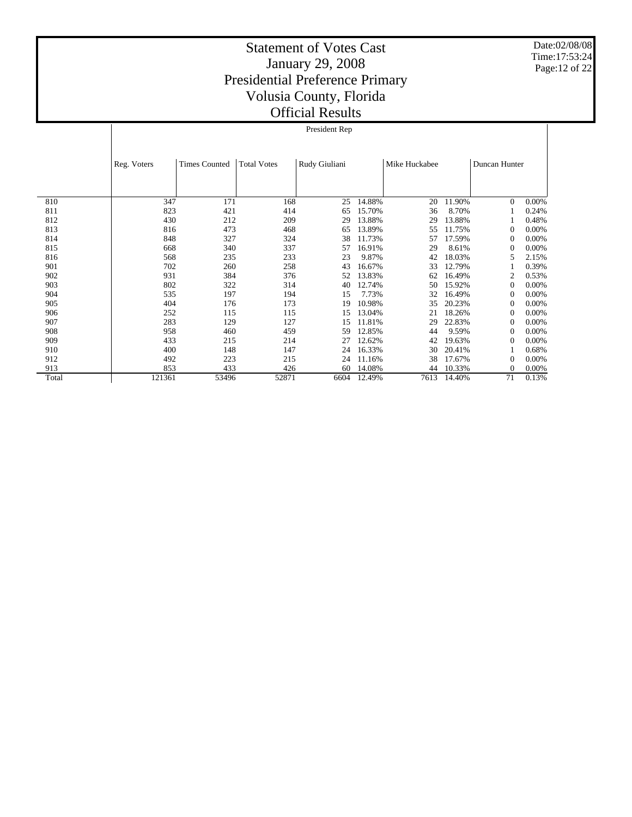Date:02/08/08 Time:17:53:24 Page:12 of 22

|       |             | President Rep        |                    |               |        |               |        |               |       |  |  |
|-------|-------------|----------------------|--------------------|---------------|--------|---------------|--------|---------------|-------|--|--|
|       | Reg. Voters | <b>Times Counted</b> | <b>Total Votes</b> | Rudy Giuliani |        | Mike Huckabee |        | Duncan Hunter |       |  |  |
| 810   | 347         | 171                  | 168                | 25            | 14.88% | 20            | 11.90% | $\mathbf{0}$  | 0.00% |  |  |
| 811   | 823         | 421                  | 414                | 65            | 15.70% | 36            | 8.70%  |               | 0.24% |  |  |
| 812   | 430         | 212                  | 209                | 29            | 13.88% | 29            | 13.88% |               | 0.48% |  |  |
| 813   | 816         | 473                  | 468                | 65            | 13.89% | 55            | 11.75% | $\Omega$      | 0.00% |  |  |
| 814   | 848         | 327                  | 324                | 38            | 11.73% | 57            | 17.59% | $\Omega$      | 0.00% |  |  |
| 815   | 668         | 340                  | 337                | 57            | 16.91% | 29            | 8.61%  | $\Omega$      | 0.00% |  |  |
| 816   | 568         | 235                  | 233                | 23            | 9.87%  | 42            | 18.03% | 5             | 2.15% |  |  |
| 901   | 702         | 260                  | 258                | 43            | 16.67% | 33            | 12.79% |               | 0.39% |  |  |
| 902   | 931         | 384                  | 376                | 52            | 13.83% | 62            | 16.49% | 2             | 0.53% |  |  |
| 903   | 802         | 322                  | 314                | 40            | 12.74% | 50            | 15.92% | $\Omega$      | 0.00% |  |  |
| 904   | 535         | 197                  | 194                | 15            | 7.73%  | 32            | 16.49% | $\Omega$      | 0.00% |  |  |
| 905   | 404         | 176                  | 173                | 19            | 10.98% | 35            | 20.23% | $\Omega$      | 0.00% |  |  |
| 906   | 252         | 115                  | 115                | 15            | 13.04% | 21            | 18.26% | $\Omega$      | 0.00% |  |  |
| 907   | 283         | 129                  | 127                | 15            | 11.81% | 29            | 22.83% | $\Omega$      | 0.00% |  |  |
| 908   | 958         | 460                  | 459                | 59            | 12.85% | 44            | 9.59%  | $\Omega$      | 0.00% |  |  |
| 909   | 433         | 215                  | 214                | 27            | 12.62% | 42            | 19.63% | $^{(1)}$      | 0.00% |  |  |
| 910   | 400         | 148                  | 147                | 24            | 16.33% | 30            | 20.41% |               | 0.68% |  |  |
| 912   | 492         | 223                  | 215                | 24            | 11.16% | 38            | 17.67% | 0             | 0.00% |  |  |
| 913   | 853         | 433                  | 426                | 60            | 14.08% | 44            | 10.33% | $\Omega$      | 0.00% |  |  |
| Total | 121361      | 53496                | 52871              | 6604          | 12.49% | 7613          | 14.40% | 71            | 0.13% |  |  |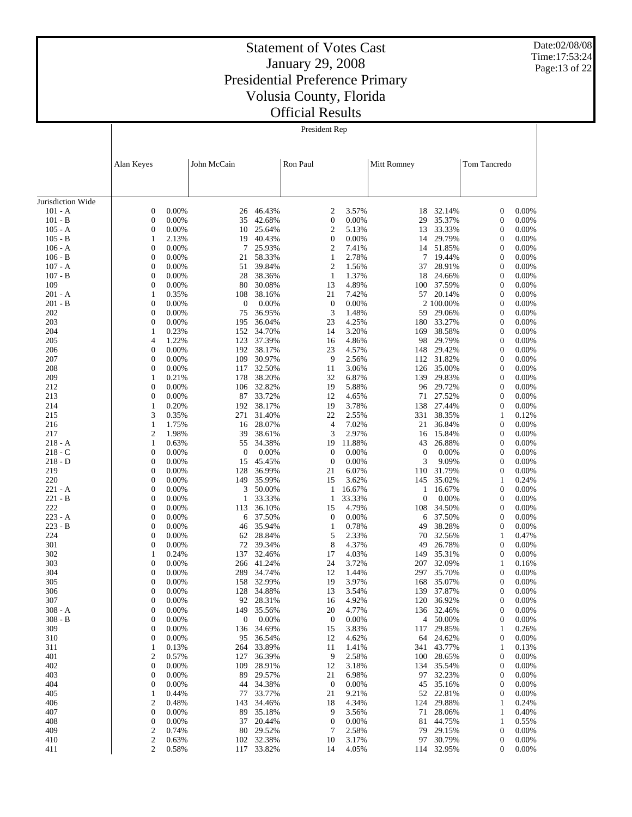Date:02/08/08 Time:17:53:24 Page:13 of 22

# Statement of Votes Cast January 29, 2008 Presidential Preference Primary Volusia County, Florida Official Results

President Rep

|                        | Alan Keyes                           |                   | John McCain             |                  | Ron Paul                           |                 | Mitt Romney      |                     | Tom Tancredo                         |                |
|------------------------|--------------------------------------|-------------------|-------------------------|------------------|------------------------------------|-----------------|------------------|---------------------|--------------------------------------|----------------|
|                        |                                      |                   |                         |                  |                                    |                 |                  |                     |                                      |                |
|                        |                                      |                   |                         |                  |                                    |                 |                  |                     |                                      |                |
| Jurisdiction Wide      |                                      |                   |                         |                  |                                    |                 |                  |                     |                                      |                |
| $101 - A$              | $\boldsymbol{0}$                     | 0.00%             | 26                      | 46.43%           | $\overline{2}$                     | 3.57%           | 18               | 32.14%              | $\boldsymbol{0}$                     | 0.00%          |
| $101 - B$              | $\boldsymbol{0}$                     | 0.00%             | 35                      | 42.68%           | $\boldsymbol{0}$                   | 0.00%           | 29               | 35.37%              | $\boldsymbol{0}$                     | 0.00%          |
| $105 - A$<br>$105 - B$ | $\boldsymbol{0}$<br>$\mathbf{1}$     | 0.00%<br>2.13%    | 10<br>19                | 25.64%<br>40.43% | $\overline{2}$<br>$\boldsymbol{0}$ | 5.13%<br>0.00%  | 13<br>14         | 33.33%<br>29.79%    | $\boldsymbol{0}$<br>$\boldsymbol{0}$ | 0.00%<br>0.00% |
| $106 - A$              | $\boldsymbol{0}$                     | 0.00%             | 7                       | 25.93%           | $\boldsymbol{2}$                   | 7.41%           | 14               | 51.85%              | $\boldsymbol{0}$                     | 0.00%          |
| $106 - B$              | $\boldsymbol{0}$                     | 0.00%             | 21                      | 58.33%           | $\mathbf{1}$                       | 2.78%           | 7                | 19.44%              | $\boldsymbol{0}$                     | 0.00%          |
| $107 - A$              | $\boldsymbol{0}$                     | 0.00%             | 51                      | 39.84%           | $\overline{2}$                     | 1.56%           | 37               | 28.91%              | $\boldsymbol{0}$                     | 0.00%          |
| $107 - B$              | $\boldsymbol{0}$                     | 0.00%             | 28                      | 38.36%           | $\mathbf{1}$                       | 1.37%           | 18               | 24.66%              | $\boldsymbol{0}$                     | 0.00%          |
| 109                    | $\boldsymbol{0}$                     | 0.00%             | 80                      | 30.08%           | 13                                 | 4.89%           | 100<br>57        | 37.59%              | $\boldsymbol{0}$                     | 0.00%          |
| 201 - A<br>201 - B     | $\mathbf{1}$<br>$\boldsymbol{0}$     | 0.35%<br>0.00%    | 108<br>$\boldsymbol{0}$ | 38.16%<br>0.00%  | 21<br>$\mathbf{0}$                 | 7.42%<br>0.00%  |                  | 20.14%<br>2 100.00% | $\boldsymbol{0}$<br>$\boldsymbol{0}$ | 0.00%<br>0.00% |
| 202                    | $\boldsymbol{0}$                     | 0.00%             | 75                      | 36.95%           | 3                                  | 1.48%           | 59               | 29.06%              | $\boldsymbol{0}$                     | 0.00%          |
| 203                    | $\boldsymbol{0}$                     | 0.00%             | 195                     | 36.04%           | 23                                 | 4.25%           | 180              | 33.27%              | $\boldsymbol{0}$                     | 0.00%          |
| 204                    | $\mathbf{1}$                         | 0.23%             | 152                     | 34.70%           | 14                                 | 3.20%           | 169              | 38.58%              | $\boldsymbol{0}$                     | 0.00%          |
| 205                    | 4                                    | 1.22%             | 123                     | 37.39%           | 16                                 | 4.86%           | 98               | 29.79%              | $\boldsymbol{0}$                     | 0.00%          |
| 206<br>207             | $\boldsymbol{0}$<br>$\boldsymbol{0}$ | 0.00%<br>0.00%    | 192<br>109              | 38.17%<br>30.97% | 23<br>9                            | 4.57%<br>2.56%  | 148<br>112       | 29.42%<br>31.82%    | $\boldsymbol{0}$<br>$\boldsymbol{0}$ | 0.00%<br>0.00% |
| 208                    | $\boldsymbol{0}$                     | 0.00%             | 117                     | 32.50%           | 11                                 | 3.06%           | 126              | 35.00%              | $\boldsymbol{0}$                     | 0.00%          |
| 209                    | $\mathbf{1}$                         | 0.21%             | 178                     | 38.20%           | 32                                 | 6.87%           | 139              | 29.83%              | $\boldsymbol{0}$                     | 0.00%          |
| 212                    | $\boldsymbol{0}$                     | 0.00%             | 106                     | 32.82%           | 19                                 | 5.88%           | 96               | 29.72%              | $\boldsymbol{0}$                     | 0.00%          |
| 213                    | $\boldsymbol{0}$                     | 0.00%             | 87                      | 33.72%           | 12                                 | 4.65%           | 71               | 27.52%              | $\boldsymbol{0}$                     | 0.00%          |
| 214                    | $\mathbf{1}$                         | 0.20%             | 192                     | 38.17%           | 19                                 | 3.78%           | 138              | 27.44%              | $\boldsymbol{0}$                     | 0.00%          |
| 215<br>216             | 3<br>$\mathbf{1}$                    | 0.35%<br>1.75%    | 271<br>16               | 31.40%<br>28.07% | 22<br>$\overline{4}$               | 2.55%<br>7.02%  | 331<br>21        | 38.35%<br>36.84%    | $\mathbf{1}$<br>$\boldsymbol{0}$     | 0.12%<br>0.00% |
| 217                    | $\overline{2}$                       | 1.98%             | 39                      | 38.61%           | 3                                  | 2.97%           | 16               | 15.84%              | $\boldsymbol{0}$                     | 0.00%          |
| $218 - A$              | $\mathbf{1}$                         | 0.63%             | 55                      | 34.38%           | 19                                 | 11.88%          | 43               | 26.88%              | $\boldsymbol{0}$                     | 0.00%          |
| 218 - C                | $\boldsymbol{0}$                     | 0.00%             | $\boldsymbol{0}$        | 0.00%            | $\boldsymbol{0}$                   | 0.00%           | $\boldsymbol{0}$ | 0.00%               | $\boldsymbol{0}$                     | 0.00%          |
| $218 - D$              | $\boldsymbol{0}$                     | 0.00%             | 15                      | 45.45%           | $\boldsymbol{0}$                   | 0.00%           | 3                | 9.09%               | $\boldsymbol{0}$                     | 0.00%          |
| 219                    | $\boldsymbol{0}$                     | 0.00%             | 128                     | 36.99%           | 21                                 | 6.07%           | 110              | 31.79%              | $\boldsymbol{0}$                     | 0.00%          |
| 220<br>$221 - A$       | $\boldsymbol{0}$<br>$\boldsymbol{0}$ | 0.00%<br>0.00%    | 149<br>3                | 35.99%<br>50.00% | 15<br>1                            | 3.62%<br>16.67% | 145<br>1         | 35.02%<br>16.67%    | 1<br>$\boldsymbol{0}$                | 0.24%<br>0.00% |
| $221 - B$              | $\boldsymbol{0}$                     | 0.00%             | 1                       | 33.33%           | 1                                  | 33.33%          | $\mathbf{0}$     | 0.00%               | $\boldsymbol{0}$                     | 0.00%          |
| 222                    | $\boldsymbol{0}$                     | 0.00%             | 113                     | 36.10%           | 15                                 | 4.79%           | 108              | 34.50%              | $\boldsymbol{0}$                     | 0.00%          |
| $223 - A$              | $\boldsymbol{0}$                     | 0.00%             | 6                       | 37.50%           | $\boldsymbol{0}$                   | 0.00%           | 6                | 37.50%              | $\boldsymbol{0}$                     | 0.00%          |
| $223 - B$              | $\boldsymbol{0}$                     | 0.00%             | 46                      | 35.94%           | $\mathbf{1}$                       | 0.78%           | 49               | 38.28%              | $\boldsymbol{0}$                     | 0.00%          |
| 224<br>301             | $\boldsymbol{0}$<br>$\boldsymbol{0}$ | 0.00%<br>0.00%    | 62<br>72                | 28.84%<br>39.34% | 5<br>8                             | 2.33%<br>4.37%  | 70<br>49         | 32.56%<br>26.78%    | 1<br>$\boldsymbol{0}$                | 0.47%<br>0.00% |
| 302                    | 1                                    | 0.24%             | 137                     | 32.46%           | 17                                 | 4.03%           | 149              | 35.31%              | $\boldsymbol{0}$                     | 0.00%          |
| 303                    | $\boldsymbol{0}$                     | 0.00%             | 266                     | 41.24%           | 24                                 | 3.72%           | 207              | 32.09%              | $\mathbf{1}$                         | 0.16%          |
| 304                    | $\boldsymbol{0}$                     | 0.00%             | 289                     | 34.74%           | 12                                 | 1.44%           | 297              | 35.70%              | $\boldsymbol{0}$                     | 0.00%          |
| 305                    | $\boldsymbol{0}$                     | 0.00%             | 158                     | 32.99%           | 19                                 | 3.97%           | 168              | 35.07%              | $\boldsymbol{0}$                     | 0.00%          |
| 306                    | $\boldsymbol{0}$<br>$\mathbf{0}$     | 0.00%             | 128                     | 34.88%           | 13                                 | 3.54%           | 139              | 37.87%              | 0                                    | 0.00%          |
| 307<br>308 - A         | 0                                    | 0.00%<br>$0.00\%$ | 92<br>149               | 28.31%<br>35.56% | 16<br>20                           | 4.92%<br>4.77%  | 120<br>136       | 36.92%<br>32.46%    | $\boldsymbol{0}$<br>0                | 0.00%<br>0.00% |
| $308 - B$              | 0                                    | 0.00%             | $\mathbf{0}$            | 0.00%            | $\boldsymbol{0}$                   | 0.00%           | 4                | 50.00%              | 0                                    | 0.00%          |
| 309                    | 0                                    | 0.00%             | 136                     | 34.69%           | 15                                 | 3.83%           | 117              | 29.85%              | 1                                    | 0.26%          |
| 310                    | 0                                    | 0.00%             | 95                      | 36.54%           | 12                                 | 4.62%           | 64               | 24.62%              | $\boldsymbol{0}$                     | 0.00%          |
| 311                    | 1                                    | 0.13%             | 264                     | 33.89%           | 11                                 | 1.41%           | 341              | 43.77%              | 1                                    | 0.13%          |
| 401                    | $\overline{\mathbf{c}}$              | 0.57%             | 127                     | 36.39%           | 9                                  | 2.58%           | 100              | 28.65%<br>35.54%    | $\boldsymbol{0}$                     | 0.00%          |
| 402<br>403             | 0<br>0                               | 0.00%<br>0.00%    | 109<br>89               | 28.91%<br>29.57% | 12<br>21                           | 3.18%<br>6.98%  | 134<br>97        | 32.23%              | $\boldsymbol{0}$<br>$\boldsymbol{0}$ | 0.00%<br>0.00% |
| 404                    | 0                                    | 0.00%             | 44                      | 34.38%           | $\boldsymbol{0}$                   | 0.00%           | 45               | 35.16%              | $\boldsymbol{0}$                     | 0.00%          |
| 405                    | 1                                    | 0.44%             | 77                      | 33.77%           | 21                                 | 9.21%           | 52               | 22.81%              | $\boldsymbol{0}$                     | 0.00%          |
| 406                    | $\overline{\mathbf{c}}$              | 0.48%             | 143                     | 34.46%           | 18                                 | 4.34%           | 124              | 29.88%              | 1                                    | 0.24%          |
| 407                    | $\boldsymbol{0}$                     | 0.00%             | 89                      | 35.18%           | 9                                  | 3.56%           | 71               | 28.06%              | 1                                    | 0.40%          |
| 408<br>409             | 0<br>$\boldsymbol{2}$                | 0.00%<br>0.74%    | 37<br>80                | 20.44%<br>29.52% | $\boldsymbol{0}$<br>7              | 0.00%<br>2.58%  | 81<br>79         | 44.75%<br>29.15%    | 1<br>$\boldsymbol{0}$                | 0.55%<br>0.00% |
| 410                    | $\mathbf{2}$                         | 0.63%             | 102                     | 32.38%           | 10                                 | 3.17%           | 97               | 30.79%              | $\boldsymbol{0}$                     | 0.00%          |
| 411                    | $\overline{2}$                       | 0.58%             | 117                     | 33.82%           | 14                                 | 4.05%           | 114              | 32.95%              | 0                                    | 0.00%          |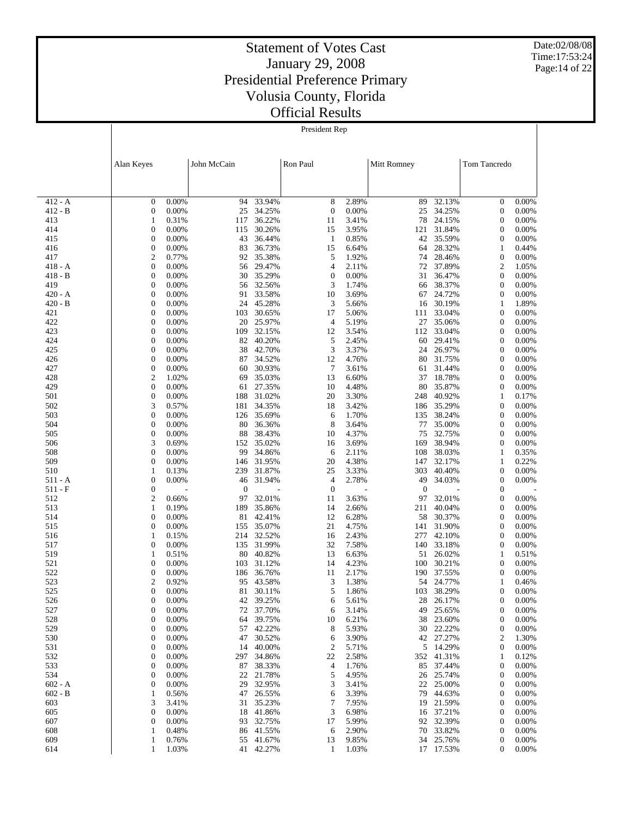Date:02/08/08 Time:17:53:24 Page:14 of 22

#### Statement of Votes Cast January 29, 2008 Presidential Preference Primary Volusia County, Florida Official Results

President Rep

|                        | Alan Keyes                                             | John McCain      |                     | Ron Paul            |                | Mitt Romney      |                       | Tom Tancredo                         |                |
|------------------------|--------------------------------------------------------|------------------|---------------------|---------------------|----------------|------------------|-----------------------|--------------------------------------|----------------|
|                        |                                                        |                  |                     |                     |                |                  |                       |                                      |                |
| $412 - A$              | $\boldsymbol{0}$<br>0.00%                              | 94               | 33.94%              | 8                   | 2.89%          | 89               | 32.13%                | $\boldsymbol{0}$                     | 0.00%          |
| $412 - B$              | 0.00%<br>0                                             | 25               | 34.25%              | $\boldsymbol{0}$    | 0.00%          | 25               | 34.25%                | $\boldsymbol{0}$                     | 0.00%          |
| 413                    | 0.31%<br>1                                             | 117              | 36.22%              | 11                  | 3.41%          | 78               | 24.15%                | $\boldsymbol{0}$                     | 0.00%          |
| 414<br>415             | $\boldsymbol{0}$<br>0.00%<br>$\overline{0}$<br>0.00%   | 115<br>43        | 30.26%<br>36.44%    | 15<br>$\mathbf{1}$  | 3.95%<br>0.85% | 121<br>42        | 31.84%<br>35.59%      | $\boldsymbol{0}$<br>$\boldsymbol{0}$ | 0.00%<br>0.00% |
| 416                    | $\boldsymbol{0}$<br>0.00%                              | 83               | 36.73%              | 15                  | 6.64%          | 64               | 28.32%                | 1                                    | 0.44%          |
| 417                    | $\mathfrak{2}$<br>0.77%                                | 92               | 35.38%              | 5                   | 1.92%          | 74               | 28.46%                | $\boldsymbol{0}$                     | 0.00%          |
| $418 - A$              | $\boldsymbol{0}$<br>0.00%                              | 56               | 29.47%              | $\overline{4}$      | 2.11%          | 72               | 37.89%                | $\boldsymbol{2}$                     | 1.05%          |
| $418 - B$              | $\overline{0}$<br>0.00%                                | 30               | 35.29%              | $\boldsymbol{0}$    | 0.00%          | 31               | 36.47%                | $\boldsymbol{0}$                     | 0.00%          |
| 419                    | $\boldsymbol{0}$<br>0.00%                              | 56               | 32.56%              | 3                   | 1.74%          | 66               | 38.37%                | $\boldsymbol{0}$                     | 0.00%          |
| $420 - A$<br>$420 - B$ | $\overline{0}$<br>0.00%<br>$\boldsymbol{0}$<br>0.00%   | 91<br>24         | 33.58%<br>45.28%    | 10<br>3             | 3.69%<br>5.66% | 67<br>16         | 24.72%<br>30.19%      | $\boldsymbol{0}$<br>1                | 0.00%<br>1.89% |
| 421                    | $\overline{0}$<br>0.00%                                | 103              | 30.65%              | 17                  | 5.06%          | 111              | 33.04%                | $\boldsymbol{0}$                     | 0.00%          |
| 422                    | $\boldsymbol{0}$<br>0.00%                              | 20               | 25.97%              | $\overline{4}$      | 5.19%          | 27               | 35.06%                | $\boldsymbol{0}$                     | 0.00%          |
| 423                    | $\overline{0}$<br>0.00%                                | 109              | 32.15%              | 12                  | 3.54%          | 112              | 33.04%                | $\boldsymbol{0}$                     | 0.00%          |
| 424                    | $\boldsymbol{0}$<br>0.00%                              | 82               | 40.20%              | 5                   | 2.45%          | 60               | 29.41%                | $\boldsymbol{0}$                     | 0.00%          |
| 425                    | $\overline{0}$<br>0.00%                                | 38               | 42.70%              | 3                   | 3.37%          | 24               | 26.97%                | $\boldsymbol{0}$                     | 0.00%          |
| 426<br>427             | $\overline{0}$<br>0.00%<br>$\boldsymbol{0}$            | 87<br>60         | 34.52%<br>30.93%    | 12<br>7             | 4.76%          | 80               | 31.75%                | $\boldsymbol{0}$<br>$\boldsymbol{0}$ | 0.00%<br>0.00% |
| 428                    | 0.00%<br>$\overline{c}$<br>1.02%                       | 69               | 35.03%              | 13                  | 3.61%<br>6.60% | 61<br>37         | 31.44%<br>18.78%      | $\boldsymbol{0}$                     | 0.00%          |
| 429                    | $\overline{0}$<br>0.00%                                | 61               | 27.35%              | 10                  | 4.48%          | 80               | 35.87%                | $\boldsymbol{0}$                     | 0.00%          |
| 501                    | $\boldsymbol{0}$<br>0.00%                              | 188              | 31.02%              | 20                  | 3.30%          | 248              | 40.92%                | 1                                    | 0.17%          |
| 502                    | 3<br>0.57%                                             | 181              | 34.35%              | 18                  | 3.42%          | 186              | 35.29%                | $\boldsymbol{0}$                     | 0.00%          |
| 503                    | $\boldsymbol{0}$<br>0.00%                              | 126              | 35.69%              | 6                   | 1.70%          | 135              | 38.24%                | $\boldsymbol{0}$                     | 0.00%          |
| 504                    | $\overline{0}$<br>0.00%                                | 80               | 36.36%              | 8                   | 3.64%          | 77               | 35.00%                | $\boldsymbol{0}$                     | 0.00%          |
| 505<br>506             | $\boldsymbol{0}$<br>0.00%<br>3<br>0.69%                | 88<br>152        | 38.43%<br>35.02%    | 10<br>16            | 4.37%<br>3.69% | 75<br>169        | 32.75%<br>38.94%      | $\boldsymbol{0}$<br>$\boldsymbol{0}$ | 0.00%<br>0.00% |
| 508                    | $\boldsymbol{0}$<br>0.00%                              | 99               | 34.86%              | 6                   | 2.11%          | 108              | 38.03%                | 1                                    | 0.35%          |
| 509                    | $\overline{0}$<br>0.00%                                | 146              | 31.95%              | 20                  | 4.38%          | 147              | 32.17%                | 1                                    | 0.22%          |
| 510                    | 0.13%<br>1                                             | 239              | 31.87%              | 25                  | 3.33%          | 303              | 40.40%                | $\boldsymbol{0}$                     | 0.00%          |
| $511 - A$              | $\overline{0}$<br>0.00%                                | 46               | 31.94%              | $\overline{4}$      | 2.78%          | 49               | 34.03%                | $\boldsymbol{0}$                     | 0.00%          |
| 511 - F                | $\boldsymbol{0}$                                       | $\boldsymbol{0}$ |                     | $\boldsymbol{0}$    |                | $\boldsymbol{0}$ |                       | $\boldsymbol{0}$                     |                |
| 512<br>513             | $\overline{c}$<br>0.66%<br>1<br>0.19%                  | 97<br>189        | 32.01%<br>35.86%    | 11<br>14            | 3.63%<br>2.66% | 97<br>211        | 32.01%<br>40.04%      | $\boldsymbol{0}$<br>$\boldsymbol{0}$ | 0.00%<br>0.00% |
| 514                    | $\boldsymbol{0}$<br>0.00%                              | 81               | 42.41%              | 12                  | 6.28%          | 58               | 30.37%                | $\boldsymbol{0}$                     | 0.00%          |
| 515                    | $\boldsymbol{0}$<br>0.00%                              | 155              | 35.07%              | 21                  | 4.75%          | 141              | 31.90%                | $\boldsymbol{0}$                     | 0.00%          |
| 516                    | 1<br>0.15%                                             | 214              | 32.52%              | 16                  | 2.43%          | 277              | 42.10%                | $\boldsymbol{0}$                     | 0.00%          |
| 517                    | $\boldsymbol{0}$<br>0.00%                              | 135              | 31.99%              | 32                  | 7.58%          | 140              | 33.18%                | $\boldsymbol{0}$                     | 0.00%          |
| 519                    | 0.51%<br>1                                             | 80               | 40.82%              | 13                  | 6.63%          | 51               | 26.02%                | 1                                    | 0.51%          |
| 521                    | $\overline{0}$<br>0.00%<br>$\boldsymbol{0}$            | 103              | 31.12%              | 14                  | 4.23%          | 100<br>190       | 30.21%<br>37.55%      | $\boldsymbol{0}$                     | 0.00%          |
| 522<br>523             | 0.00%<br>$\overline{\mathbf{c}}$<br>0.92%              | 186<br>95        | 36.76%<br>43.58%    | 11<br>3             | 2.17%<br>1.38% | 54               | 24.77%                | $\boldsymbol{0}$<br>1                | 0.00%<br>0.46% |
| 525                    | $\overline{0}$<br>0.00%                                | 81               | 30.11%              | 5                   | 1.86%          | 103              | 38.29%                | $\boldsymbol{0}$                     | 0.00%          |
| 526                    | $\boldsymbol{0}$<br>0.00%                              | 42               | 39.25%              | 6                   | 5.61%          | 28               | 26.17%                | $\boldsymbol{0}$                     | 0.00%          |
| 527                    | $\Omega$<br>0.00%                                      | 72               | 37.70%              | 6                   | 3.14%          |                  | 49 25.65%             | 0                                    | 0.00%          |
| 528                    | $\boldsymbol{0}$<br>0.00%                              |                  | 64 39.75%           | 10                  | 6.21%          |                  | 38 23.60%             | $\boldsymbol{0}$                     | 0.00%          |
| 529                    | $\boldsymbol{0}$<br>0.00%                              |                  | 57 42.22%           | 8                   | 5.93%          |                  | 30 22.22%             | 0                                    | 0.00%          |
| 530<br>531             | $\boldsymbol{0}$<br>0.00%<br>0<br>0.00%                | 47<br>14         | 30.52%<br>40.00%    | 6<br>$\overline{c}$ | 3.90%<br>5.71% |                  | 42 27.27%<br>5 14.29% | 2<br>$\boldsymbol{0}$                | 1.30%<br>0.00% |
| 532                    | $\boldsymbol{0}$<br>0.00%                              |                  | 297 34.86%          | 22                  | 2.58%          |                  | 352 41.31%            | 1                                    | 0.12%          |
| 533                    | 0<br>0.00%                                             |                  | 87 38.33%           | 4                   | 1.76%          | 85               | 37.44%                | 0                                    | 0.00%          |
| 534                    | $\boldsymbol{0}$<br>0.00%                              |                  | 22 21.78%           | 5                   | 4.95%          | 26               | 25.74%                | 0                                    | 0.00%          |
| $602 - A$              | 0<br>0.00%                                             | 29               | 32.95%              | 3                   | 3.41%          | 22               | 25.00%                | 0                                    | 0.00%          |
| $602 - B$              | 0.56%<br>1                                             | 47               | 26.55%              | 6                   | 3.39%          | 79               | 44.63%                | 0                                    | 0.00%          |
| 603                    | 3<br>3.41%                                             |                  | 31 35.23%           | 7                   | 7.95%          | 19               | 21.59%                | 0                                    | 0.00%          |
| 605<br>607             | $\boldsymbol{0}$<br>0.00%<br>$\boldsymbol{0}$<br>0.00% | 18               | 41.86%<br>93 32.75% | 3<br>17             | 6.98%<br>5.99% | 16<br>92         | 37.21%<br>32.39%      | 0<br>0                               | 0.00%<br>0.00% |
| 608                    | 0.48%<br>1                                             | 86               | 41.55%              | 6                   | 2.90%          | 70               | 33.82%                | 0                                    | 0.00%          |
| 609                    | 0.76%<br>1                                             |                  | 55 41.67%           | 13                  | 9.85%          |                  | 34 25.76%             | 0                                    | 0.00%          |
| 614                    | 1.03%<br>$\mathbf{1}$                                  |                  | 41 42.27%           | 1                   | 1.03%          |                  | 17 17.53%             | $\mathbf{0}$                         | 0.00%          |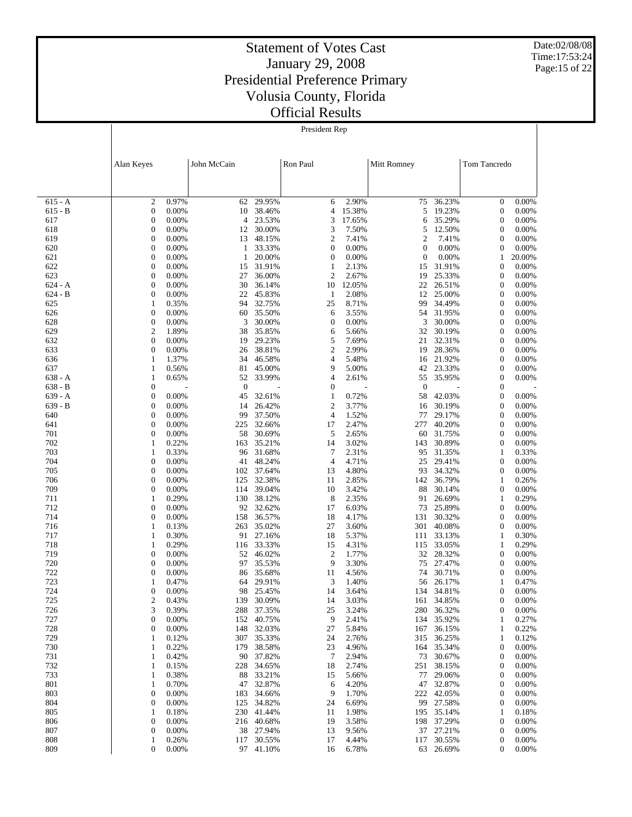Date:02/08/08 Time:17:53:24 Page:15 of 22

#### Statement of Votes Cast January 29, 2008 Presidential Preference Primary Volusia County, Florida Official Results

President Rep

|            | Alan Keyes                                             | John McCain      |                      | Ron Paul            |                | Mitt Romney                        |                      | Tom Tancredo                         |                |
|------------|--------------------------------------------------------|------------------|----------------------|---------------------|----------------|------------------------------------|----------------------|--------------------------------------|----------------|
|            |                                                        |                  |                      |                     |                |                                    |                      |                                      |                |
| $615 - A$  | $\overline{2}$<br>0.97%                                | 62               | 29.95%               | 6                   | 2.90%          | 75                                 | 36.23%               | $\boldsymbol{0}$                     | 0.00%          |
| $615 - B$  | $\boldsymbol{0}$<br>0.00%                              | 10               | 38.46%               | 4                   | 15.38%         | 5                                  | 19.23%               | $\boldsymbol{0}$                     | 0.00%          |
| 617        | $\mathbf{0}$<br>0.00%                                  | 4                | 23.53%               | 3                   | 17.65%         | 6                                  | 35.29%               | $\boldsymbol{0}$                     | 0.00%          |
| 618        | $\boldsymbol{0}$<br>0.00%                              | 12               | 30.00%               | 3                   | 7.50%          | 5                                  | 12.50%               | $\boldsymbol{0}$                     | 0.00%          |
| 619<br>620 | $\mathbf{0}$<br>0.00%<br>$\boldsymbol{0}$<br>0.00%     | 13<br>1          | 48.15%<br>33.33%     | $\mathfrak{2}$<br>0 | 7.41%<br>0.00% | $\overline{c}$<br>$\boldsymbol{0}$ | 7.41%<br>0.00%       | $\boldsymbol{0}$<br>$\boldsymbol{0}$ | 0.00%<br>0.00% |
| 621        | $\mathbf{0}$<br>0.00%                                  | 1                | 20.00%               | 0                   | 0.00%          | $\boldsymbol{0}$                   | 0.00%                | 1                                    | 20.00%         |
| 622        | $\boldsymbol{0}$<br>0.00%                              | 15               | 31.91%               | 1                   | 2.13%          | 15                                 | 31.91%               | $\boldsymbol{0}$                     | 0.00%          |
| 623        | $\mathbf{0}$<br>0.00%                                  | 27               | 36.00%               | $\mathfrak{2}$      | 2.67%          | 19                                 | 25.33%               | $\boldsymbol{0}$                     | 0.00%          |
| $624 - A$  | $\boldsymbol{0}$<br>0.00%                              | 30               | 36.14%               | 10                  | 12.05%         | 22                                 | 26.51%               | $\boldsymbol{0}$                     | 0.00%          |
| $624 - B$  | $\mathbf{0}$<br>0.00%                                  | 22               | 45.83%               | 1                   | 2.08%          | 12                                 | 25.00%               | $\boldsymbol{0}$                     | 0.00%          |
| 625        | $\mathbf{1}$<br>0.35%                                  | 94               | 32.75%               | 25                  | 8.71%          | 99                                 | 34.49%               | $\boldsymbol{0}$                     | 0.00%          |
| 626        | $\mathbf{0}$<br>0.00%                                  | 60               | 35.50%               | 6                   | 3.55%          | 54                                 | 31.95%               | $\boldsymbol{0}$                     | 0.00%          |
| 628        | $\boldsymbol{0}$<br>0.00%                              | 3                | 30.00%               | $\mathbf{0}$        | 0.00%          | 3                                  | 30.00%               | $\boldsymbol{0}$                     | 0.00%          |
| 629<br>632 | $\overline{2}$<br>1.89%<br>$\boldsymbol{0}$<br>0.00%   | 38<br>19         | 35.85%<br>29.23%     | 6<br>5              | 5.66%<br>7.69% | 32<br>21                           | 30.19%<br>32.31%     | $\boldsymbol{0}$<br>$\boldsymbol{0}$ | 0.00%<br>0.00% |
| 633        | $\mathbf{0}$<br>0.00%                                  | 26               | 38.81%               | $\mathfrak{2}$      | 2.99%          | 19                                 | 28.36%               | $\boldsymbol{0}$                     | 0.00%          |
| 636        | 1<br>1.37%                                             | 34               | 46.58%               | 4                   | 5.48%          | 16                                 | 21.92%               | $\boldsymbol{0}$                     | 0.00%          |
| 637        | 1<br>0.56%                                             | 81               | 45.00%               | 9                   | 5.00%          | 42                                 | 23.33%               | $\boldsymbol{0}$                     | 0.00%          |
| $638 - A$  | $\mathbf{1}$<br>0.65%                                  | 52               | 33.99%               | 4                   | 2.61%          | 55                                 | 35.95%               | $\boldsymbol{0}$                     | 0.00%          |
| $638 - B$  | $\mathbf{0}$                                           | $\boldsymbol{0}$ |                      | 0                   |                | $\boldsymbol{0}$                   |                      | $\boldsymbol{0}$                     |                |
| $639 - A$  | $\boldsymbol{0}$<br>0.00%                              | 45               | 32.61%               | 1                   | 0.72%          | 58                                 | 42.03%               | $\boldsymbol{0}$                     | 0.00%          |
| $639 - B$  | $\mathbf{0}$<br>0.00%                                  | 14               | 26.42%               | $\mathfrak{2}$      | 3.77%          | 16                                 | 30.19%               | $\boldsymbol{0}$                     | 0.00%          |
| 640        | $\boldsymbol{0}$<br>0.00%                              | 99               | 37.50%               | 4                   | 1.52%          | 77                                 | 29.17%               | $\boldsymbol{0}$                     | 0.00%          |
| 641        | $\mathbf{0}$<br>0.00%<br>$\boldsymbol{0}$              | 225              | 32.66%               | 17<br>5             | 2.47%          | 277                                | 40.20%               | $\boldsymbol{0}$<br>$\boldsymbol{0}$ | 0.00%          |
| 701<br>702 | 0.00%<br>1<br>0.22%                                    | 58<br>163        | 30.69%<br>35.21%     | 14                  | 2.65%<br>3.02% | 60<br>143                          | 31.75%<br>30.89%     | $\boldsymbol{0}$                     | 0.00%<br>0.00% |
| 703        | $\mathbf{1}$<br>0.33%                                  | 96               | 31.68%               | 7                   | 2.31%          | 95                                 | 31.35%               | 1                                    | 0.33%          |
| 704        | $\mathbf{0}$<br>0.00%                                  | 41               | 48.24%               | $\overline{4}$      | 4.71%          | 25                                 | 29.41%               | $\boldsymbol{0}$                     | 0.00%          |
| 705        | $\boldsymbol{0}$<br>0.00%                              | 102              | 37.64%               | 13                  | 4.80%          | 93                                 | 34.32%               | $\boldsymbol{0}$                     | 0.00%          |
| 706        | $\mathbf{0}$<br>0.00%                                  | 125              | 32.38%               | 11                  | 2.85%          | 142                                | 36.79%               | 1                                    | 0.26%          |
| 709        | $\boldsymbol{0}$<br>0.00%                              | 114              | 39.04%               | 10                  | 3.42%          | 88                                 | 30.14%               | $\boldsymbol{0}$                     | 0.00%          |
| 711        | 1<br>0.29%                                             | 130              | 38.12%               | 8                   | 2.35%          | 91                                 | 26.69%               | 1                                    | 0.29%          |
| 712<br>714 | $\boldsymbol{0}$<br>0.00%<br>$\mathbf{0}$<br>0.00%     | 92               | 32.62%               | 17<br>18            | 6.03%<br>4.17% | 73<br>131                          | 25.89%               | $\boldsymbol{0}$<br>$\boldsymbol{0}$ | 0.00%<br>0.00% |
| 716        | 1<br>0.13%                                             | 158<br>263       | 36.57%<br>35.02%     | 27                  | 3.60%          | 301                                | 30.32%<br>40.08%     | $\boldsymbol{0}$                     | 0.00%          |
| 717        | 1<br>0.30%                                             | 91               | 27.16%               | 18                  | 5.37%          | 111                                | 33.13%               | 1                                    | 0.30%          |
| 718        | 1<br>0.29%                                             | 116              | 33.33%               | 15                  | 4.31%          | 115                                | 33.05%               | 1                                    | 0.29%          |
| 719        | $\mathbf{0}$<br>0.00%                                  | 52               | 46.02%               | $\overline{c}$      | 1.77%          | 32                                 | 28.32%               | $\boldsymbol{0}$                     | 0.00%          |
| 720        | $\boldsymbol{0}$<br>0.00%                              | 97               | 35.53%               | 9                   | 3.30%          | 75                                 | 27.47%               | $\boldsymbol{0}$                     | 0.00%          |
| 722        | $\boldsymbol{0}$<br>0.00%                              | 86               | 35.68%               | 11                  | 4.56%          | 74                                 | 30.71%               | $\boldsymbol{0}$                     | 0.00%          |
| 723        | 0.47%<br>1                                             | 64               | 29.91%               | 3                   | 1.40%          | 56                                 | 26.17%               | 1                                    | 0.47%          |
| 724        | $\boldsymbol{0}$<br>0.00%                              | 98               | 25.45%               | 14                  | 3.64%          | 134                                | 34.81%               | 0                                    | 0.00%          |
| 725<br>726 | $\overline{2}$<br>0.43%<br>3<br>0.39%                  | 139              | 30.09%<br>288 37.35% | 14<br>25            | 3.03%<br>3.24% | 161                                | 34.85%<br>280 36.32% | $\boldsymbol{0}$<br>$\boldsymbol{0}$ | 0.00%<br>0.00% |
| 727        | $\boldsymbol{0}$<br>0.00%                              |                  | 152 40.75%           | 9                   | 2.41%          |                                    | 134 35.92%           | $\mathbf{1}$                         | 0.27%          |
| 728        | $\boldsymbol{0}$<br>0.00%                              |                  | 148 32.03%           | 27                  | 5.84%          | 167                                | 36.15%               | $\mathbf{1}$                         | 0.22%          |
| 729        | 0.12%<br>1                                             |                  | 307 35.33%           | 24                  | 2.76%          | 315                                | 36.25%               | 1                                    | 0.12%          |
| 730        | 0.22%<br>1                                             | 179              | 38.58%               | 23                  | 4.96%          | 164                                | 35.34%               | 0                                    | 0.00%          |
| 731        | 0.42%<br>1                                             | 90               | 37.82%               | 7                   | 2.94%          | 73                                 | 30.67%               | 0                                    | 0.00%          |
| 732        | 0.15%<br>1                                             | 228              | 34.65%               | 18                  | 2.74%          | 251                                | 38.15%               | 0                                    | 0.00%          |
| 733        | 0.38%<br>1                                             | 88               | 33.21%               | 15                  | 5.66%          | 77                                 | 29.06%               | 0                                    | 0.00%          |
| 801        | 0.70%<br>1                                             |                  | 47 32.87%            | 6                   | 4.20%          | 47                                 | 32.87%               | 0                                    | 0.00%          |
| 803<br>804 | $\boldsymbol{0}$<br>0.00%<br>$\boldsymbol{0}$<br>0.00% | 183              | 34.66%<br>34.82%     | 9<br>24             | 1.70%<br>6.69% | 222<br>99                          | 42.05%<br>27.58%     | 0                                    | 0.00%<br>0.00% |
| 805        | 0.18%<br>1                                             | 125              | 230 41.44%           | 11                  | 1.98%          | 195                                | 35.14%               | 0<br>1                               | 0.18%          |
| 806        | $\boldsymbol{0}$<br>0.00%                              |                  | 216 40.68%           | 19                  | 3.58%          | 198                                | 37.29%               | 0                                    | 0.00%          |
| 807        | $\boldsymbol{0}$<br>0.00%                              |                  | 38 27.94%            | 13                  | 9.56%          | 37                                 | 27.21%               | 0                                    | 0.00%          |
| 808        | 0.26%<br>1                                             | 117              | 30.55%               | 17                  | 4.44%          | 117                                | 30.55%               | 0                                    | 0.00%          |
| 809        | $\boldsymbol{0}$<br>0.00%                              |                  | 97 41.10%            | 16                  | 6.78%          |                                    | 63 26.69%            | $\mathbf{0}$                         | 0.00%          |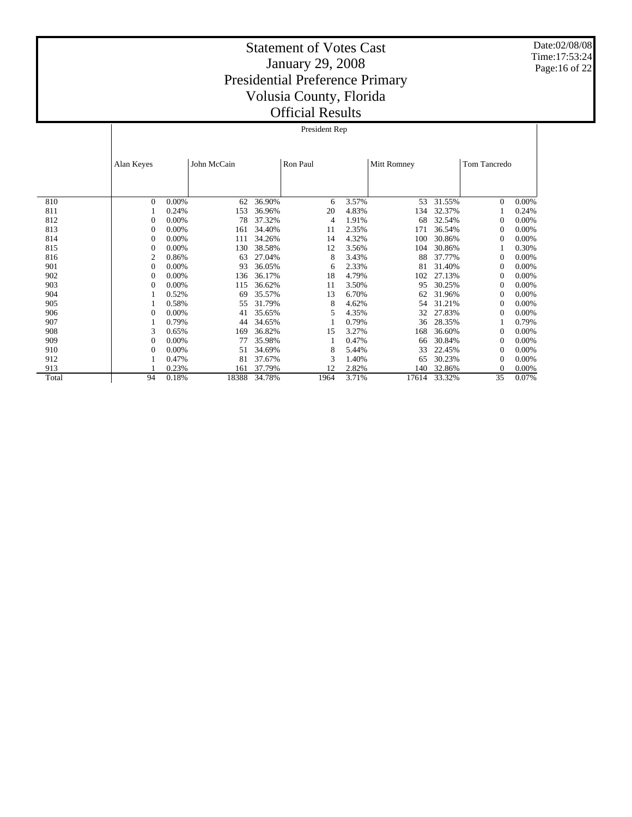Date:02/08/08 Time:17:53:24 Page:16 of 22

|       |                | President Rep |             |        |          |       |             |        |                     |       |  |  |
|-------|----------------|---------------|-------------|--------|----------|-------|-------------|--------|---------------------|-------|--|--|
|       |                |               |             |        |          |       |             |        |                     |       |  |  |
|       | Alan Keyes     |               | John McCain |        | Ron Paul |       | Mitt Romney |        | <b>Tom Tancredo</b> |       |  |  |
|       |                |               |             |        |          |       |             |        |                     |       |  |  |
| 810   | $\Omega$       | 0.00%         | 62          | 36.90% | 6        | 3.57% | 53          | 31.55% | $\overline{0}$      | 0.00% |  |  |
| 811   |                | 0.24%         | 153         | 36.96% | 20       | 4.83% | 134         | 32.37% |                     | 0.24% |  |  |
| 812   | $\theta$       | 0.00%         | 78          | 37.32% | 4        | 1.91% | 68          | 32.54% | 0                   | 0.00% |  |  |
| 813   | $\mathbf{0}$   | 0.00%         | 161         | 34.40% | 11       | 2.35% | 171         | 36.54% | $\Omega$            | 0.00% |  |  |
| 814   | $\mathbf{0}$   | 0.00%         | 111         | 34.26% | 14       | 4.32% | 100         | 30.86% | $\Omega$            | 0.00% |  |  |
| 815   | $\mathbf{0}$   | 0.00%         | 130         | 38.58% | 12       | 3.56% | 104         | 30.86% |                     | 0.30% |  |  |
| 816   | $\overline{2}$ | 0.86%         | 63          | 27.04% | 8        | 3.43% | 88          | 37.77% | $\mathbf{0}$        | 0.00% |  |  |
| 901   | $\mathbf{0}$   | 0.00%         | 93          | 36.05% | 6        | 2.33% | 81          | 31.40% | $\Omega$            | 0.00% |  |  |
| 902   | $\mathbf{0}$   | 0.00%         | 136         | 36.17% | 18       | 4.79% | 102         | 27.13% | $\Omega$            | 0.00% |  |  |
| 903   | $\mathbf{0}$   | 0.00%         | 115         | 36.62% | 11       | 3.50% | 95          | 30.25% | $\mathbf{0}$        | 0.00% |  |  |
| 904   |                | 0.52%         | 69          | 35.57% | 13       | 6.70% | 62          | 31.96% | $\Omega$            | 0.00% |  |  |
| 905   |                | 0.58%         | 55          | 31.79% | 8        | 4.62% | 54          | 31.21% | $\mathbf{0}$        | 0.00% |  |  |
| 906   | $\mathbf{0}$   | 0.00%         | 41          | 35.65% | 5        | 4.35% | 32          | 27.83% | $\mathbf{0}$        | 0.00% |  |  |
| 907   |                | 0.79%         | 44          | 34.65% |          | 0.79% | 36          | 28.35% |                     | 0.79% |  |  |
| 908   | 3              | 0.65%         | 169         | 36.82% | 15       | 3.27% | 168         | 36.60% | $\mathbf{0}$        | 0.00% |  |  |
| 909   | $\mathbf{0}$   | 0.00%         | 77          | 35.98% | 1        | 0.47% | 66          | 30.84% | $\Omega$            | 0.00% |  |  |
| 910   | $\mathbf{0}$   | 0.00%         | 51          | 34.69% | 8        | 5.44% | 33          | 22.45% | $\Omega$            | 0.00% |  |  |
| 912   |                | 0.47%         | 81          | 37.67% | 3        | 1.40% | 65          | 30.23% | 0                   | 0.00% |  |  |
| 913   |                | 0.23%         | 161         | 37.79% | 12       | 2.82% | 140         | 32.86% | 0                   | 0.00% |  |  |
| Total | 94             | 0.18%         | 18388       | 34.78% | 1964     | 3.71% | 17614       | 33.32% | 35                  | 0.07% |  |  |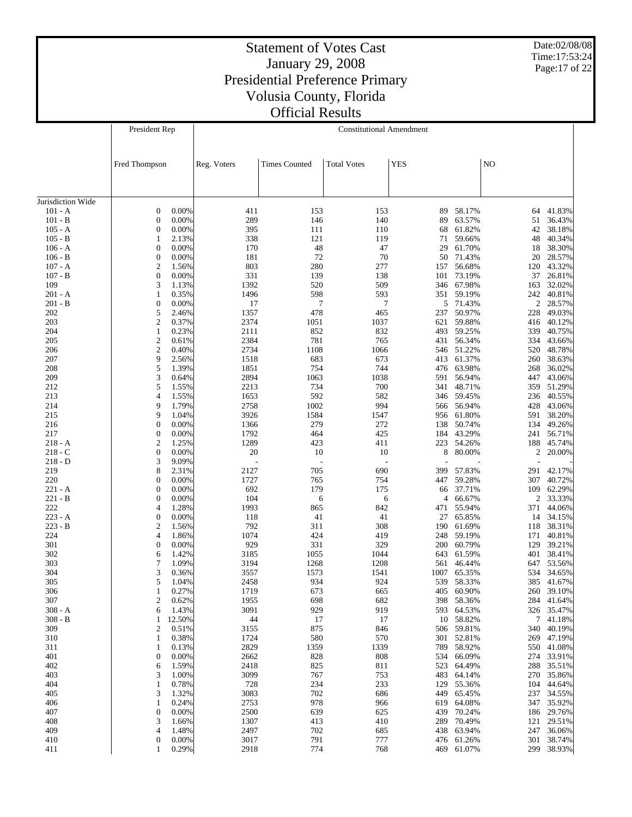Date:02/08/08 Time:17:53:24 Page:17 of 22

|                   | President Rep                  | <b>Constitutional Amendment</b> |                      |                    |            |                  |            |                  |  |
|-------------------|--------------------------------|---------------------------------|----------------------|--------------------|------------|------------------|------------|------------------|--|
|                   |                                |                                 |                      |                    |            |                  |            |                  |  |
|                   |                                |                                 |                      |                    |            |                  |            |                  |  |
|                   | Fred Thompson                  | Reg. Voters                     | <b>Times Counted</b> | <b>Total Votes</b> | <b>YES</b> |                  | NO         |                  |  |
|                   |                                |                                 |                      |                    |            |                  |            |                  |  |
| Jurisdiction Wide |                                |                                 |                      |                    |            |                  |            |                  |  |
| $101 - A$         | 0.00%<br>$\boldsymbol{0}$      | 411                             | 153                  | 153                | 89         | 58.17%           |            | 64 41.83%        |  |
| $101 - B$         | $\mathbf{0}$<br>0.00%          | 289                             | 146                  | 140                | 89         | 63.57%           | 51         | 36.43%           |  |
| $105 - A$         | $\boldsymbol{0}$<br>0.00%      | 395                             | 111                  | 110                | 68         | 61.82%           | 42         | 38.18%           |  |
| $105 - B$         | 2.13%<br>1                     | 338                             | 121                  | 119                | 71         | 59.66%           | 48         | 40.34%           |  |
| $106 - A$         | $\boldsymbol{0}$<br>0.00%      | 170                             | 48                   | 47                 | 29         | 61.70%           | 18         | 38.30%           |  |
| $106 - B$         | 0.00%<br>$\boldsymbol{0}$      | 181                             | 72                   | 70                 | 50         | 71.43%           | 20         | 28.57%           |  |
| $107 - A$         | $\mathfrak{2}$<br>1.56%        | 803                             | 280                  | 277                | 157        | 56.68%           | 120        | 43.32%           |  |
| $107 - B$         | $\boldsymbol{0}$<br>0.00%      | 331                             | 139                  | 138                | 101        | 73.19%           | 37         | 26.81%           |  |
| 109               | 3<br>1.13%                     | 1392                            | 520                  | 509                | 346        | 67.98%           | 163        | 32.02%           |  |
| $201 - A$         | 0.35%<br>1                     | 1496                            | 598                  | 593                | 351        | 59.19%           | 242        | 40.81%           |  |
| $201 - B$         | $\boldsymbol{0}$<br>0.00%      | 17                              | $\tau$               | 7                  |            | 5 71.43%         |            | 2 28.57%         |  |
| 202               | 5<br>2.46%                     | 1357                            | 478                  | 465                | 237        | 50.97%           | 228        | 49.03%           |  |
| 203               | $\mathfrak{2}$<br>0.37%        | 2374                            | 1051                 | 1037               | 621        | 59.88%           | 416        | 40.12%           |  |
| 204               | 0.23%<br>1                     | 2111                            | 852                  | 832                | 493        | 59.25%           | 339        | 40.75%           |  |
| 205               | $\mathfrak{2}$<br>0.61%        | 2384                            | 781                  | 765                | 431        | 56.34%           | 334        | 43.66%           |  |
| 206               | $\boldsymbol{2}$<br>0.40%      | 2734                            | 1108                 | 1066               | 546        | 51.22%           | 520        | 48.78%           |  |
| 207               | 9<br>2.56%                     | 1518                            | 683                  | 673                | 413        | 61.37%           | 260        | 38.63%           |  |
| 208               | 5<br>1.39%                     | 1851                            | 754                  | 744                | 476        | 63.98%           | 268        | 36.02%           |  |
| 209               | 3<br>0.64%                     | 2894                            | 1063                 | 1038               | 591        | 56.94%           | 447        | 43.06%           |  |
| 212               | 5<br>1.55%                     | 2213                            | 734                  | 700                | 341        | 48.71%           | 359        | 51.29%           |  |
| 213               | $\overline{4}$<br>1.55%        | 1653                            | 592                  | 582                | 346        | 59.45%           | 236        | 40.55%           |  |
| 214               | 9<br>1.79%<br>1.04%            | 2758                            | 1002                 | 994                | 566        | 56.94%           | 428        | 43.06%           |  |
| 215               | 9<br>$\boldsymbol{0}$<br>0.00% | 3926                            | 1584<br>279          | 1547<br>272        | 956<br>138 | 61.80%<br>50.74% | 591        | 38.20%           |  |
| 216<br>217        | $\boldsymbol{0}$<br>0.00%      | 1366<br>1792                    | 464                  | 425                | 184        | 43.29%           | 134<br>241 | 49.26%<br>56.71% |  |
| $218 - A$         | $\boldsymbol{2}$<br>1.25%      | 1289                            | 423                  | 411                | 223        | 54.26%           | 188        | 45.74%           |  |
| $218 - C$         | $\boldsymbol{0}$<br>0.00%      | 20                              | 10                   | 10                 | 8          | 80.00%           | 2          | 20.00%           |  |
| $218 - D$         | 3<br>9.09%                     |                                 | Ĭ.                   |                    | J.         |                  |            |                  |  |
| 219               | 8<br>2.31%                     | 2127                            | 705                  | 690                | 399        | 57.83%           | 291        | 42.17%           |  |
| 220               | $\boldsymbol{0}$<br>0.00%      | 1727                            | 765                  | 754                | 447        | 59.28%           | 307        | 40.72%           |  |
| $221 - A$         | $\boldsymbol{0}$<br>0.00%      | 692                             | 179                  | 175                | 66         | 37.71%           | 109        | 62.29%           |  |
| $221 - B$         | $\boldsymbol{0}$<br>0.00%      | 104                             | 6                    | 6                  | 4          | 66.67%           |            | 2 33.33%         |  |
| 222               | 1.28%<br>$\overline{4}$        | 1993                            | 865                  | 842                | 471        | 55.94%           | 371        | 44.06%           |  |
| $223 - A$         | 0.00%<br>$\boldsymbol{0}$      | 118                             | 41                   | 41                 | 27         | 65.85%           |            | 14 34.15%        |  |
| $223 - B$         | $\mathfrak{2}$<br>1.56%        | 792                             | 311                  | 308                | 190        | 61.69%           | 118        | 38.31%           |  |
| 224               | $\overline{4}$<br>1.86%        | 1074                            | 424                  | 419                | 248        | 59.19%           | 171        | 40.81%           |  |
| 301               | $\boldsymbol{0}$<br>0.00%      | 929                             | 331                  | 329                | 200        | 60.79%           | 129        | 39.21%           |  |
| 302               | 1.42%<br>6                     | 3185                            | 1055                 | 1044               | 643        | 61.59%           | 401        | 38.41%           |  |
| 303               | 7<br>1.09%                     | 3194                            | 1268                 | 1208               | 561        | 46.44%           | 647        | 53.56%           |  |
| 304               | 3<br>0.36%                     | 3557                            | 1573                 | 1541               | 1007       | 65.35%           | 534        | 34.65%           |  |
| 305               | 5<br>1.04%                     | 2458                            | 934                  | 924                | 539        | 58.33%           | 385        | 41.67%           |  |
| 306               | 0.27%<br>1                     | 1719                            | 673                  | 665                | 405        | 60.90%           |            | 260 39.10%       |  |
| 307               | 2<br>0.62%                     | 1955                            | 698                  | 682                | 398        | 58.36%           |            | 284 41.64%       |  |
| $308 - A$         | 1.43%<br>6                     | 3091                            | 929                  | 919                | 593        | 64.53%           |            | 326 35.47%       |  |
| $308 - B$         | 12.50%<br>1                    | 44                              | 17                   | 17                 | 10         | 58.82%           | 7          | 41.18%           |  |
| 309               | 2<br>0.51%                     | 3155                            | 875                  | 846                | 506        | 59.81%           | 340        | 40.19%           |  |
| 310               | 0.38%<br>1                     | 1724                            | 580                  | 570                | 301        | 52.81%           | 269        | 47.19%           |  |
| 311               | 0.13%<br>1                     | 2829                            | 1359                 | 1339               | 789        | 58.92%           | 550        | 41.08%           |  |
| 401               | $\mathbf{0}$<br>0.00%          | 2662                            | 828                  | 808                | 534        | 66.09%           |            | 274 33.91%       |  |
| 402<br>403        | 1.59%<br>6<br>3<br>1.00%       | 2418<br>3099                    | 825<br>767           | 811<br>753         | 523<br>483 | 64.49%<br>64.14% | 288<br>270 | 35.51%<br>35.86% |  |
| 404               | 0.78%<br>1                     | 728                             | 234                  | 233                | 129        | 55.36%           | 104        | 44.64%           |  |
| 405               | 3<br>1.32%                     | 3083                            | 702                  | 686                | 449        | 65.45%           | 237        | 34.55%           |  |
| 406               | 0.24%<br>1                     | 2753                            | 978                  | 966                | 619        | 64.08%           | 347        | 35.92%           |  |
| 407               | $\boldsymbol{0}$<br>0.00%      | 2500                            | 639                  | 625                | 439        | 70.24%           | 186        | 29.76%           |  |
| 408               | 3<br>1.66%                     | 1307                            | 413                  | 410                | 289        | 70.49%           | 121        | 29.51%           |  |
| 409               | 4<br>1.48%                     | 2497                            | 702                  | 685                | 438        | 63.94%           | 247        | 36.06%           |  |
| 410               | $\boldsymbol{0}$<br>$0.00\%$   | 3017                            | 791                  | 777                | 476        | 61.26%           | 301        | 38.74%           |  |
| 411               | 0.29%<br>1                     | 2918                            | 774                  | 768                | 469        | 61.07%           | 299        | 38.93%           |  |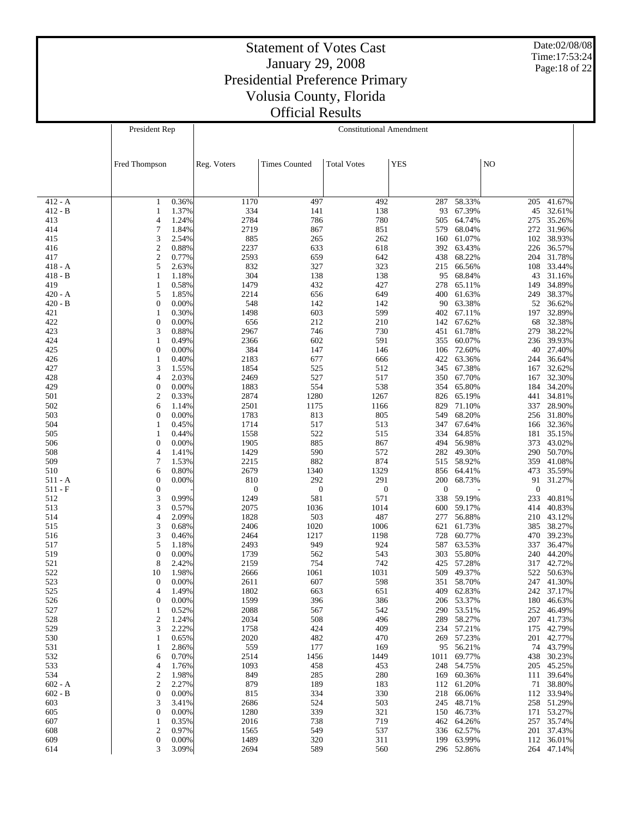Date:02/08/08 Time:17:53:24 Page:18 of 22

|                        | President Rep                       |                | <b>Constitutional Amendment</b> |                         |                         |                         |                          |                     |                          |  |
|------------------------|-------------------------------------|----------------|---------------------------------|-------------------------|-------------------------|-------------------------|--------------------------|---------------------|--------------------------|--|
|                        |                                     |                |                                 |                         |                         |                         |                          |                     |                          |  |
|                        |                                     |                |                                 |                         |                         |                         |                          |                     |                          |  |
|                        | Fred Thompson                       |                | Reg. Voters                     | <b>Times Counted</b>    | <b>Total Votes</b>      | <b>YES</b>              |                          | N <sub>O</sub>      |                          |  |
|                        |                                     |                |                                 |                         |                         |                         |                          |                     |                          |  |
|                        |                                     |                |                                 |                         |                         |                         |                          |                     |                          |  |
| $412 - A$              | 1                                   | 0.36%          | 1170                            | 497                     | 492                     | 287                     | 58.33%                   | 205                 | 41.67%                   |  |
| $412 - B$              | 1                                   | 1.37%          | 334<br>2784                     | 141<br>786              | 138                     | 93                      | 67.39%<br>64.74%         | 45                  | 32.61%<br>275 35.26%     |  |
| 413<br>414             | 4<br>7<br>1.84%                     | 1.24%          | 2719                            | 867                     | 780<br>851              | 505<br>579              | 68.04%                   |                     | 272 31.96%               |  |
| 415                    | 3<br>2.54%                          |                | 885                             | 265                     | 262                     | 160                     | 61.07%                   |                     | 102 38.93%               |  |
| 416                    | $\overline{\mathbf{c}}$<br>0.88%    |                | 2237                            | 633                     | 618                     | 392                     | 63.43%                   |                     | 226 36.57%               |  |
| 417                    | $\overline{c}$<br>0.77%             |                | 2593                            | 659                     | 642                     | 438                     | 68.22%                   |                     | 204 31.78%               |  |
| $418 - A$<br>$418 - B$ | 5<br>2.63%<br>$\mathbf{1}$          | 1.18%          | 832<br>304                      | 327<br>138              | 323<br>138              | 215<br>95               | 66.56%<br>68.84%         | 43                  | 108 33.44%<br>31.16%     |  |
| 419                    | 0.58%<br>$\mathbf{1}$               |                | 1479                            | 432                     | 427                     | 278                     | 65.11%                   | 149                 | 34.89%                   |  |
| $420 - A$              | 5                                   | 1.85%          | 2214                            | 656                     | 649                     | 400                     | 61.63%                   | 249                 | 38.37%                   |  |
| $420 - B$              | $\overline{0}$<br>0.00%             |                | 548                             | 142                     | 142                     | 90                      | 63.38%                   |                     | 52 36.62%                |  |
| 421                    | $\mathbf{1}$                        | 0.30%          | 1498                            | 603                     | 599                     | 402                     | 67.11%                   |                     | 197 32.89%               |  |
| 422<br>423             | $\mathbf{0}$<br>0.00%<br>3          | 0.88%          | 656<br>2967                     | 212<br>746              | 210<br>730              | 142<br>451              | 67.62%<br>61.78%         | 68<br>279           | 32.38%<br>38.22%         |  |
| 424                    | $\mathbf{1}$                        | 0.49%          | 2366                            | 602                     | 591                     | 355                     | 60.07%                   |                     | 236 39.93%               |  |
| 425                    | $\mathbf{0}$                        | 0.00%          | 384                             | 147                     | 146                     | 106                     | 72.60%                   |                     | 40 27.40%                |  |
| 426                    | 0.40%<br>$\mathbf{1}$               |                | 2183                            | 677                     | 666                     | 422                     | 63.36%                   | 244                 | 36.64%                   |  |
| 427                    | 3                                   | 1.55%          | 1854                            | 525                     | 512                     | 345                     | 67.38%                   | 167                 | 32.62%                   |  |
| 428<br>429             | 4<br>2.03%<br>$\mathbf{0}$<br>0.00% |                | 2469<br>1883                    | 527<br>554              | 517<br>538              | 350<br>354              | 67.70%<br>65.80%         | 167                 | 32.30%<br>184 34.20%     |  |
| 501                    | $\boldsymbol{2}$<br>0.33%           |                | 2874                            | 1280                    | 1267                    | 826                     | 65.19%                   |                     | 441 34.81%               |  |
| 502                    | 6                                   | 1.14%          | 2501                            | 1175                    | 1166                    | 829                     | 71.10%                   |                     | 337 28.90%               |  |
| 503                    | $\boldsymbol{0}$<br>0.00%           |                | 1783                            | 813                     | 805                     | 549                     | 68.20%                   |                     | 256 31.80%               |  |
| 504                    | $\mathbf{1}$                        | 0.45%          | 1714                            | 517                     | 513                     | 347                     | 67.64%                   |                     | 166 32.36%               |  |
| 505<br>506             | 1<br>$\overline{0}$<br>0.00%        | 0.44%          | 1558<br>1905                    | 522<br>885              | 515<br>867              | 334<br>494              | 64.85%<br>56.98%         |                     | 181 35.15%<br>373 43.02% |  |
| 508                    | 4                                   | 1.41%          | 1429                            | 590                     | 572                     | 282                     | 49.30%                   |                     | 290 50.70%               |  |
| 509                    | 7                                   | 1.53%          | 2215                            | 882                     | 874                     | 515                     | 58.92%                   | 359                 | 41.08%                   |  |
| 510                    | 6                                   | 0.80%          | 2679                            | 1340                    | 1329                    | 856                     | 64.41%                   | 473                 | 35.59%                   |  |
| $511 - A$              | $\mathbf{0}$                        | 0.00%          | 810                             | 292                     | 291                     | 200                     | 68.73%                   |                     | 91 31.27%                |  |
| $511 - F$<br>512       | $\mathbf{0}$<br>3                   | 0.99%          | $\boldsymbol{0}$<br>1249        | $\boldsymbol{0}$<br>581 | $\boldsymbol{0}$<br>571 | $\boldsymbol{0}$<br>338 | 59.19%                   | $\mathbf{0}$<br>233 | 40.81%                   |  |
| 513                    | 3                                   | 0.57%          | 2075                            | 1036                    | 1014                    | 600                     | 59.17%                   | 414                 | 40.83%                   |  |
| 514                    | 4<br>2.09%                          |                | 1828                            | 503                     | 487                     | 277                     | 56.88%                   |                     | 210 43.12%               |  |
| 515                    | 3<br>0.68%                          |                | 2406                            | 1020                    | 1006                    | 621                     | 61.73%                   |                     | 385 38.27%               |  |
| 516                    | 3                                   | 0.46%          | 2464                            | 1217                    | 1198                    | 728                     | 60.77%                   |                     | 470 39.23%               |  |
| 517<br>519             | 5<br>$\mathbf{0}$<br>0.00%          | 1.18%          | 2493<br>1739                    | 949<br>562              | 924<br>543              | 587<br>303              | 63.53%<br>55.80%         | 337<br>240          | 36.47%<br>44.20%         |  |
| 521                    | 8<br>2.42%                          |                | 2159                            | 754                     | 742                     | 425                     | 57.28%                   | 317                 | 42.72%                   |  |
| 522                    | 10                                  | 1.98%          | 2666                            | 1061                    | 1031                    | 509                     | 49.37%                   | 522                 | 50.63%                   |  |
| 523                    | $\boldsymbol{0}$                    | 0.00%          | 2611                            | 607                     | 598                     | 351                     | 58.70%                   | 247                 | 41.30%                   |  |
| 525                    | 4                                   | 1.49%          | 1802                            | 663                     | 651                     |                         | 409 62.83%               |                     | 242 37.17%               |  |
| 526<br>527             | $\boldsymbol{0}$<br>$\mathbf{1}$    | 0.00%<br>0.52% | 1599<br>2088                    | 396<br>567              | 386<br>542              |                         | 206 53.37%<br>290 53.51% | 252                 | 180 46.63%<br>46.49%     |  |
| 528                    | $\boldsymbol{2}$                    | 1.24%          | 2034                            | 508                     | 496                     | 289                     | 58.27%                   |                     | 207 41.73%               |  |
| 529                    | 3<br>2.22%                          |                | 1758                            | 424                     | 409                     |                         | 234 57.21%               |                     | 175 42.79%               |  |
| 530                    | 1                                   | 0.65%          | 2020                            | 482                     | 470                     | 269                     | 57.23%                   |                     | 201 42.77%               |  |
| 531                    | $\mathbf{1}$                        | 2.86%          | 559                             | 177                     | 169                     |                         | 95 56.21%                |                     | 74 43.79%                |  |
| 532                    | 6                                   | 0.70%          | 2514                            | 1456                    | 1449                    |                         | 1011 69.77%              |                     | 438 30.23%               |  |
| 533<br>534             | 4<br>$\boldsymbol{2}$               | 1.76%<br>1.98% | 1093<br>849                     | 458<br>285              | 453<br>280              |                         | 248 54.75%<br>169 60.36% |                     | 205 45.25%<br>111 39.64% |  |
| $602 - A$              | $\boldsymbol{2}$                    | 2.27%          | 879                             | 189                     | 183                     |                         | 112 61.20%               |                     | 71 38.80%                |  |
| $602 - B$              | $\boldsymbol{0}$<br>0.00%           |                | 815                             | 334                     | 330                     | 218                     | 66.06%                   |                     | 112 33.94%               |  |
| 603                    | 3                                   | 3.41%          | 2686                            | 524                     | 503                     |                         | 245 48.71%               |                     | 258 51.29%               |  |
| 605                    | $\mathbf{0}$                        | 0.00%          | 1280                            | 339                     | 321                     | 150                     | 46.73%                   |                     | 171 53.27%               |  |
| 607<br>608             | $\mathbf{1}$<br>$\boldsymbol{2}$    | 0.35%<br>0.97% | 2016<br>1565                    | 738<br>549              | 719<br>537              |                         | 462 64.26%<br>336 62.57% |                     | 257 35.74%<br>201 37.43% |  |
| 609                    | $\boldsymbol{0}$<br>0.00%           |                | 1489                            | 320                     | 311                     |                         | 199 63.99%               |                     | 112 36.01%               |  |
| 614                    | 3                                   | 3.09%          | 2694                            | 589                     | 560                     |                         | 296 52.86%               |                     | 264 47.14%               |  |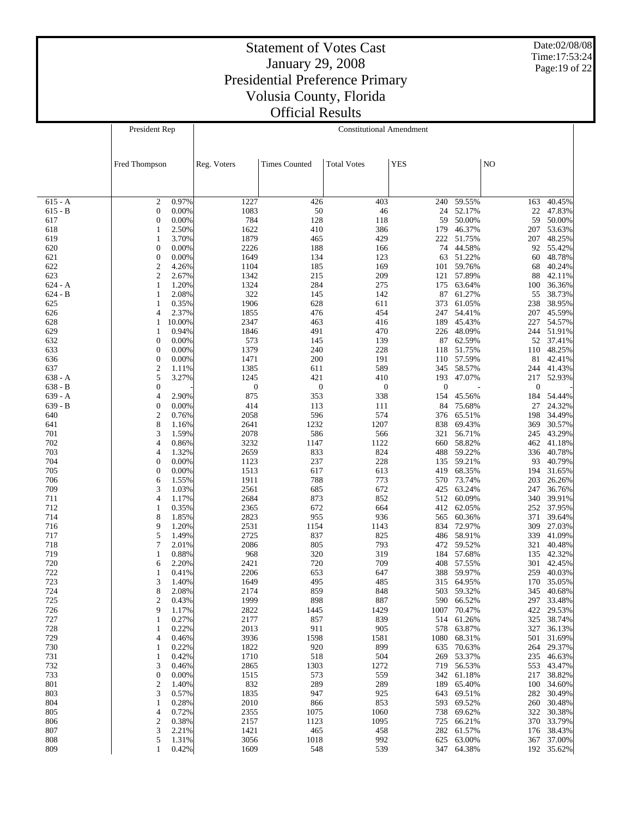Date:02/08/08 Time:17:53:24 Page:19 of 22

|                  | President Rep                  | <b>Constitutional Amendment</b> |                  |                      |                    |              |                  |                  |                      |
|------------------|--------------------------------|---------------------------------|------------------|----------------------|--------------------|--------------|------------------|------------------|----------------------|
|                  |                                |                                 |                  |                      |                    |              |                  |                  |                      |
|                  |                                |                                 |                  |                      |                    |              |                  |                  |                      |
|                  | Fred Thompson                  |                                 | Reg. Voters      | <b>Times Counted</b> | <b>Total Votes</b> | <b>YES</b>   |                  | NO               |                      |
|                  |                                |                                 |                  |                      |                    |              |                  |                  |                      |
|                  |                                |                                 |                  |                      |                    |              |                  |                  |                      |
| $615 - A$        | $\overline{2}$                 | 0.97%                           | 1227             | 426                  | 403                | 240          | 59.55%           | 163              | 40.45%               |
| 615 - B          | $\mathbf{0}$                   | 0.00%                           | 1083             | 50                   | 46                 | 24           | 52.17%           | 22               | 47.83%               |
| 617              | $\mathbf{0}$<br>$\mathbf{1}$   | 0.00%                           | 784<br>1622      | 128                  | 118<br>386         | 59<br>179    | 50.00%<br>46.37% | 59<br>207        | 50.00%<br>53.63%     |
| 618<br>619       | $\mathbf{1}$                   | 2.50%<br>3.70%                  | 1879             | 410<br>465           | 429                | 222          | 51.75%           | 207              | 48.25%               |
| 620              | $\boldsymbol{0}$               | 0.00%                           | 2226             | 188                  | 166                | 74           | 44.58%           | 92               | 55.42%               |
| 621              | $\mathbf{0}$                   | 0.00%                           | 1649             | 134                  | 123                | 63           | 51.22%           | 60               | 48.78%               |
| 622              | $\overline{2}$                 | 4.26%                           | 1104             | 185                  | 169                | 101          | 59.76%           | 68               | 40.24%               |
| 623              | $\overline{2}$                 | 2.67%                           | 1342             | 215                  | 209                |              | 121 57.89%       | 88               | 42.11%               |
| 624 - A          | $\mathbf{1}$                   | 1.20%                           | 1324             | 284                  | 275                | 175          | 63.64%           | 100              | 36.36%               |
| $624 - B$<br>625 | $\mathbf{1}$<br>$\mathbf{1}$   | 2.08%<br>0.35%                  | 322<br>1906      | 145<br>628           | 142<br>611         | 87<br>373    | 61.27%<br>61.05% | 55<br>238        | 38.73%<br>38.95%     |
| 626              | $\overline{4}$                 | 2.37%                           | 1855             | 476                  | 454                | 247          | 54.41%           | 207              | 45.59%               |
| 628              | 10.00%<br>$\mathbf{1}$         |                                 | 2347             | 463                  | 416                | 189          | 45.43%           | 227              | 54.57%               |
| 629              | $\mathbf{1}$                   | 0.94%                           | 1846             | 491                  | 470                | 226          | 48.09%           |                  | 244 51.91%           |
| 632              | $\overline{0}$                 | 0.00%                           | 573              | 145                  | 139                | 87           | 62.59%           |                  | 52 37.41%            |
| 633              | $\mathbf{0}$                   | 0.00%                           | 1379             | 240                  | 228                | 118          | 51.75%           | 110              | 48.25%               |
| 636<br>637       | $\mathbf{0}$<br>$\overline{c}$ | 0.00%<br>1.11%                  | 1471<br>1385     | 200<br>611           | 191<br>589         | 110<br>345   | 57.59%<br>58.57% | 81<br>244        | 42.41%<br>41.43%     |
| $638 - A$        | 5                              | 3.27%                           | 1245             | 421                  | 410                | 193          | 47.07%           | 217              | 52.93%               |
| $638 - B$        | $\mathbf{0}$                   |                                 | $\boldsymbol{0}$ | $\boldsymbol{0}$     | $\mathbf{0}$       | $\mathbf{0}$ |                  | $\boldsymbol{0}$ |                      |
| $639 - A$        | $\overline{4}$                 | 2.90%                           | 875              | 353                  | 338                | 154          | 45.56%           | 184              | 54.44%               |
| $639 - B$        | $\mathbf{0}$                   | 0.00%                           | 414              | 113                  | 111                | 84           | 75.68%           | 27               | 24.32%               |
| 640              | $\mathbf{2}$                   | 0.76%                           | 2058             | 596                  | 574                | 376          | 65.51%           | 198              | 34.49%               |
| 641              | 8                              | 1.16%                           | 2641             | 1232                 | 1207               | 838          | 69.43%           | 369              | 30.57%               |
| 701<br>702       | 3<br>$\overline{4}$            | 1.59%<br>0.86%                  | 2078<br>3232     | 586<br>1147          | 566<br>1122        | 321<br>660   | 56.71%<br>58.82% | 245<br>462       | 43.29%<br>41.18%     |
| 703              | $\overline{4}$                 | 1.32%                           | 2659             | 833                  | 824                | 488          | 59.22%           | 336              | 40.78%               |
| 704              | $\mathbf{0}$                   | 0.00%                           | 1123             | 237                  | 228                | 135          | 59.21%           | 93               | 40.79%               |
| 705              | $\mathbf{0}$                   | 0.00%                           | 1513             | 617                  | 613                | 419          | 68.35%           | 194              | 31.65%               |
| 706              | 6                              | 1.55%                           | 1911             | 788                  | 773                | 570          | 73.74%           | 203              | 26.26%               |
| 709              | 3                              | 1.03%                           | 2561             | 685                  | 672                | 425          | 63.24%           | 247              | 36.76%               |
| 711<br>712       | $\overline{4}$<br>$\mathbf{1}$ | 1.17%<br>0.35%                  | 2684<br>2365     | 873<br>672           | 852<br>664         | 512<br>412   | 60.09%<br>62.05% | 340<br>252       | 39.91%<br>37.95%     |
| 714              | 8                              | 1.85%                           | 2823             | 955                  | 936                | 565          | 60.36%           | 371              | 39.64%               |
| 716              | 9                              | 1.20%                           | 2531             | 1154                 | 1143               | 834          | 72.97%           | 309              | 27.03%               |
| 717              | 5                              | 1.49%                           | 2725             | 837                  | 825                | 486          | 58.91%           | 339              | 41.09%               |
| 718              | $\overline{7}$                 | 2.01%                           | 2086             | 805                  | 793                | 472          | 59.52%           | 321              | 40.48%               |
| 719              | $\mathbf{1}$                   | 0.88%                           | 968              | 320                  | 319                | 184          | 57.68%           | 135              | 42.32%               |
| 720<br>722       | 6<br>1                         | 2.20%                           | 2421<br>2206     | 720                  | 709                | 408          | 57.55%<br>59.97% | 301<br>259       | 42.45%<br>40.03%     |
| 723              | 3                              | 0.41%<br>1.40%                  | 1649             | 653<br>495           | 647<br>485         | 388<br>315   | 64.95%           | 170              | 35.05%               |
| 724              | 8                              | 2.08%                           | 2174             | 859                  | 848                |              | 503 59.32%       | 345              | 40.68%               |
| 725              | $\overline{c}$                 | 0.43%                           | 1999             | 898                  | 887                | 590          | 66.52%           | 297              | 33.48%               |
| 726              | 9                              | 1.17%                           | 2822             | 1445                 | 1429               | 1007         | 70.47%           | 422              | 29.53%               |
| 727              | $\mathbf{1}$                   | 0.27%                           | 2177             | 857                  | 839                | 514          | 61.26%           | 325              | 38.74%               |
| 728<br>729       | 1                              | 0.22%                           | 2013             | 911                  | 905                | 578          | 63.87%<br>68.31% | 327              | 36.13%<br>31.69%     |
| 730              | $\overline{4}$<br>$\mathbf{1}$ | 0.46%<br>0.22%                  | 3936<br>1822     | 1598<br>920          | 1581<br>899        | 1080<br>635  | 70.63%           | 501              | 264 29.37%           |
| 731              | $\mathbf{1}$                   | 0.42%                           | 1710             | 518                  | 504                | 269          | 53.37%           | 235              | 46.63%               |
| 732              | 3                              | 0.46%                           | 2865             | 1303                 | 1272               | 719          | 56.53%           | 553              | 43.47%               |
| 733              | $\boldsymbol{0}$               | 0.00%                           | 1515             | 573                  | 559                | 342          | 61.18%           | 217              | 38.82%               |
| 801              | $\overline{c}$                 | 1.40%                           | 832              | 289                  | 289                | 189          | 65.40%           |                  | 100 34.60%           |
| 803              | 3                              | 0.57%                           | 1835             | 947                  | 925                | 643          | 69.51%           | 282              | 30.49%               |
| 804<br>805       | $\mathbf{1}$<br>$\overline{4}$ | 0.28%<br>0.72%                  | 2010<br>2355     | 866<br>1075          | 853<br>1060        | 593<br>738   | 69.52%<br>69.62% | 322              | 260 30.48%<br>30.38% |
| 806              | $\overline{c}$                 | 0.38%                           | 2157             | 1123                 | 1095               | 725          | 66.21%           |                  | 370 33.79%           |
| 807              | $\mathfrak{Z}$                 | 2.21%                           | 1421             | 465                  | 458                | 282          | 61.57%           |                  | 176 38.43%           |
| 808              | 5                              | 1.31%                           | 3056             | 1018                 | 992                | 625          | 63.00%           |                  | 367 37.00%           |
| 809              | $\mathbf{1}$                   | 0.42%                           | 1609             | 548                  | 539                |              | 347 64.38%       |                  | 192 35.62%           |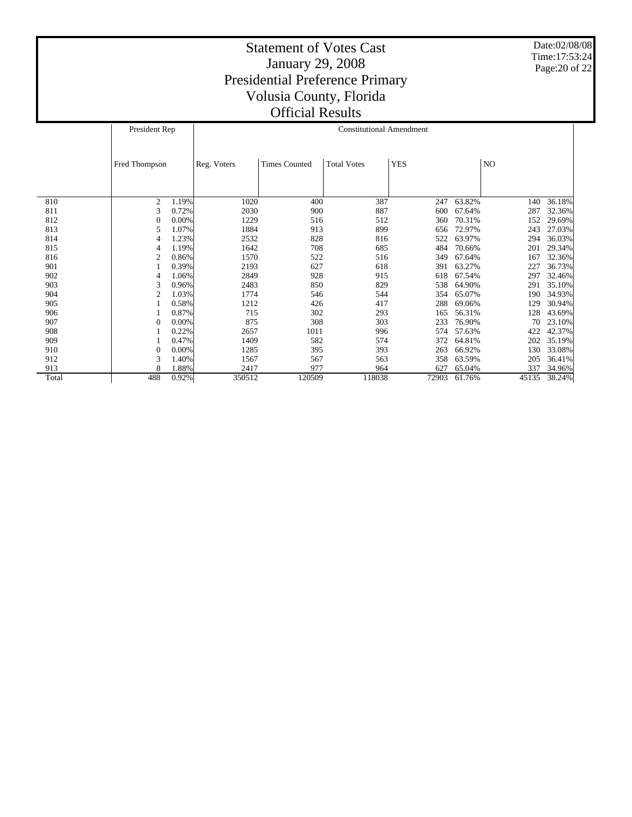Date:02/08/08 Time:17:53:24 Page:20 of 22

|       | President Rep  |          | <b>Constitutional Amendment</b> |                      |                    |            |        |       |        |  |
|-------|----------------|----------|---------------------------------|----------------------|--------------------|------------|--------|-------|--------|--|
|       |                |          |                                 |                      |                    |            |        |       |        |  |
|       | Fred Thompson  |          | Reg. Voters                     | <b>Times Counted</b> | <b>Total Votes</b> | <b>YES</b> |        | NO    |        |  |
|       |                |          |                                 |                      |                    |            |        |       |        |  |
|       |                |          |                                 |                      |                    |            |        |       |        |  |
| 810   | $\overline{c}$ | 1.19%    | 1020                            | 400                  | 387                | 247        | 63.82% | 140   | 36.18% |  |
| 811   | 3              | 0.72%    | 2030                            | 900                  | 887                | 600        | 67.64% | 287   | 32.36% |  |
| 812   | 0              | $0.00\%$ | 1229                            | 516                  | 512                | 360        | 70.31% | 152   | 29.69% |  |
| 813   | 5              | 1.07%    | 1884                            | 913                  | 899                | 656        | 72.97% | 243   | 27.03% |  |
| 814   | 4              | 1.23%    | 2532                            | 828                  | 816                | 522        | 63.97% | 294   | 36.03% |  |
| 815   | 4              | 1.19%    | 1642                            | 708                  | 685                | 484        | 70.66% | 201   | 29.34% |  |
| 816   | $\mathfrak{2}$ | 0.86%    | 1570                            | 522                  | 516                | 349        | 67.64% | 167   | 32.36% |  |
| 901   |                | 0.39%    | 2193                            | 627                  | 618                | 391        | 63.27% | 227   | 36.73% |  |
| 902   | 4              | 1.06%    | 2849                            | 928                  | 915                | 618        | 67.54% | 297   | 32.46% |  |
| 903   | 3              | 0.96%    | 2483                            | 850                  | 829                | 538        | 64.90% | 291   | 35.10% |  |
| 904   | 2              | 1.03%    | 1774                            | 546                  | 544                | 354        | 65.07% | 190   | 34.93% |  |
| 905   |                | 0.58%    | 1212                            | 426                  | 417                | 288        | 69.06% | 129   | 30.94% |  |
| 906   |                | 0.87%    | 715                             | 302                  | 293                | 165        | 56.31% | 128   | 43.69% |  |
| 907   | 0              | 0.00%    | 875                             | 308                  | 303                | 233        | 76.90% | 70    | 23.10% |  |
| 908   |                | 0.22%    | 2657                            | 1011                 | 996                | 574        | 57.63% | 422   | 42.37% |  |
| 909   |                | 0.47%    | 1409                            | 582                  | 574                | 372        | 64.81% | 202   | 35.19% |  |
| 910   | 0              | $0.00\%$ | 1285                            | 395                  | 393                | 263        | 66.92% | 130   | 33.08% |  |
| 912   | 3              | 1.40%    | 1567                            | 567                  | 563                | 358        | 63.59% | 205   | 36.41% |  |
| 913   | 8              | 1.88%    | 2417                            | 977                  | 964                | 627        | 65.04% | 337   | 34.96% |  |
| Total | 488            | 0.92%    | 350512                          | 120509               | 118038             | 72903      | 61.76% | 45135 | 38.24% |  |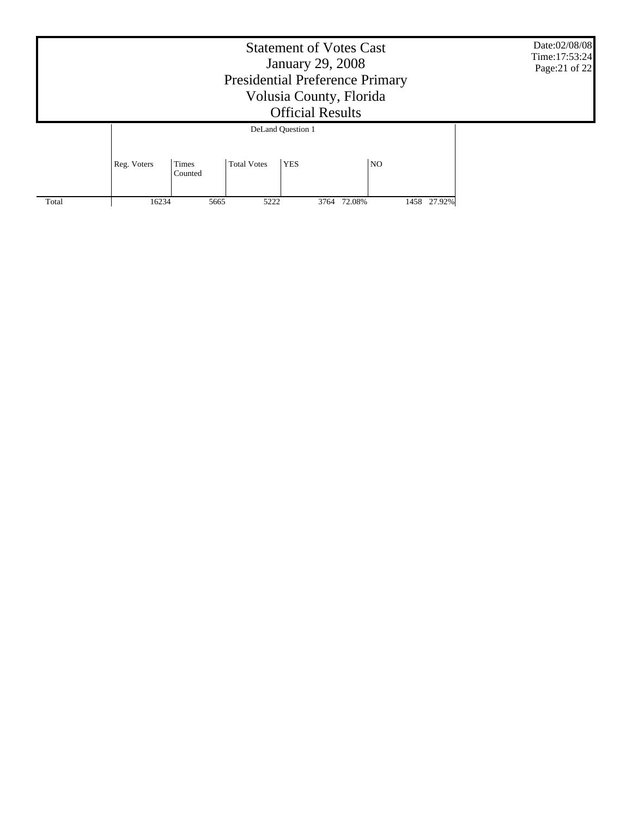|                   | Date:02/08/08<br>Time: 17:53:24<br>Page: 21 of 22 |                  |                    |            |             |  |             |  |  |  |
|-------------------|---------------------------------------------------|------------------|--------------------|------------|-------------|--|-------------|--|--|--|
| DeLand Question 1 |                                                   |                  |                    |            |             |  |             |  |  |  |
|                   | Reg. Voters                                       | Times<br>Counted | <b>Total Votes</b> | <b>YES</b> | NO.         |  |             |  |  |  |
| Total             | 16234                                             | 5665             | 5222               |            | 3764 72.08% |  | 1458 27.92% |  |  |  |